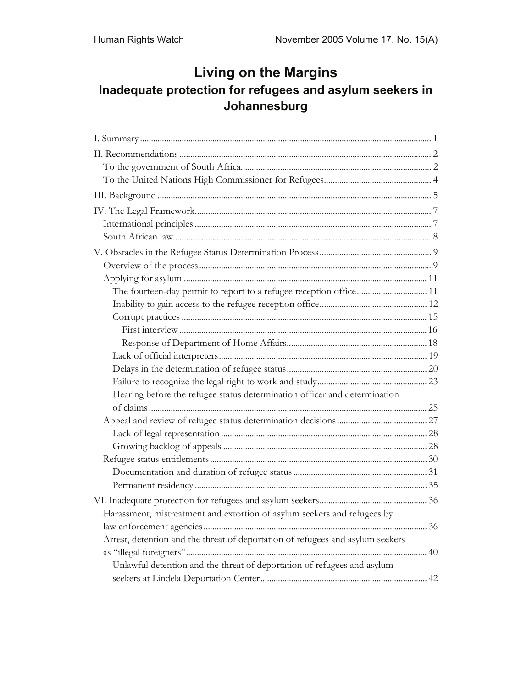# **Living on the Margins Inadequate protection for refugees and asylum seekers in Johannesburg**

| Hearing before the refugee status determination officer and determination      |  |
|--------------------------------------------------------------------------------|--|
|                                                                                |  |
|                                                                                |  |
|                                                                                |  |
|                                                                                |  |
|                                                                                |  |
|                                                                                |  |
|                                                                                |  |
|                                                                                |  |
| Harassment, mistreatment and extortion of asylum seekers and refugees by       |  |
|                                                                                |  |
| Arrest, detention and the threat of deportation of refugees and asylum seekers |  |
|                                                                                |  |
| Unlawful detention and the threat of deportation of refugees and asylum        |  |
|                                                                                |  |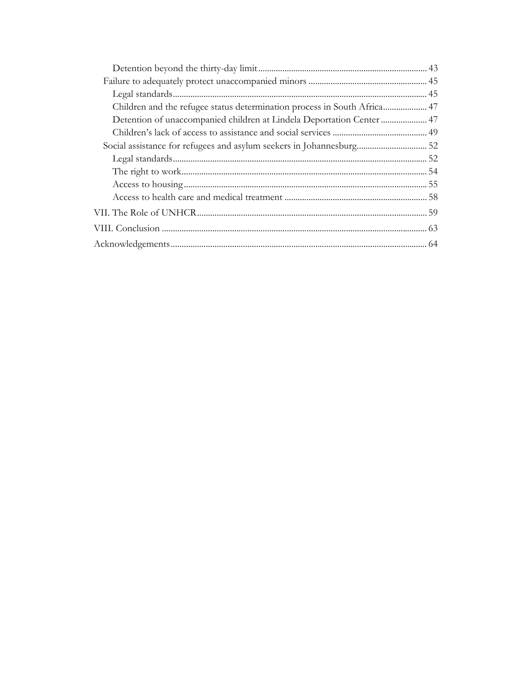| Detention of unaccompanied children at Lindela Deportation Center  47 |  |
|-----------------------------------------------------------------------|--|
|                                                                       |  |
| Social assistance for refugees and asylum seekers in Johannesburg 52  |  |
|                                                                       |  |
|                                                                       |  |
|                                                                       |  |
|                                                                       |  |
|                                                                       |  |
|                                                                       |  |
|                                                                       |  |
|                                                                       |  |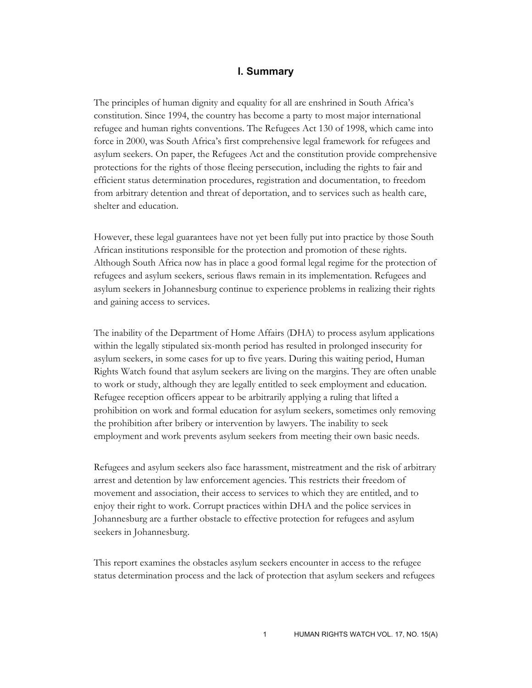### **I. Summary**

The principles of human dignity and equality for all are enshrined in South Africa's constitution. Since 1994, the country has become a party to most major international refugee and human rights conventions. The Refugees Act 130 of 1998, which came into force in 2000, was South Africa's first comprehensive legal framework for refugees and asylum seekers. On paper, the Refugees Act and the constitution provide comprehensive protections for the rights of those fleeing persecution, including the rights to fair and efficient status determination procedures, registration and documentation, to freedom from arbitrary detention and threat of deportation, and to services such as health care, shelter and education.

However, these legal guarantees have not yet been fully put into practice by those South African institutions responsible for the protection and promotion of these rights. Although South Africa now has in place a good formal legal regime for the protection of refugees and asylum seekers, serious flaws remain in its implementation. Refugees and asylum seekers in Johannesburg continue to experience problems in realizing their rights and gaining access to services.

The inability of the Department of Home Affairs (DHA) to process asylum applications within the legally stipulated six-month period has resulted in prolonged insecurity for asylum seekers, in some cases for up to five years. During this waiting period, Human Rights Watch found that asylum seekers are living on the margins. They are often unable to work or study, although they are legally entitled to seek employment and education. Refugee reception officers appear to be arbitrarily applying a ruling that lifted a prohibition on work and formal education for asylum seekers, sometimes only removing the prohibition after bribery or intervention by lawyers. The inability to seek employment and work prevents asylum seekers from meeting their own basic needs.

Refugees and asylum seekers also face harassment, mistreatment and the risk of arbitrary arrest and detention by law enforcement agencies. This restricts their freedom of movement and association, their access to services to which they are entitled, and to enjoy their right to work. Corrupt practices within DHA and the police services in Johannesburg are a further obstacle to effective protection for refugees and asylum seekers in Johannesburg.

This report examines the obstacles asylum seekers encounter in access to the refugee status determination process and the lack of protection that asylum seekers and refugees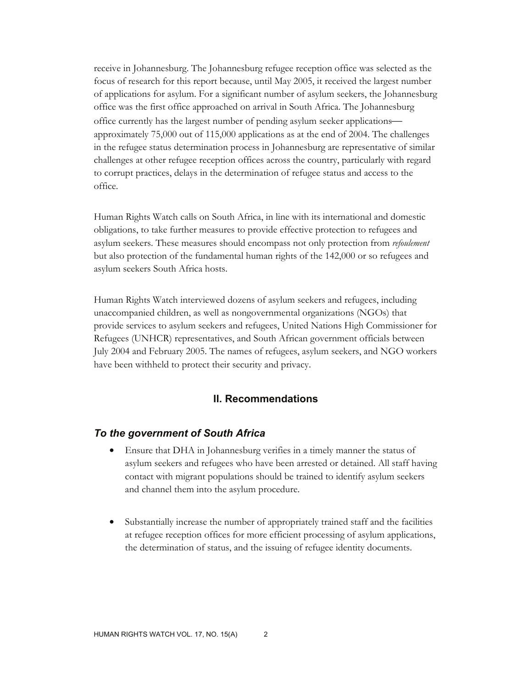receive in Johannesburg. The Johannesburg refugee reception office was selected as the focus of research for this report because, until May 2005, it received the largest number of applications for asylum. For a significant number of asylum seekers, the Johannesburg office was the first office approached on arrival in South Africa. The Johannesburg office currently has the largest number of pending asylum seeker applications approximately 75,000 out of 115,000 applications as at the end of 2004. The challenges in the refugee status determination process in Johannesburg are representative of similar challenges at other refugee reception offices across the country, particularly with regard to corrupt practices, delays in the determination of refugee status and access to the office.

Human Rights Watch calls on South Africa, in line with its international and domestic obligations, to take further measures to provide effective protection to refugees and asylum seekers. These measures should encompass not only protection from *refoulement* but also protection of the fundamental human rights of the 142,000 or so refugees and asylum seekers South Africa hosts.

Human Rights Watch interviewed dozens of asylum seekers and refugees, including unaccompanied children, as well as nongovernmental organizations (NGOs) that provide services to asylum seekers and refugees, United Nations High Commissioner for Refugees (UNHCR) representatives, and South African government officials between July 2004 and February 2005. The names of refugees, asylum seekers, and NGO workers have been withheld to protect their security and privacy.

### **II. Recommendations**

#### *To the government of South Africa*

- Ensure that DHA in Johannesburg verifies in a timely manner the status of asylum seekers and refugees who have been arrested or detained. All staff having contact with migrant populations should be trained to identify asylum seekers and channel them into the asylum procedure.
- Substantially increase the number of appropriately trained staff and the facilities at refugee reception offices for more efficient processing of asylum applications, the determination of status, and the issuing of refugee identity documents.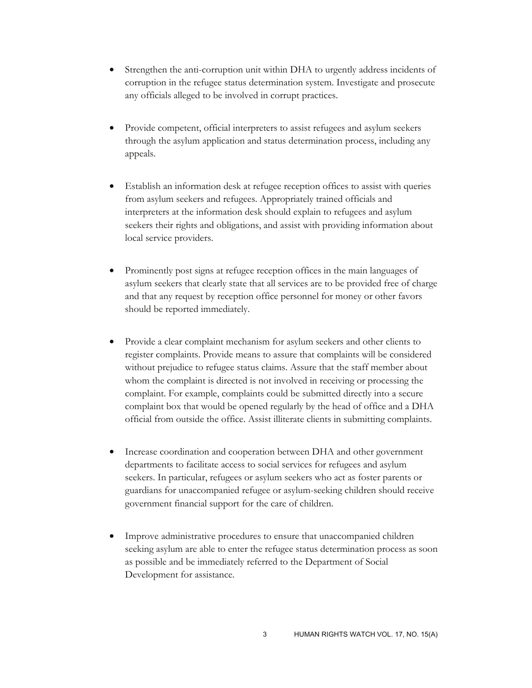- Strengthen the anti-corruption unit within DHA to urgently address incidents of corruption in the refugee status determination system. Investigate and prosecute any officials alleged to be involved in corrupt practices.
- Provide competent, official interpreters to assist refugees and asylum seekers through the asylum application and status determination process, including any appeals.
- Establish an information desk at refugee reception offices to assist with queries from asylum seekers and refugees. Appropriately trained officials and interpreters at the information desk should explain to refugees and asylum seekers their rights and obligations, and assist with providing information about local service providers.
- Prominently post signs at refugee reception offices in the main languages of asylum seekers that clearly state that all services are to be provided free of charge and that any request by reception office personnel for money or other favors should be reported immediately.
- Provide a clear complaint mechanism for asylum seekers and other clients to register complaints. Provide means to assure that complaints will be considered without prejudice to refugee status claims. Assure that the staff member about whom the complaint is directed is not involved in receiving or processing the complaint. For example, complaints could be submitted directly into a secure complaint box that would be opened regularly by the head of office and a DHA official from outside the office. Assist illiterate clients in submitting complaints.
- Increase coordination and cooperation between DHA and other government departments to facilitate access to social services for refugees and asylum seekers. In particular, refugees or asylum seekers who act as foster parents or guardians for unaccompanied refugee or asylum-seeking children should receive government financial support for the care of children.
- Improve administrative procedures to ensure that unaccompanied children seeking asylum are able to enter the refugee status determination process as soon as possible and be immediately referred to the Department of Social Development for assistance.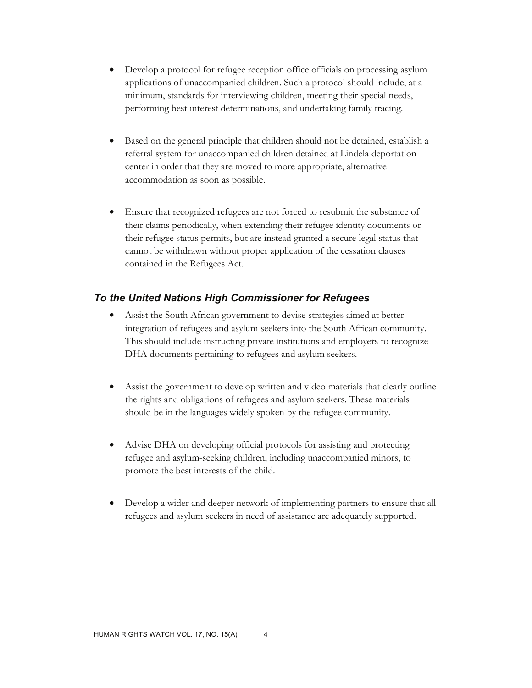- Develop a protocol for refugee reception office officials on processing asylum applications of unaccompanied children. Such a protocol should include, at a minimum, standards for interviewing children, meeting their special needs, performing best interest determinations, and undertaking family tracing.
- Based on the general principle that children should not be detained, establish a referral system for unaccompanied children detained at Lindela deportation center in order that they are moved to more appropriate, alternative accommodation as soon as possible.
- Ensure that recognized refugees are not forced to resubmit the substance of their claims periodically, when extending their refugee identity documents or their refugee status permits, but are instead granted a secure legal status that cannot be withdrawn without proper application of the cessation clauses contained in the Refugees Act.

# *To the United Nations High Commissioner for Refugees*

- Assist the South African government to devise strategies aimed at better integration of refugees and asylum seekers into the South African community. This should include instructing private institutions and employers to recognize DHA documents pertaining to refugees and asylum seekers.
- Assist the government to develop written and video materials that clearly outline the rights and obligations of refugees and asylum seekers. These materials should be in the languages widely spoken by the refugee community.
- Advise DHA on developing official protocols for assisting and protecting refugee and asylum-seeking children, including unaccompanied minors, to promote the best interests of the child.
- Develop a wider and deeper network of implementing partners to ensure that all refugees and asylum seekers in need of assistance are adequately supported.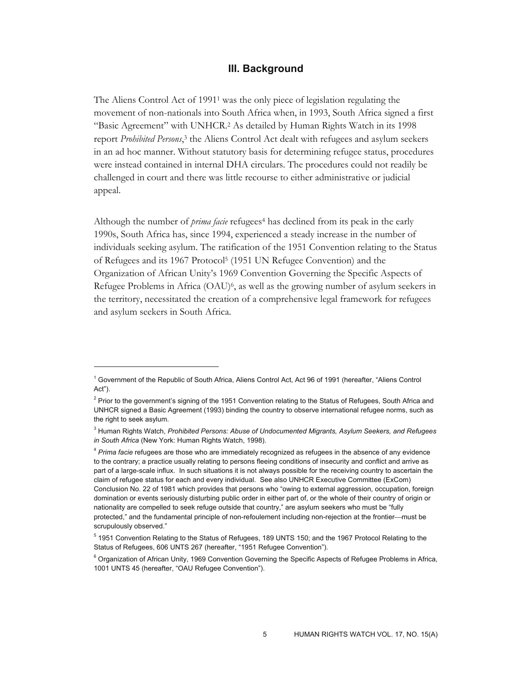### **III. Background**

The Aliens Control Act of 1991<sup>1</sup> was the only piece of legislation regulating the movement of non-nationals into South Africa when, in 1993, South Africa signed a first "Basic Agreement" with UNHCR.2 As detailed by Human Rights Watch in its 1998 report *Prohibited Persons*, 3 the Aliens Control Act dealt with refugees and asylum seekers in an ad hoc manner. Without statutory basis for determining refugee status, procedures were instead contained in internal DHA circulars. The procedures could not readily be challenged in court and there was little recourse to either administrative or judicial appeal.

Although the number of *prima facie* refugees4 has declined from its peak in the early 1990s, South Africa has, since 1994, experienced a steady increase in the number of individuals seeking asylum. The ratification of the 1951 Convention relating to the Status of Refugees and its 1967 Protocol5 (1951 UN Refugee Convention) and the Organization of African Unity's 1969 Convention Governing the Specific Aspects of Refugee Problems in Africa  $(OAU)^6$ , as well as the growing number of asylum seekers in the territory, necessitated the creation of a comprehensive legal framework for refugees and asylum seekers in South Africa.

<sup>&</sup>lt;sup>1</sup> Government of the Republic of South Africa, Aliens Control Act, Act 96 of 1991 (hereafter, "Aliens Control Act").

<sup>&</sup>lt;sup>2</sup> Prior to the government's signing of the 1951 Convention relating to the Status of Refugees, South Africa and UNHCR signed a Basic Agreement (1993) binding the country to observe international refugee norms, such as the right to seek asylum.

<sup>3</sup> Human Rights Watch, *Prohibited Persons: Abuse of Undocumented Migrants, Asylum Seekers, and Refugees in South Africa* (New York: Human Rights Watch, 1998).

<sup>4</sup> *Prima facie* refugees are those who are immediately recognized as refugees in the absence of any evidence to the contrary; a practice usually relating to persons fleeing conditions of insecurity and conflict and arrive as part of a large-scale influx. In such situations it is not always possible for the receiving country to ascertain the claim of refugee status for each and every individual. See also UNHCR Executive Committee (ExCom) Conclusion No. 22 of 1981 which provides that persons who "owing to external aggression, occupation, foreign domination or events seriously disturbing public order in either part of, or the whole of their country of origin or nationality are compelled to seek refuge outside that country," are asylum seekers who must be "fully protected," and the fundamental principle of non-refoulement including non-rejection at the frontier—must be scrupulously observed."

<sup>&</sup>lt;sup>5</sup> 1951 Convention Relating to the Status of Refugees, 189 UNTS 150; and the 1967 Protocol Relating to the Status of Refugees, 606 UNTS 267 (hereafter, "1951 Refugee Convention").

<sup>&</sup>lt;sup>6</sup> Organization of African Unity, 1969 Convention Governing the Specific Aspects of Refugee Problems in Africa, 1001 UNTS 45 (hereafter, "OAU Refugee Convention").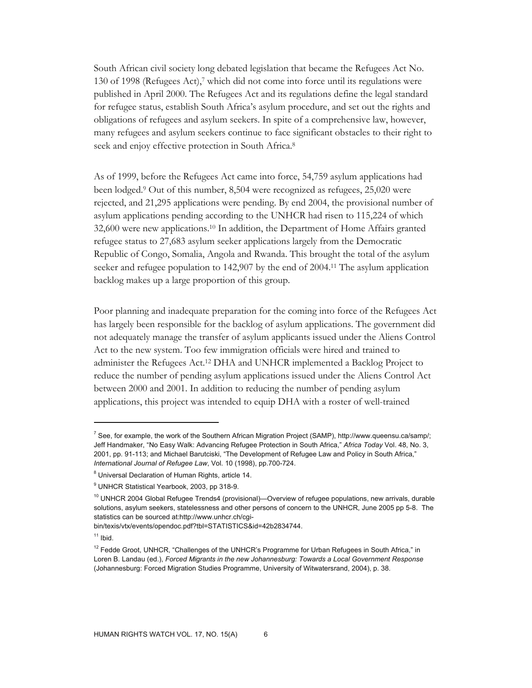South African civil society long debated legislation that became the Refugees Act No. 130 of 1998 (Refugees Act),7 which did not come into force until its regulations were published in April 2000. The Refugees Act and its regulations define the legal standard for refugee status, establish South Africa's asylum procedure, and set out the rights and obligations of refugees and asylum seekers. In spite of a comprehensive law, however, many refugees and asylum seekers continue to face significant obstacles to their right to seek and enjoy effective protection in South Africa.8

As of 1999, before the Refugees Act came into force, 54,759 asylum applications had been lodged.9 Out of this number, 8,504 were recognized as refugees, 25,020 were rejected, and 21,295 applications were pending. By end 2004, the provisional number of asylum applications pending according to the UNHCR had risen to 115,224 of which 32,600 were new applications.10 In addition, the Department of Home Affairs granted refugee status to 27,683 asylum seeker applications largely from the Democratic Republic of Congo, Somalia, Angola and Rwanda. This brought the total of the asylum seeker and refugee population to 142,907 by the end of 2004.11 The asylum application backlog makes up a large proportion of this group.

Poor planning and inadequate preparation for the coming into force of the Refugees Act has largely been responsible for the backlog of asylum applications. The government did not adequately manage the transfer of asylum applicants issued under the Aliens Control Act to the new system. Too few immigration officials were hired and trained to administer the Refugees Act.12 DHA and UNHCR implemented a Backlog Project to reduce the number of pending asylum applications issued under the Aliens Control Act between 2000 and 2001. In addition to reducing the number of pending asylum applications, this project was intended to equip DHA with a roster of well-trained

bin/texis/vtx/events/opendoc.pdf?tbl=STATISTICS&id=42b2834744.

 $11$  Ibid.

<sup>&</sup>lt;sup>7</sup> See, for example, the work of the Southern African Migration Project (SAMP), http://www.queensu.ca/samp/; Jeff Handmaker, "No Easy Walk: Advancing Refugee Protection in South Africa," *Africa Today* Vol. 48, No. 3, 2001, pp. 91-113; and Michael Barutciski, "The Development of Refugee Law and Policy in South Africa," *International Journal of Refugee Law*, Vol. 10 (1998), pp.700-724.

<sup>&</sup>lt;sup>8</sup> Universal Declaration of Human Rights, article 14.

<sup>9</sup> UNHCR Statistical Yearbook, 2003, pp 318-9.

 $10$  UNHCR 2004 Global Refugee Trends4 (provisional)—Overview of refugee populations, new arrivals, durable solutions, asylum seekers, statelessness and other persons of concern to the UNHCR, June 2005 pp 5-8. The statistics can be sourced at:http://www.unhcr.ch/cgi-

<sup>&</sup>lt;sup>12</sup> Fedde Groot, UNHCR, "Challenges of the UNHCR's Programme for Urban Refugees in South Africa," in Loren B. Landau (ed.), *Forced Migrants in the new Johannesburg: Towards a Local Government Response*  (Johannesburg: Forced Migration Studies Programme, University of Witwatersrand, 2004), p. 38.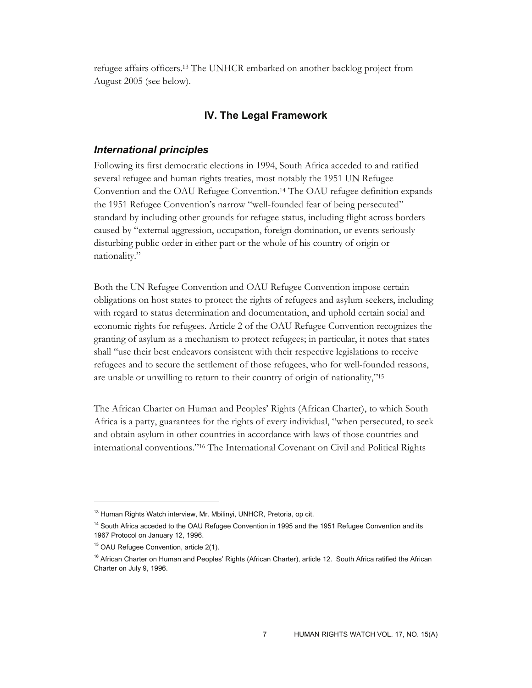refugee affairs officers.13 The UNHCR embarked on another backlog project from August 2005 (see below).

# **IV. The Legal Framework**

### *International principles*

Following its first democratic elections in 1994, South Africa acceded to and ratified several refugee and human rights treaties, most notably the 1951 UN Refugee Convention and the OAU Refugee Convention.14 The OAU refugee definition expands the 1951 Refugee Convention's narrow "well-founded fear of being persecuted" standard by including other grounds for refugee status, including flight across borders caused by "external aggression, occupation, foreign domination, or events seriously disturbing public order in either part or the whole of his country of origin or nationality."

Both the UN Refugee Convention and OAU Refugee Convention impose certain obligations on host states to protect the rights of refugees and asylum seekers, including with regard to status determination and documentation, and uphold certain social and economic rights for refugees. Article 2 of the OAU Refugee Convention recognizes the granting of asylum as a mechanism to protect refugees; in particular, it notes that states shall "use their best endeavors consistent with their respective legislations to receive refugees and to secure the settlement of those refugees, who for well-founded reasons, are unable or unwilling to return to their country of origin of nationality,"15

The African Charter on Human and Peoples' Rights (African Charter), to which South Africa is a party, guarantees for the rights of every individual, "when persecuted, to seek and obtain asylum in other countries in accordance with laws of those countries and international conventions."16 The International Covenant on Civil and Political Rights

<sup>&</sup>lt;sup>13</sup> Human Rights Watch interview, Mr. Mbilinyi, UNHCR, Pretoria, op cit.

<sup>&</sup>lt;sup>14</sup> South Africa acceded to the OAU Refugee Convention in 1995 and the 1951 Refugee Convention and its 1967 Protocol on January 12, 1996.

<sup>&</sup>lt;sup>15</sup> OAU Refugee Convention, article 2(1).

<sup>&</sup>lt;sup>16</sup> African Charter on Human and Peoples' Rights (African Charter), article 12. South Africa ratified the African Charter on July 9, 1996.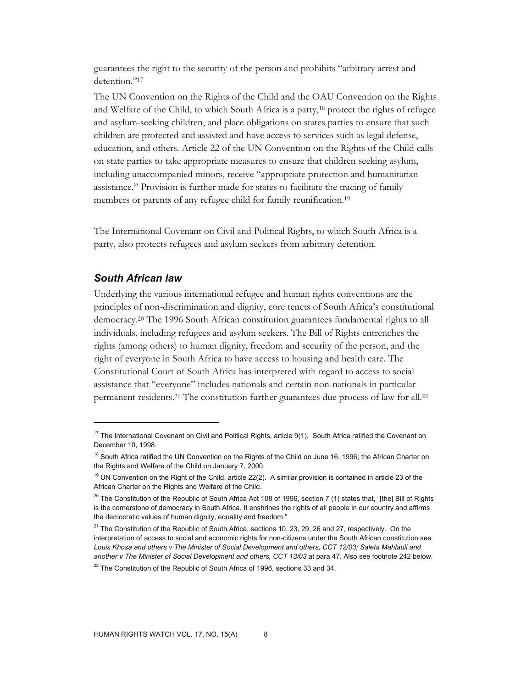guarantees the right to the security of the person and prohibits "arbitrary arrest and detention."<sup>17</sup>

The UN Convention on the Rights of the Child and the OAU Convention on the Rights and Welfare of the Child, to which South Africa is a party,18 protect the rights of refugee and asylum-seeking children, and place obligations on states parties to ensure that such children are protected and assisted and have access to services such as legal defense, education, and others. Article 22 of the UN Convention on the Rights of the Child calls on state parties to take appropriate measures to ensure that children seeking asylum, including unaccompanied minors, receive "appropriate protection and humanitarian assistance." Provision is further made for states to facilitate the tracing of family members or parents of any refugee child for family reunification.19

The International Covenant on Civil and Political Rights, to which South Africa is a party, also protects refugees and asylum seekers from arbitrary detention.

# *South African law*

 $\overline{a}$ 

Underlying the various international refugee and human rights conventions are the principles of non-discrimination and dignity, core tenets of South Africa's constitutional democracy.20 The 1996 South African constitution guarantees fundamental rights to all individuals, including refugees and asylum seekers. The Bill of Rights entrenches the rights (among others) to human dignity, freedom and security of the person, and the right of everyone in South Africa to have access to housing and health care. The Constitutional Court of South Africa has interpreted with regard to access to social assistance that "everyone" includes nationals and certain non-nationals in particular permanent residents.<sup>21</sup> The constitution further guarantees due process of law for all.<sup>22</sup>

 $17$  The International Covenant on Civil and Political Rights, article 9(1). South Africa ratified the Covenant on December 10, 1998.

<sup>&</sup>lt;sup>18</sup> South Africa ratified the UN Convention on the Rights of the Child on June 16, 1996; the African Charter on the Rights and Welfare of the Child on January 7, 2000.

 $19$  UN Convention on the Right of the Child, article 22(2). A similar provision is contained in article 23 of the African Charter on the Rights and Welfare of the Child.

<sup>&</sup>lt;sup>20</sup> The Constitution of the Republic of South Africa Act 108 of 1996, section 7 (1) states that, "[the] Bill of Rights is the cornerstone of democracy in South Africa. It enshrines the rights of all people in our country and affirms the democratic values of human dignity, equality and freedom."

<sup>&</sup>lt;sup>21</sup> The Constitution of the Republic of South Africa, sections 10, 23, 29, 26 and 27, respectively. On the interpretation of access to social and economic rights for non-citizens under the South African constitution see *Louis Khosa and others v The Minister of Social Development and others, CCT 12/03; Saleta Mahlauli and*  another v The Minister of Social Development and others, CCT 13/03 at para 47. Also see footnote 242 below.

 $22$  The Constitution of the Republic of South Africa of 1996, sections 33 and 34.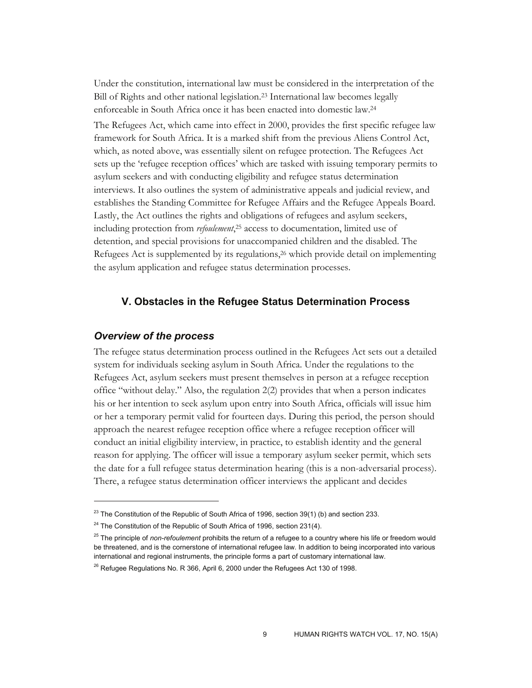Under the constitution, international law must be considered in the interpretation of the Bill of Rights and other national legislation.23 International law becomes legally enforceable in South Africa once it has been enacted into domestic law.24 The Refugees Act, which came into effect in 2000, provides the first specific refugee law framework for South Africa. It is a marked shift from the previous Aliens Control Act, which, as noted above, was essentially silent on refugee protection. The Refugees Act sets up the 'refugee reception offices' which are tasked with issuing temporary permits to asylum seekers and with conducting eligibility and refugee status determination interviews. It also outlines the system of administrative appeals and judicial review, and establishes the Standing Committee for Refugee Affairs and the Refugee Appeals Board. Lastly, the Act outlines the rights and obligations of refugees and asylum seekers, including protection from *refoulement*, 25 access to documentation, limited use of detention, and special provisions for unaccompanied children and the disabled. The Refugees Act is supplemented by its regulations,26 which provide detail on implementing the asylum application and refugee status determination processes.

# **V. Obstacles in the Refugee Status Determination Process**

#### *Overview of the process*

 $\overline{a}$ 

The refugee status determination process outlined in the Refugees Act sets out a detailed system for individuals seeking asylum in South Africa. Under the regulations to the Refugees Act, asylum seekers must present themselves in person at a refugee reception office "without delay." Also, the regulation 2(2) provides that when a person indicates his or her intention to seek asylum upon entry into South Africa, officials will issue him or her a temporary permit valid for fourteen days. During this period, the person should approach the nearest refugee reception office where a refugee reception officer will conduct an initial eligibility interview, in practice, to establish identity and the general reason for applying. The officer will issue a temporary asylum seeker permit, which sets the date for a full refugee status determination hearing (this is a non-adversarial process). There, a refugee status determination officer interviews the applicant and decides

 $23$  The Constitution of the Republic of South Africa of 1996, section 39(1) (b) and section 233.

 $24$  The Constitution of the Republic of South Africa of 1996, section 231(4).

<sup>25</sup> The principle of *non-refoulement* prohibits the return of a refugee to a country where his life or freedom would be threatened, and is the cornerstone of international refugee law. In addition to being incorporated into various international and regional instruments, the principle forms a part of customary international law.

 $26$  Refugee Regulations No. R 366, April 6, 2000 under the Refugees Act 130 of 1998.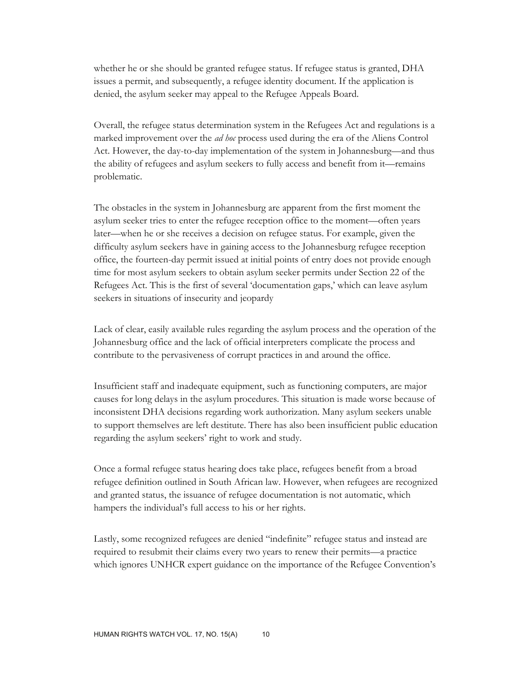whether he or she should be granted refugee status. If refugee status is granted, DHA issues a permit, and subsequently, a refugee identity document. If the application is denied, the asylum seeker may appeal to the Refugee Appeals Board.

Overall, the refugee status determination system in the Refugees Act and regulations is a marked improvement over the *ad hoc* process used during the era of the Aliens Control Act. However, the day-to-day implementation of the system in Johannesburg—and thus the ability of refugees and asylum seekers to fully access and benefit from it—remains problematic.

The obstacles in the system in Johannesburg are apparent from the first moment the asylum seeker tries to enter the refugee reception office to the moment—often years later—when he or she receives a decision on refugee status. For example, given the difficulty asylum seekers have in gaining access to the Johannesburg refugee reception office, the fourteen-day permit issued at initial points of entry does not provide enough time for most asylum seekers to obtain asylum seeker permits under Section 22 of the Refugees Act. This is the first of several 'documentation gaps,' which can leave asylum seekers in situations of insecurity and jeopardy

Lack of clear, easily available rules regarding the asylum process and the operation of the Johannesburg office and the lack of official interpreters complicate the process and contribute to the pervasiveness of corrupt practices in and around the office.

Insufficient staff and inadequate equipment, such as functioning computers, are major causes for long delays in the asylum procedures. This situation is made worse because of inconsistent DHA decisions regarding work authorization. Many asylum seekers unable to support themselves are left destitute. There has also been insufficient public education regarding the asylum seekers' right to work and study.

Once a formal refugee status hearing does take place, refugees benefit from a broad refugee definition outlined in South African law. However, when refugees are recognized and granted status, the issuance of refugee documentation is not automatic, which hampers the individual's full access to his or her rights.

Lastly, some recognized refugees are denied "indefinite" refugee status and instead are required to resubmit their claims every two years to renew their permits—a practice which ignores UNHCR expert guidance on the importance of the Refugee Convention's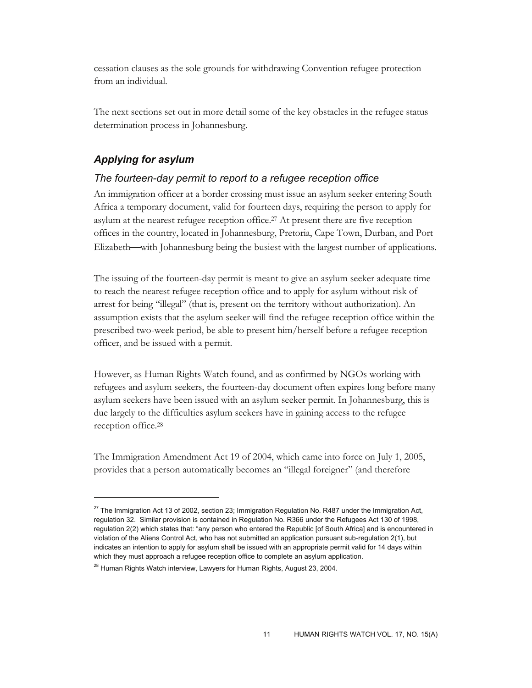cessation clauses as the sole grounds for withdrawing Convention refugee protection from an individual.

The next sections set out in more detail some of the key obstacles in the refugee status determination process in Johannesburg.

# *Applying for asylum*

-

# *The fourteen-day permit to report to a refugee reception office*

An immigration officer at a border crossing must issue an asylum seeker entering South Africa a temporary document, valid for fourteen days, requiring the person to apply for asylum at the nearest refugee reception office.27 At present there are five reception offices in the country, located in Johannesburg, Pretoria, Cape Town, Durban, and Port Elizabeth—with Johannesburg being the busiest with the largest number of applications.

The issuing of the fourteen-day permit is meant to give an asylum seeker adequate time to reach the nearest refugee reception office and to apply for asylum without risk of arrest for being "illegal" (that is, present on the territory without authorization). An assumption exists that the asylum seeker will find the refugee reception office within the prescribed two-week period, be able to present him/herself before a refugee reception officer, and be issued with a permit.

However, as Human Rights Watch found, and as confirmed by NGOs working with refugees and asylum seekers, the fourteen-day document often expires long before many asylum seekers have been issued with an asylum seeker permit. In Johannesburg, this is due largely to the difficulties asylum seekers have in gaining access to the refugee reception office.28

The Immigration Amendment Act 19 of 2004, which came into force on July 1, 2005, provides that a person automatically becomes an "illegal foreigner" (and therefore

 $^{27}$  The Immigration Act 13 of 2002, section 23; Immigration Regulation No. R487 under the Immigration Act, regulation 32. Similar provision is contained in Regulation No. R366 under the Refugees Act 130 of 1998, regulation 2(2) which states that: "any person who entered the Republic [of South Africa] and is encountered in violation of the Aliens Control Act, who has not submitted an application pursuant sub-regulation 2(1), but indicates an intention to apply for asylum shall be issued with an appropriate permit valid for 14 days within which they must approach a refugee reception office to complete an asylum application.

<sup>&</sup>lt;sup>28</sup> Human Rights Watch interview, Lawyers for Human Rights, August 23, 2004.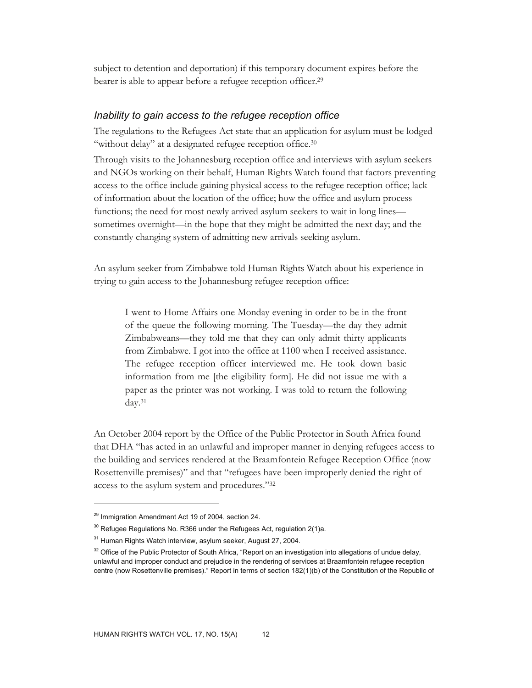subject to detention and deportation) if this temporary document expires before the bearer is able to appear before a refugee reception officer.<sup>29</sup>

# *Inability to gain access to the refugee reception office*

The regulations to the Refugees Act state that an application for asylum must be lodged "without delay" at a designated refugee reception office.<sup>30</sup>

Through visits to the Johannesburg reception office and interviews with asylum seekers and NGOs working on their behalf, Human Rights Watch found that factors preventing access to the office include gaining physical access to the refugee reception office; lack of information about the location of the office; how the office and asylum process functions; the need for most newly arrived asylum seekers to wait in long lines sometimes overnight—in the hope that they might be admitted the next day; and the constantly changing system of admitting new arrivals seeking asylum.

An asylum seeker from Zimbabwe told Human Rights Watch about his experience in trying to gain access to the Johannesburg refugee reception office:

I went to Home Affairs one Monday evening in order to be in the front of the queue the following morning. The Tuesday—the day they admit Zimbabweans—they told me that they can only admit thirty applicants from Zimbabwe. I got into the office at 1100 when I received assistance. The refugee reception officer interviewed me. He took down basic information from me [the eligibility form]. He did not issue me with a paper as the printer was not working. I was told to return the following day.31

An October 2004 report by the Office of the Public Protector in South Africa found that DHA "has acted in an unlawful and improper manner in denying refugees access to the building and services rendered at the Braamfontein Refugee Reception Office (now Rosettenville premises)" and that "refugees have been improperly denied the right of access to the asylum system and procedures."32

<sup>&</sup>lt;sup>29</sup> Immigration Amendment Act 19 of 2004, section 24.

 $30$  Refugee Regulations No. R366 under the Refugees Act, regulation 2(1)a.

<sup>&</sup>lt;sup>31</sup> Human Rights Watch interview, asylum seeker, August 27, 2004.

 $32$  Office of the Public Protector of South Africa, "Report on an investigation into allegations of undue delay, unlawful and improper conduct and prejudice in the rendering of services at Braamfontein refugee reception centre (now Rosettenville premises)." Report in terms of section 182(1)(b) of the Constitution of the Republic of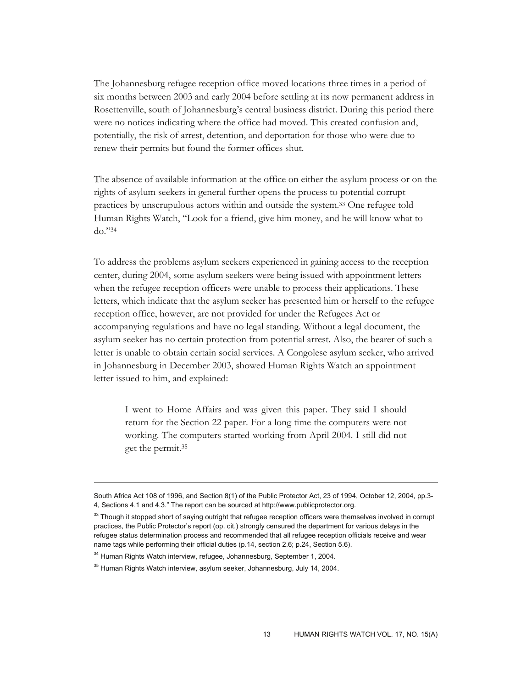The Johannesburg refugee reception office moved locations three times in a period of six months between 2003 and early 2004 before settling at its now permanent address in Rosettenville, south of Johannesburg's central business district. During this period there were no notices indicating where the office had moved. This created confusion and, potentially, the risk of arrest, detention, and deportation for those who were due to renew their permits but found the former offices shut.

The absence of available information at the office on either the asylum process or on the rights of asylum seekers in general further opens the process to potential corrupt practices by unscrupulous actors within and outside the system.33 One refugee told Human Rights Watch, "Look for a friend, give him money, and he will know what to do."34

To address the problems asylum seekers experienced in gaining access to the reception center, during 2004, some asylum seekers were being issued with appointment letters when the refugee reception officers were unable to process their applications. These letters, which indicate that the asylum seeker has presented him or herself to the refugee reception office, however, are not provided for under the Refugees Act or accompanying regulations and have no legal standing. Without a legal document, the asylum seeker has no certain protection from potential arrest. Also, the bearer of such a letter is unable to obtain certain social services. A Congolese asylum seeker, who arrived in Johannesburg in December 2003, showed Human Rights Watch an appointment letter issued to him, and explained:

I went to Home Affairs and was given this paper. They said I should return for the Section 22 paper. For a long time the computers were not working. The computers started working from April 2004. I still did not get the permit.35

South Africa Act 108 of 1996, and Section 8(1) of the Public Protector Act, 23 of 1994, October 12, 2004, pp.3- 4, Sections 4.1 and 4.3." The report can be sourced at http://www.publicprotector.org.

 $33$  Though it stopped short of saying outright that refugee reception officers were themselves involved in corrupt practices, the Public Protector's report (op. cit.) strongly censured the department for various delays in the refugee status determination process and recommended that all refugee reception officials receive and wear name tags while performing their official duties (p.14, section 2.6; p.24, Section 5.6).

<sup>&</sup>lt;sup>34</sup> Human Rights Watch interview, refugee, Johannesburg, September 1, 2004.

 $35$  Human Rights Watch interview, asylum seeker, Johannesburg, July 14, 2004.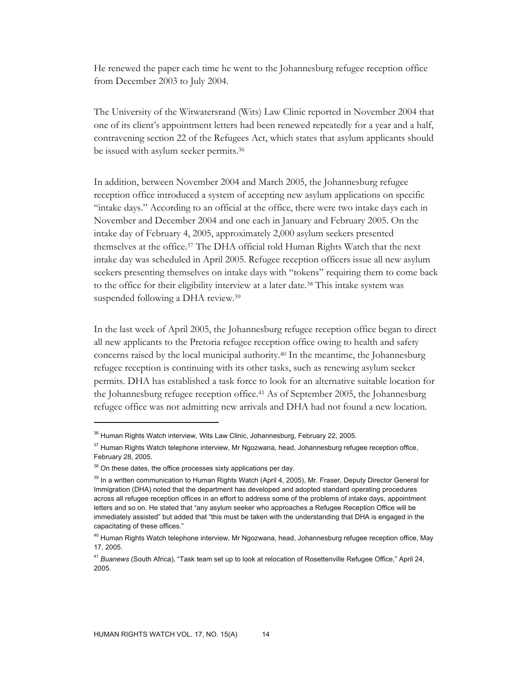He renewed the paper each time he went to the Johannesburg refugee reception office from December 2003 to July 2004.

The University of the Witwatersrand (Wits) Law Clinic reported in November 2004 that one of its client's appointment letters had been renewed repeatedly for a year and a half, contravening section 22 of the Refugees Act, which states that asylum applicants should be issued with asylum seeker permits.36

In addition, between November 2004 and March 2005, the Johannesburg refugee reception office introduced a system of accepting new asylum applications on specific "intake days." According to an official at the office, there were two intake days each in November and December 2004 and one each in January and February 2005. On the intake day of February 4, 2005, approximately 2,000 asylum seekers presented themselves at the office.37 The DHA official told Human Rights Watch that the next intake day was scheduled in April 2005. Refugee reception officers issue all new asylum seekers presenting themselves on intake days with "tokens" requiring them to come back to the office for their eligibility interview at a later date.<sup>38</sup> This intake system was suspended following a DHA review.<sup>39</sup>

In the last week of April 2005, the Johannesburg refugee reception office began to direct all new applicants to the Pretoria refugee reception office owing to health and safety concerns raised by the local municipal authority.40 In the meantime, the Johannesburg refugee reception is continuing with its other tasks, such as renewing asylum seeker permits. DHA has established a task force to look for an alternative suitable location for the Johannesburg refugee reception office.41 As of September 2005, the Johannesburg refugee office was not admitting new arrivals and DHA had not found a new location.

<sup>&</sup>lt;sup>36</sup> Human Rights Watch interview, Wits Law Clinic, Johannesburg, February 22, 2005.

<sup>&</sup>lt;sup>37</sup> Human Rights Watch telephone interview, Mr Ngozwana, head, Johannesburg refugee reception office, February 28, 2005.

<sup>&</sup>lt;sup>38</sup> On these dates, the office processes sixty applications per day.

<sup>&</sup>lt;sup>39</sup> In a written communication to Human Rights Watch (April 4, 2005), Mr. Fraser, Deputy Director General for Immigration (DHA) noted that the department has developed and adopted standard operating procedures across all refugee reception offices in an effort to address some of the problems of intake days, appointment letters and so on. He stated that "any asylum seeker who approaches a Refugee Reception Office will be immediately assisted" but added that "this must be taken with the understanding that DHA is engaged in the capacitating of these offices."

<sup>&</sup>lt;sup>40</sup> Human Rights Watch telephone interview, Mr Ngozwana, head, Johannesburg refugee reception office, May 17, 2005.

<sup>41</sup> *Buanews* (South Africa), "Task team set up to look at relocation of Rosettenville Refugee Office," April 24, 2005.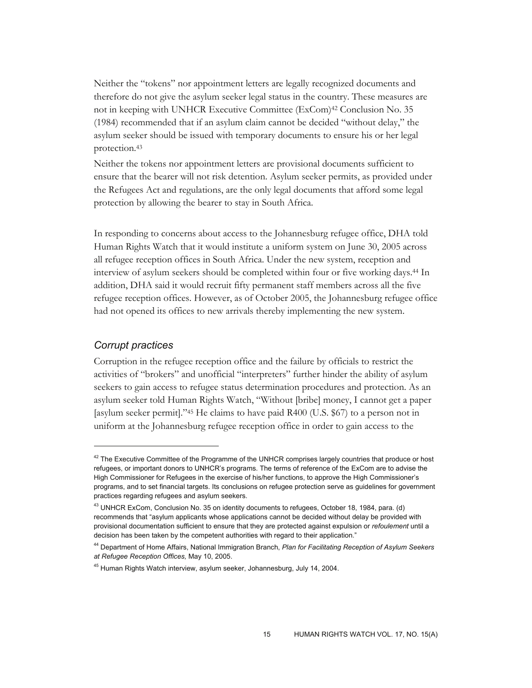Neither the "tokens" nor appointment letters are legally recognized documents and therefore do not give the asylum seeker legal status in the country. These measures are not in keeping with UNHCR Executive Committee (ExCom)42 Conclusion No. 35 (1984) recommended that if an asylum claim cannot be decided "without delay," the asylum seeker should be issued with temporary documents to ensure his or her legal protection.43

Neither the tokens nor appointment letters are provisional documents sufficient to ensure that the bearer will not risk detention. Asylum seeker permits, as provided under the Refugees Act and regulations, are the only legal documents that afford some legal protection by allowing the bearer to stay in South Africa.

In responding to concerns about access to the Johannesburg refugee office, DHA told Human Rights Watch that it would institute a uniform system on June 30, 2005 across all refugee reception offices in South Africa. Under the new system, reception and interview of asylum seekers should be completed within four or five working days.44 In addition, DHA said it would recruit fifty permanent staff members across all the five refugee reception offices. However, as of October 2005, the Johannesburg refugee office had not opened its offices to new arrivals thereby implementing the new system.

# *Corrupt practices*

 $\overline{a}$ 

Corruption in the refugee reception office and the failure by officials to restrict the activities of "brokers" and unofficial "interpreters" further hinder the ability of asylum seekers to gain access to refugee status determination procedures and protection. As an asylum seeker told Human Rights Watch, "Without [bribe] money, I cannot get a paper [asylum seeker permit]."45 He claims to have paid R400 (U.S. \$67) to a person not in uniform at the Johannesburg refugee reception office in order to gain access to the

<sup>&</sup>lt;sup>42</sup> The Executive Committee of the Programme of the UNHCR comprises largely countries that produce or host refugees, or important donors to UNHCR's programs. The terms of reference of the ExCom are to advise the High Commissioner for Refugees in the exercise of his/her functions, to approve the High Commissioner's programs, and to set financial targets. Its conclusions on refugee protection serve as guidelines for government practices regarding refugees and asylum seekers.

<sup>43</sup> UNHCR ExCom, Conclusion No. 35 on identity documents to refugees, October 18, 1984, para. (d) recommends that "asylum applicants whose applications cannot be decided without delay be provided with provisional documentation sufficient to ensure that they are protected against expulsion or *refoulement* until a decision has been taken by the competent authorities with regard to their application."

<sup>44</sup> Department of Home Affairs, National Immigration Branch, *Plan for Facilitating Reception of Asylum Seekers at Refugee Reception Offices,* May 10, 2005.

<sup>45</sup> Human Rights Watch interview, asylum seeker, Johannesburg, July 14, 2004.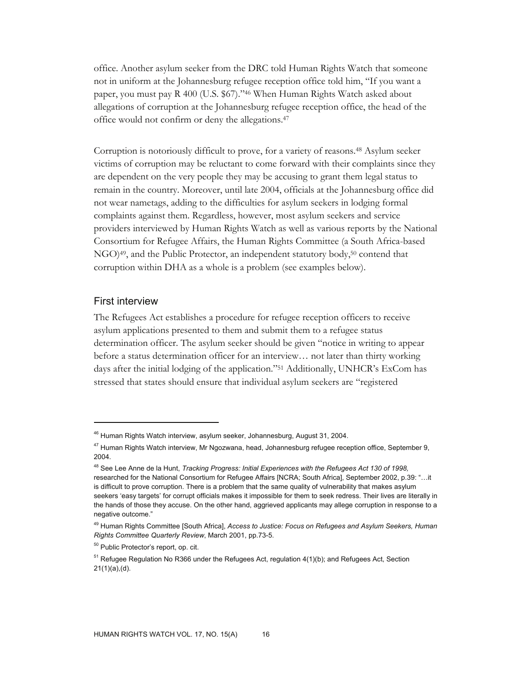office. Another asylum seeker from the DRC told Human Rights Watch that someone not in uniform at the Johannesburg refugee reception office told him, "If you want a paper, you must pay R 400 (U.S. \$67)."46 When Human Rights Watch asked about allegations of corruption at the Johannesburg refugee reception office, the head of the office would not confirm or deny the allegations.47

Corruption is notoriously difficult to prove, for a variety of reasons.48 Asylum seeker victims of corruption may be reluctant to come forward with their complaints since they are dependent on the very people they may be accusing to grant them legal status to remain in the country. Moreover, until late 2004, officials at the Johannesburg office did not wear nametags, adding to the difficulties for asylum seekers in lodging formal complaints against them. Regardless, however, most asylum seekers and service providers interviewed by Human Rights Watch as well as various reports by the National Consortium for Refugee Affairs, the Human Rights Committee (a South Africa-based NGO)49, and the Public Protector, an independent statutory body,50 contend that corruption within DHA as a whole is a problem (see examples below).

### First interview

-

The Refugees Act establishes a procedure for refugee reception officers to receive asylum applications presented to them and submit them to a refugee status determination officer. The asylum seeker should be given "notice in writing to appear before a status determination officer for an interview… not later than thirty working days after the initial lodging of the application."51 Additionally, UNHCR's ExCom has stressed that states should ensure that individual asylum seekers are "registered

<sup>&</sup>lt;sup>46</sup> Human Rights Watch interview, asylum seeker, Johannesburg, August 31, 2004.

<sup>&</sup>lt;sup>47</sup> Human Rights Watch interview, Mr Ngozwana, head, Johannesburg refugee reception office, September 9, 2004.

<sup>48</sup> See Lee Anne de la Hunt, *Tracking Progress: Initial Experiences with the Refugees Act 130 of 1998,*  researched for the National Consortium for Refugee Affairs [NCRA; South Africa], September 2002, p.39: "…it is difficult to prove corruption. There is a problem that the same quality of vulnerability that makes asylum seekers 'easy targets' for corrupt officials makes it impossible for them to seek redress. Their lives are literally in the hands of those they accuse. On the other hand, aggrieved applicants may allege corruption in response to a negative outcome."

<sup>49</sup> Human Rights Committee [South Africa], *Access to Justice: Focus on Refugees and Asylum Seekers, Human Rights Committee Quarterly Review*, March 2001, pp.73-5.

<sup>50</sup> Public Protector's report, op. cit.

<sup>&</sup>lt;sup>51</sup> Refugee Regulation No R366 under the Refugees Act, regulation 4(1)(b); and Refugees Act, Section 21(1)(a),(d).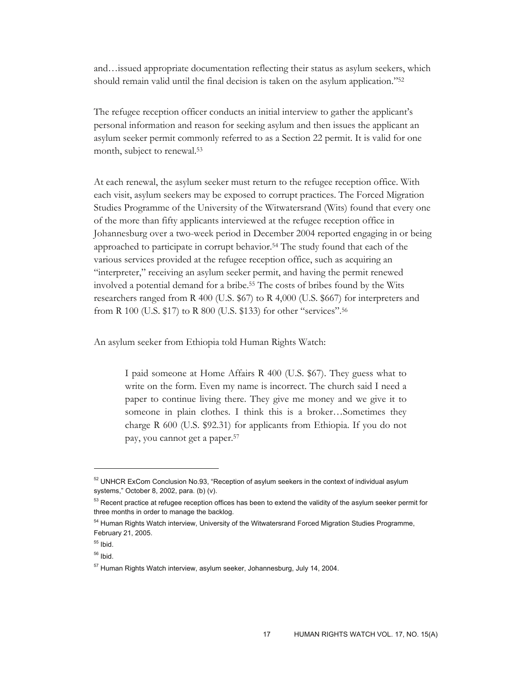and…issued appropriate documentation reflecting their status as asylum seekers, which should remain valid until the final decision is taken on the asylum application."52

The refugee reception officer conducts an initial interview to gather the applicant's personal information and reason for seeking asylum and then issues the applicant an asylum seeker permit commonly referred to as a Section 22 permit. It is valid for one month, subject to renewal.53

At each renewal, the asylum seeker must return to the refugee reception office. With each visit, asylum seekers may be exposed to corrupt practices. The Forced Migration Studies Programme of the University of the Witwatersrand (Wits) found that every one of the more than fifty applicants interviewed at the refugee reception office in Johannesburg over a two-week period in December 2004 reported engaging in or being approached to participate in corrupt behavior.54 The study found that each of the various services provided at the refugee reception office, such as acquiring an "interpreter," receiving an asylum seeker permit, and having the permit renewed involved a potential demand for a bribe.55 The costs of bribes found by the Wits researchers ranged from R 400 (U.S. \$67) to R 4,000 (U.S. \$667) for interpreters and from R 100 (U.S. \$17) to R 800 (U.S. \$133) for other "services".56

An asylum seeker from Ethiopia told Human Rights Watch:

I paid someone at Home Affairs R 400 (U.S. \$67). They guess what to write on the form. Even my name is incorrect. The church said I need a paper to continue living there. They give me money and we give it to someone in plain clothes. I think this is a broker…Sometimes they charge R 600 (U.S. \$92.31) for applicants from Ethiopia. If you do not pay, you cannot get a paper.57

 $52$  UNHCR ExCom Conclusion No.93, "Reception of asylum seekers in the context of individual asylum systems," October 8, 2002, para. (b) (v).

<sup>&</sup>lt;sup>53</sup> Recent practice at refugee reception offices has been to extend the validity of the asylum seeker permit for three months in order to manage the backlog.

<sup>&</sup>lt;sup>54</sup> Human Rights Watch interview, University of the Witwatersrand Forced Migration Studies Programme, February 21, 2005.

 $55$  Ibid.

 $56$  Ibid.

<sup>57</sup> Human Rights Watch interview, asylum seeker, Johannesburg, July 14, 2004.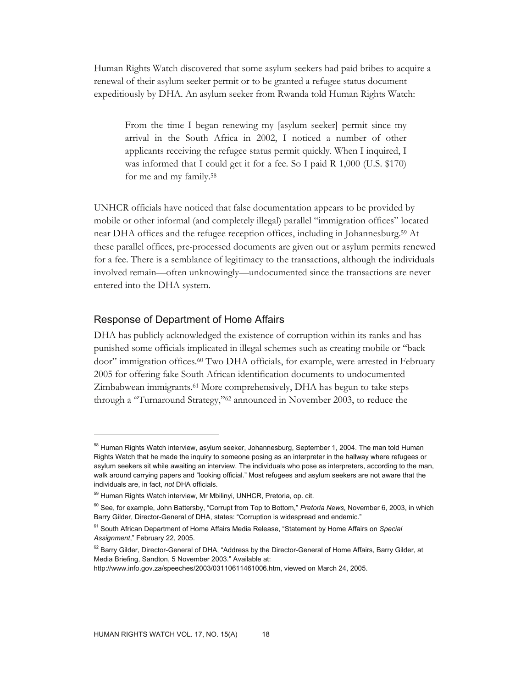Human Rights Watch discovered that some asylum seekers had paid bribes to acquire a renewal of their asylum seeker permit or to be granted a refugee status document expeditiously by DHA. An asylum seeker from Rwanda told Human Rights Watch:

From the time I began renewing my [asylum seeker] permit since my arrival in the South Africa in 2002, I noticed a number of other applicants receiving the refugee status permit quickly. When I inquired, I was informed that I could get it for a fee. So I paid R 1,000 (U.S. \$170) for me and my family.58

UNHCR officials have noticed that false documentation appears to be provided by mobile or other informal (and completely illegal) parallel "immigration offices" located near DHA offices and the refugee reception offices, including in Johannesburg.59 At these parallel offices, pre-processed documents are given out or asylum permits renewed for a fee. There is a semblance of legitimacy to the transactions, although the individuals involved remain—often unknowingly—undocumented since the transactions are never entered into the DHA system.

# Response of Department of Home Affairs

-

DHA has publicly acknowledged the existence of corruption within its ranks and has punished some officials implicated in illegal schemes such as creating mobile or "back door" immigration offices.60 Two DHA officials, for example, were arrested in February 2005 for offering fake South African identification documents to undocumented Zimbabwean immigrants.61 More comprehensively, DHA has begun to take steps through a "Turnaround Strategy,"62 announced in November 2003, to reduce the

<sup>&</sup>lt;sup>58</sup> Human Rights Watch interview, asylum seeker, Johannesburg, September 1, 2004. The man told Human Rights Watch that he made the inquiry to someone posing as an interpreter in the hallway where refugees or asylum seekers sit while awaiting an interview. The individuals who pose as interpreters, according to the man, walk around carrying papers and "looking official." Most refugees and asylum seekers are not aware that the individuals are, in fact, *not* DHA officials.

<sup>&</sup>lt;sup>59</sup> Human Rights Watch interview, Mr Mbilinyi, UNHCR, Pretoria, op. cit.

<sup>60</sup> See, for example, John Battersby, "Corrupt from Top to Bottom," *Pretoria News*, November 6, 2003, in which Barry Gilder, Director-General of DHA, states: "Corruption is widespread and endemic."

<sup>61</sup> South African Department of Home Affairs Media Release, "Statement by Home Affairs on *Special Assignment*," February 22, 2005.

<sup>&</sup>lt;sup>62</sup> Barry Gilder, Director-General of DHA, "Address by the Director-General of Home Affairs, Barry Gilder, at Media Briefing, Sandton, 5 November 2003." Available at:

http://www.info.gov.za/speeches/2003/03110611461006.htm, viewed on March 24, 2005.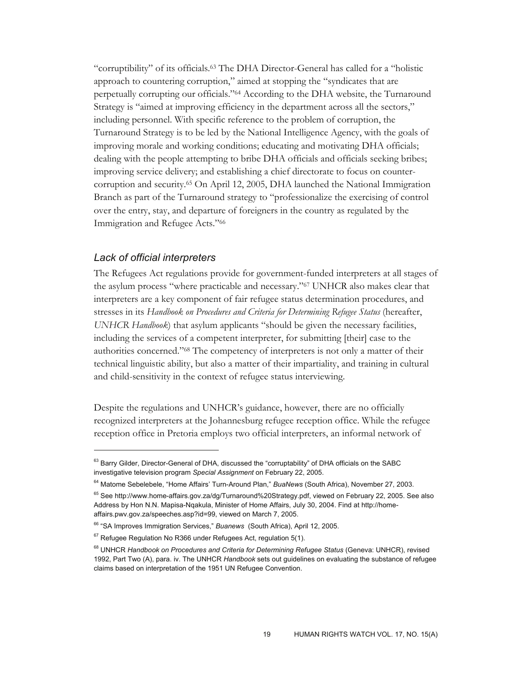"corruptibility" of its officials.63 The DHA Director-General has called for a "holistic approach to countering corruption," aimed at stopping the "syndicates that are perpetually corrupting our officials."64 According to the DHA website, the Turnaround Strategy is "aimed at improving efficiency in the department across all the sectors," including personnel. With specific reference to the problem of corruption, the Turnaround Strategy is to be led by the National Intelligence Agency, with the goals of improving morale and working conditions; educating and motivating DHA officials; dealing with the people attempting to bribe DHA officials and officials seeking bribes; improving service delivery; and establishing a chief directorate to focus on countercorruption and security.65 On April 12, 2005, DHA launched the National Immigration Branch as part of the Turnaround strategy to "professionalize the exercising of control over the entry, stay, and departure of foreigners in the country as regulated by the Immigration and Refugee Acts."66

### *Lack of official interpreters*

-

The Refugees Act regulations provide for government-funded interpreters at all stages of the asylum process "where practicable and necessary."67 UNHCR also makes clear that interpreters are a key component of fair refugee status determination procedures, and stresses in its *Handbook on Procedures and Criteria for Determining Refugee Status* (hereafter, *UNHCR Handbook*) that asylum applicants "should be given the necessary facilities, including the services of a competent interpreter, for submitting [their] case to the authorities concerned."68 The competency of interpreters is not only a matter of their technical linguistic ability, but also a matter of their impartiality, and training in cultural and child-sensitivity in the context of refugee status interviewing.

Despite the regulations and UNHCR's guidance, however, there are no officially recognized interpreters at the Johannesburg refugee reception office. While the refugee reception office in Pretoria employs two official interpreters, an informal network of

<sup>&</sup>lt;sup>63</sup> Barry Gilder, Director-General of DHA, discussed the "corruptability" of DHA officials on the SABC investigative television program *Special Assignment* on February 22, 2005.

<sup>64</sup> Matome Sebelebele, "Home Affairs' Turn-Around Plan," *BuaNews* (South Africa), November 27, 2003.

<sup>65</sup> See http://www.home-affairs.gov.za/dg/Turnaround%20Strategy.pdf, viewed on February 22, 2005. See also Address by Hon N.N. Mapisa-Nqakula, Minister of Home Affairs, July 30, 2004. Find at http://homeaffairs.pwv.gov.za/speeches.asp?id=99, viewed on March 7, 2005.

<sup>66</sup> "SA Improves Immigration Services," *Buanews* (South Africa), April 12, 2005.

 $67$  Refugee Regulation No R366 under Refugees Act, regulation 5(1).

<sup>&</sup>lt;sup>68</sup> UNHCR Handbook on Procedures and Criteria for Determining Refugee Status (Geneva: UNHCR), revised 1992, Part Two (A), para. iv. The UNHCR *Handbook* sets out guidelines on evaluating the substance of refugee claims based on interpretation of the 1951 UN Refugee Convention.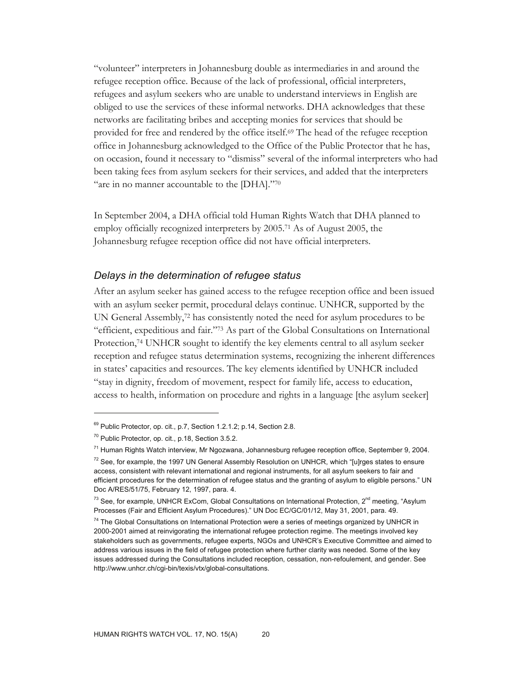"volunteer" interpreters in Johannesburg double as intermediaries in and around the refugee reception office. Because of the lack of professional, official interpreters, refugees and asylum seekers who are unable to understand interviews in English are obliged to use the services of these informal networks. DHA acknowledges that these networks are facilitating bribes and accepting monies for services that should be provided for free and rendered by the office itself.69 The head of the refugee reception office in Johannesburg acknowledged to the Office of the Public Protector that he has, on occasion, found it necessary to "dismiss" several of the informal interpreters who had been taking fees from asylum seekers for their services, and added that the interpreters "are in no manner accountable to the [DHA]."70

In September 2004, a DHA official told Human Rights Watch that DHA planned to employ officially recognized interpreters by 2005.71 As of August 2005, the Johannesburg refugee reception office did not have official interpreters.

### *Delays in the determination of refugee status*

After an asylum seeker has gained access to the refugee reception office and been issued with an asylum seeker permit, procedural delays continue. UNHCR, supported by the UN General Assembly,72 has consistently noted the need for asylum procedures to be "efficient, expeditious and fair."73 As part of the Global Consultations on International Protection,74 UNHCR sought to identify the key elements central to all asylum seeker reception and refugee status determination systems, recognizing the inherent differences in states' capacities and resources. The key elements identified by UNHCR included "stay in dignity, freedom of movement, respect for family life, access to education, access to health, information on procedure and rights in a language [the asylum seeker]

<sup>&</sup>lt;sup>69</sup> Public Protector, op. cit., p.7, Section 1.2.1.2; p.14, Section 2.8.

<sup>70</sup> Public Protector, op. cit., p.18, Section 3.5.2.

<sup>71</sup> Human Rights Watch interview, Mr Ngozwana, Johannesburg refugee reception office, September 9, 2004.

 $72$  See, for example, the 1997 UN General Assembly Resolution on UNHCR, which "[u]rges states to ensure access, consistent with relevant international and regional instruments, for all asylum seekers to fair and efficient procedures for the determination of refugee status and the granting of asylum to eligible persons." UN Doc A/RES/51/75, February 12, 1997, para. 4.

 $^{73}$  See, for example, UNHCR ExCom, Global Consultations on International Protection,  $2^{nd}$  meeting, "Asylum Processes (Fair and Efficient Asylum Procedures)." UN Doc EC/GC/01/12, May 31, 2001, para. 49.

 $74$  The Global Consultations on International Protection were a series of meetings organized by UNHCR in 2000-2001 aimed at reinvigorating the international refugee protection regime. The meetings involved key stakeholders such as governments, refugee experts, NGOs and UNHCR's Executive Committee and aimed to address various issues in the field of refugee protection where further clarity was needed. Some of the key issues addressed during the Consultations included reception, cessation, non-refoulement, and gender. See http://www.unhcr.ch/cgi-bin/texis/vtx/global-consultations.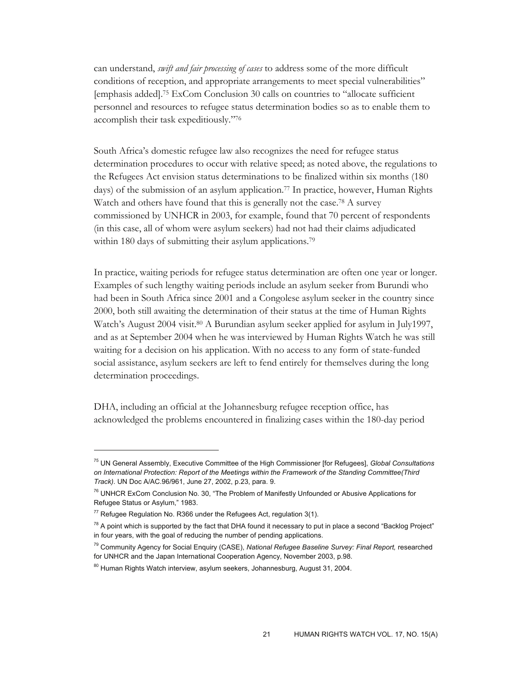can understand, *swift and fair processing of cases* to address some of the more difficult conditions of reception, and appropriate arrangements to meet special vulnerabilities" [emphasis added].75 ExCom Conclusion 30 calls on countries to "allocate sufficient personnel and resources to refugee status determination bodies so as to enable them to accomplish their task expeditiously."76

South Africa's domestic refugee law also recognizes the need for refugee status determination procedures to occur with relative speed; as noted above, the regulations to the Refugees Act envision status determinations to be finalized within six months (180 days) of the submission of an asylum application.77 In practice, however, Human Rights Watch and others have found that this is generally not the case.<sup>78</sup> A survey commissioned by UNHCR in 2003, for example, found that 70 percent of respondents (in this case, all of whom were asylum seekers) had not had their claims adjudicated within 180 days of submitting their asylum applications.<sup>79</sup>

In practice, waiting periods for refugee status determination are often one year or longer. Examples of such lengthy waiting periods include an asylum seeker from Burundi who had been in South Africa since 2001 and a Congolese asylum seeker in the country since 2000, both still awaiting the determination of their status at the time of Human Rights Watch's August 2004 visit.<sup>80</sup> A Burundian asylum seeker applied for asylum in July1997, and as at September 2004 when he was interviewed by Human Rights Watch he was still waiting for a decision on his application. With no access to any form of state-funded social assistance, asylum seekers are left to fend entirely for themselves during the long determination proceedings.

DHA, including an official at the Johannesburg refugee reception office, has acknowledged the problems encountered in finalizing cases within the 180-day period

<sup>75</sup> UN General Assembly, Executive Committee of the High Commissioner [for Refugees], *Global Consultations on International Protection: Report of the Meetings within the Framework of the Standing Committee(Third Track)*. UN Doc A/AC.96/961, June 27, 2002, p.23, para. 9.

<sup>&</sup>lt;sup>76</sup> UNHCR ExCom Conclusion No. 30, "The Problem of Manifestly Unfounded or Abusive Applications for Refugee Status or Asylum," 1983.

 $77$  Refugee Regulation No. R366 under the Refugees Act, regulation 3(1).

 $^{78}$  A point which is supported by the fact that DHA found it necessary to put in place a second "Backlog Project" in four years, with the goal of reducing the number of pending applications.

<sup>79</sup> Community Agency for Social Enquiry (CASE), *National Refugee Baseline Survey: Final Report,* researched for UNHCR and the Japan International Cooperation Agency, November 2003, p.98.

<sup>&</sup>lt;sup>80</sup> Human Rights Watch interview, asylum seekers, Johannesburg, August 31, 2004.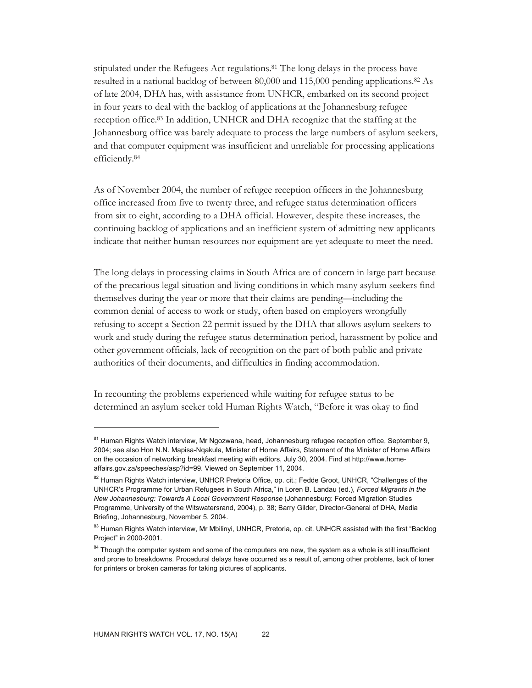stipulated under the Refugees Act regulations.81 The long delays in the process have resulted in a national backlog of between 80,000 and 115,000 pending applications.82 As of late 2004, DHA has, with assistance from UNHCR, embarked on its second project in four years to deal with the backlog of applications at the Johannesburg refugee reception office.83 In addition, UNHCR and DHA recognize that the staffing at the Johannesburg office was barely adequate to process the large numbers of asylum seekers, and that computer equipment was insufficient and unreliable for processing applications efficiently.84

As of November 2004, the number of refugee reception officers in the Johannesburg office increased from five to twenty three, and refugee status determination officers from six to eight, according to a DHA official. However, despite these increases, the continuing backlog of applications and an inefficient system of admitting new applicants indicate that neither human resources nor equipment are yet adequate to meet the need.

The long delays in processing claims in South Africa are of concern in large part because of the precarious legal situation and living conditions in which many asylum seekers find themselves during the year or more that their claims are pending—including the common denial of access to work or study, often based on employers wrongfully refusing to accept a Section 22 permit issued by the DHA that allows asylum seekers to work and study during the refugee status determination period, harassment by police and other government officials, lack of recognition on the part of both public and private authorities of their documents, and difficulties in finding accommodation.

In recounting the problems experienced while waiting for refugee status to be determined an asylum seeker told Human Rights Watch, "Before it was okay to find

<sup>&</sup>lt;sup>81</sup> Human Rights Watch interview, Mr Ngozwana, head, Johannesburg refugee reception office, September 9, 2004; see also Hon N.N. Mapisa-Nqakula, Minister of Home Affairs, Statement of the Minister of Home Affairs on the occasion of networking breakfast meeting with editors, July 30, 2004. Find at http://www.homeaffairs.gov.za/speeches/asp?id=99. Viewed on September 11, 2004.

<sup>&</sup>lt;sup>82</sup> Human Rights Watch interview, UNHCR Pretoria Office, op. cit.; Fedde Groot, UNHCR, "Challenges of the UNHCR's Programme for Urban Refugees in South Africa," in Loren B. Landau (ed.), *Forced Migrants in the New Johannesburg: Towards A Local Government Response* (Johannesburg: Forced Migration Studies Programme, University of the Witswatersrand, 2004), p. 38; Barry Gilder, Director-General of DHA, Media Briefing, Johannesburg, November 5, 2004.

<sup>83</sup> Human Rights Watch interview, Mr Mbilinyi, UNHCR, Pretoria, op. cit. UNHCR assisted with the first "Backlog Project" in 2000-2001.

<sup>&</sup>lt;sup>84</sup> Though the computer system and some of the computers are new, the system as a whole is still insufficient and prone to breakdowns. Procedural delays have occurred as a result of, among other problems, lack of toner for printers or broken cameras for taking pictures of applicants.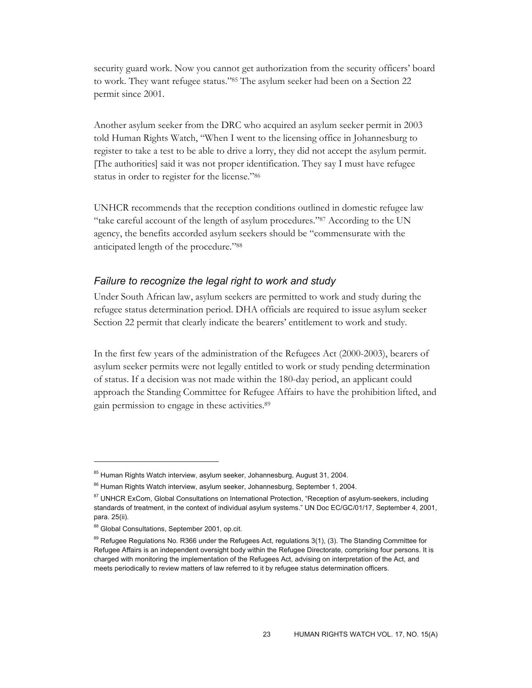security guard work. Now you cannot get authorization from the security officers' board to work. They want refugee status."85 The asylum seeker had been on a Section 22 permit since 2001.

Another asylum seeker from the DRC who acquired an asylum seeker permit in 2003 told Human Rights Watch, "When I went to the licensing office in Johannesburg to register to take a test to be able to drive a lorry, they did not accept the asylum permit. [The authorities] said it was not proper identification. They say I must have refugee status in order to register for the license."86

UNHCR recommends that the reception conditions outlined in domestic refugee law "take careful account of the length of asylum procedures."87 According to the UN agency, the benefits accorded asylum seekers should be "commensurate with the anticipated length of the procedure."88

# *Failure to recognize the legal right to work and study*

Under South African law, asylum seekers are permitted to work and study during the refugee status determination period. DHA officials are required to issue asylum seeker Section 22 permit that clearly indicate the bearers' entitlement to work and study.

In the first few years of the administration of the Refugees Act (2000-2003), bearers of asylum seeker permits were not legally entitled to work or study pending determination of status. If a decision was not made within the 180-day period, an applicant could approach the Standing Committee for Refugee Affairs to have the prohibition lifted, and gain permission to engage in these activities.89

<sup>&</sup>lt;sup>85</sup> Human Rights Watch interview, asylum seeker, Johannesburg, August 31, 2004.

<sup>86</sup> Human Rights Watch interview, asylum seeker, Johannesburg, September 1, 2004.

<sup>&</sup>lt;sup>87</sup> UNHCR ExCom, Global Consultations on International Protection, "Reception of asylum-seekers, including standards of treatment, in the context of individual asylum systems." UN Doc EC/GC/01/17, September 4, 2001, para. 25(ii).

<sup>88</sup> Global Consultations, September 2001, op.cit.

<sup>&</sup>lt;sup>89</sup> Refugee Regulations No. R366 under the Refugees Act, regulations 3(1), (3). The Standing Committee for Refugee Affairs is an independent oversight body within the Refugee Directorate, comprising four persons. It is charged with monitoring the implementation of the Refugees Act, advising on interpretation of the Act, and meets periodically to review matters of law referred to it by refugee status determination officers.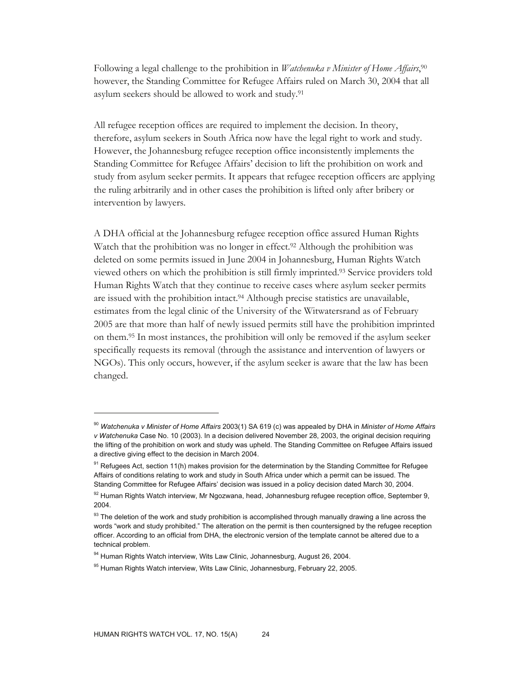Following a legal challenge to the prohibition in *Watchenuka v Minister of Home Affairs*, 90 however, the Standing Committee for Refugee Affairs ruled on March 30, 2004 that all asylum seekers should be allowed to work and study.91

All refugee reception offices are required to implement the decision. In theory, therefore, asylum seekers in South Africa now have the legal right to work and study. However, the Johannesburg refugee reception office inconsistently implements the Standing Committee for Refugee Affairs' decision to lift the prohibition on work and study from asylum seeker permits. It appears that refugee reception officers are applying the ruling arbitrarily and in other cases the prohibition is lifted only after bribery or intervention by lawyers.

A DHA official at the Johannesburg refugee reception office assured Human Rights Watch that the prohibition was no longer in effect.<sup>92</sup> Although the prohibition was deleted on some permits issued in June 2004 in Johannesburg, Human Rights Watch viewed others on which the prohibition is still firmly imprinted.93 Service providers told Human Rights Watch that they continue to receive cases where asylum seeker permits are issued with the prohibition intact.94 Although precise statistics are unavailable, estimates from the legal clinic of the University of the Witwatersrand as of February 2005 are that more than half of newly issued permits still have the prohibition imprinted on them.95 In most instances, the prohibition will only be removed if the asylum seeker specifically requests its removal (through the assistance and intervention of lawyers or NGOs). This only occurs, however, if the asylum seeker is aware that the law has been changed.

<sup>90</sup> *Watchenuka v Minister of Home Affairs* 2003(1) SA 619 (c) was appealed by DHA in *Minister of Home Affairs v Watchenuka* Case No. 10 (2003). In a decision delivered November 28, 2003, the original decision requiring the lifting of the prohibition on work and study was upheld. The Standing Committee on Refugee Affairs issued a directive giving effect to the decision in March 2004.

 $91$  Refugees Act, section 11(h) makes provision for the determination by the Standing Committee for Refugee Affairs of conditions relating to work and study in South Africa under which a permit can be issued. The Standing Committee for Refugee Affairs' decision was issued in a policy decision dated March 30, 2004.

<sup>92</sup> Human Rights Watch interview, Mr Ngozwana, head, Johannesburg refugee reception office, September 9, 2004.

 $93$  The deletion of the work and study prohibition is accomplished through manually drawing a line across the words "work and study prohibited." The alteration on the permit is then countersigned by the refugee reception officer. According to an official from DHA, the electronic version of the template cannot be altered due to a technical problem.

<sup>&</sup>lt;sup>94</sup> Human Rights Watch interview, Wits Law Clinic, Johannesburg, August 26, 2004.

<sup>&</sup>lt;sup>95</sup> Human Rights Watch interview, Wits Law Clinic, Johannesburg, February 22, 2005.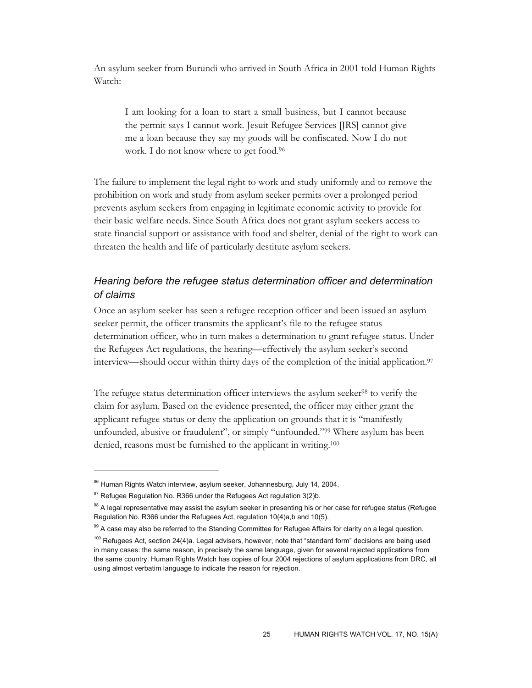An asylum seeker from Burundi who arrived in South Africa in 2001 told Human Rights Watch:

I am looking for a loan to start a small business, but I cannot because the permit says I cannot work. Jesuit Refugee Services [JRS] cannot give me a loan because they say my goods will be confiscated. Now I do not work. I do not know where to get food.96

The failure to implement the legal right to work and study uniformly and to remove the prohibition on work and study from asylum seeker permits over a prolonged period prevents asylum seekers from engaging in legitimate economic activity to provide for their basic welfare needs. Since South Africa does not grant asylum seekers access to state financial support or assistance with food and shelter, denial of the right to work can threaten the health and life of particularly destitute asylum seekers.

# *Hearing before the refugee status determination officer and determination of claims*

Once an asylum seeker has seen a refugee reception officer and been issued an asylum seeker permit, the officer transmits the applicant's file to the refugee status determination officer, who in turn makes a determination to grant refugee status. Under the Refugees Act regulations, the hearing—effectively the asylum seeker's second interview—should occur within thirty days of the completion of the initial application.97

The refugee status determination officer interviews the asylum seeker<sup>98</sup> to verify the claim for asylum. Based on the evidence presented, the officer may either grant the applicant refugee status or deny the application on grounds that it is "manifestly unfounded, abusive or fraudulent", or simply "unfounded."99 Where asylum has been denied, reasons must be furnished to the applicant in writing.<sup>100</sup>

<sup>96</sup> Human Rights Watch interview, asylum seeker, Johannesburg, July 14, 2004.

 $97$  Refugee Regulation No. R366 under the Refugees Act regulation 3(2)b.

 $98$  A legal representative may assist the asylum seeker in presenting his or her case for refugee status (Refugee Regulation No. R366 under the Refugees Act, regulation 10(4)a,b and 10(5).

<sup>99</sup> A case may also be referred to the Standing Committee for Refugee Affairs for clarity on a legal question.

 $100$  Refugees Act, section 24(4)a. Legal advisers, however, note that "standard form" decisions are being used in many cases: the same reason, in precisely the same language, given for several rejected applications from the same country. Human Rights Watch has copies of four 2004 rejections of asylum applications from DRC, all using almost verbatim language to indicate the reason for rejection.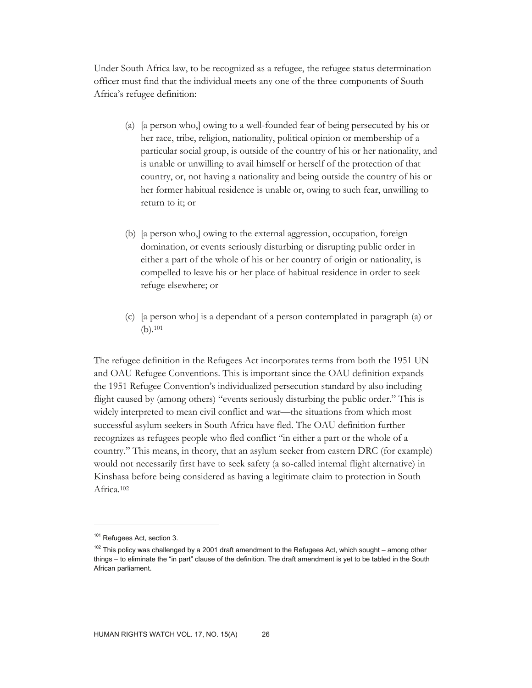Under South Africa law, to be recognized as a refugee, the refugee status determination officer must find that the individual meets any one of the three components of South Africa's refugee definition:

- (a) [a person who,] owing to a well-founded fear of being persecuted by his or her race, tribe, religion, nationality, political opinion or membership of a particular social group, is outside of the country of his or her nationality, and is unable or unwilling to avail himself or herself of the protection of that country, or, not having a nationality and being outside the country of his or her former habitual residence is unable or, owing to such fear, unwilling to return to it; or
- (b) [a person who,] owing to the external aggression, occupation, foreign domination, or events seriously disturbing or disrupting public order in either a part of the whole of his or her country of origin or nationality, is compelled to leave his or her place of habitual residence in order to seek refuge elsewhere; or
- (c) [a person who] is a dependant of a person contemplated in paragraph (a) or (b).101

The refugee definition in the Refugees Act incorporates terms from both the 1951 UN and OAU Refugee Conventions. This is important since the OAU definition expands the 1951 Refugee Convention's individualized persecution standard by also including flight caused by (among others) "events seriously disturbing the public order." This is widely interpreted to mean civil conflict and war—the situations from which most successful asylum seekers in South Africa have fled. The OAU definition further recognizes as refugees people who fled conflict "in either a part or the whole of a country." This means, in theory, that an asylum seeker from eastern DRC (for example) would not necessarily first have to seek safety (a so-called internal flight alternative) in Kinshasa before being considered as having a legitimate claim to protection in South Africa.102

<sup>101</sup> Refugees Act, section 3.

 $102$  This policy was challenged by a 2001 draft amendment to the Refugees Act, which sought – among other things – to eliminate the "in part" clause of the definition. The draft amendment is yet to be tabled in the South African parliament.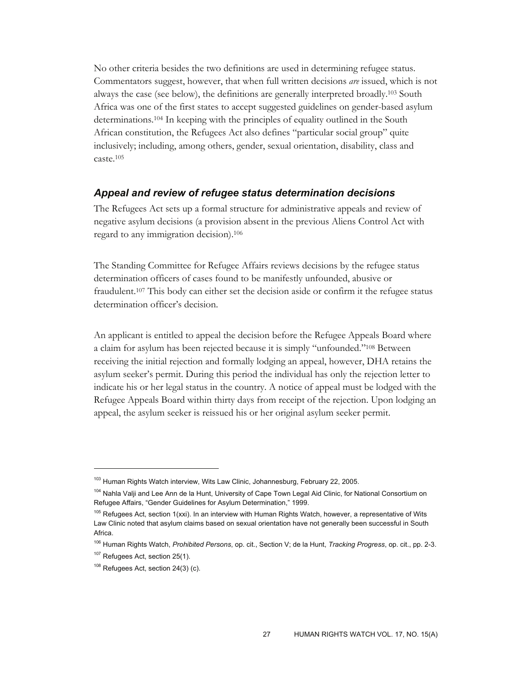No other criteria besides the two definitions are used in determining refugee status. Commentators suggest, however, that when full written decisions *are* issued, which is not always the case (see below), the definitions are generally interpreted broadly.103 South Africa was one of the first states to accept suggested guidelines on gender-based asylum determinations.104 In keeping with the principles of equality outlined in the South African constitution, the Refugees Act also defines "particular social group" quite inclusively; including, among others, gender, sexual orientation, disability, class and caste.105

### *Appeal and review of refugee status determination decisions*

The Refugees Act sets up a formal structure for administrative appeals and review of negative asylum decisions (a provision absent in the previous Aliens Control Act with regard to any immigration decision).106

The Standing Committee for Refugee Affairs reviews decisions by the refugee status determination officers of cases found to be manifestly unfounded, abusive or fraudulent.107 This body can either set the decision aside or confirm it the refugee status determination officer's decision.

An applicant is entitled to appeal the decision before the Refugee Appeals Board where a claim for asylum has been rejected because it is simply "unfounded."108 Between receiving the initial rejection and formally lodging an appeal, however, DHA retains the asylum seeker's permit. During this period the individual has only the rejection letter to indicate his or her legal status in the country. A notice of appeal must be lodged with the Refugee Appeals Board within thirty days from receipt of the rejection. Upon lodging an appeal, the asylum seeker is reissued his or her original asylum seeker permit.

<sup>&</sup>lt;sup>103</sup> Human Rights Watch interview, Wits Law Clinic, Johannesburg, February 22, 2005.

<sup>&</sup>lt;sup>104</sup> Nahla Valji and Lee Ann de la Hunt, University of Cape Town Legal Aid Clinic, for National Consortium on Refugee Affairs, "Gender Guidelines for Asylum Determination," 1999.

<sup>&</sup>lt;sup>105</sup> Refugees Act, section 1(xxi). In an interview with Human Rights Watch, however, a representative of Wits Law Clinic noted that asylum claims based on sexual orientation have not generally been successful in South Africa.

<sup>106</sup> Human Rights Watch, *Prohibited Persons*, op. cit., Section V; de la Hunt, *Tracking Progress*, op. cit., pp. 2-3.

<sup>&</sup>lt;sup>107</sup> Refugees Act, section 25(1).

 $108$  Refugees Act, section 24(3) (c).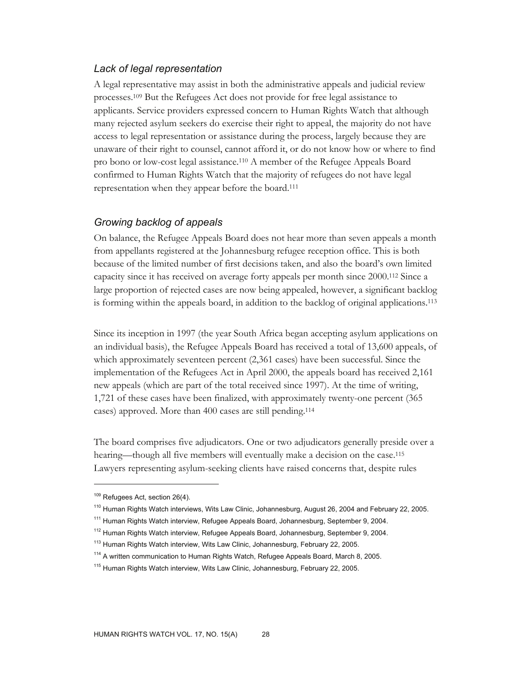# *Lack of legal representation*

A legal representative may assist in both the administrative appeals and judicial review processes.109 But the Refugees Act does not provide for free legal assistance to applicants. Service providers expressed concern to Human Rights Watch that although many rejected asylum seekers do exercise their right to appeal, the majority do not have access to legal representation or assistance during the process, largely because they are unaware of their right to counsel, cannot afford it, or do not know how or where to find pro bono or low-cost legal assistance.110 A member of the Refugee Appeals Board confirmed to Human Rights Watch that the majority of refugees do not have legal representation when they appear before the board.111

### *Growing backlog of appeals*

On balance, the Refugee Appeals Board does not hear more than seven appeals a month from appellants registered at the Johannesburg refugee reception office. This is both because of the limited number of first decisions taken, and also the board's own limited capacity since it has received on average forty appeals per month since 2000.112 Since a large proportion of rejected cases are now being appealed, however, a significant backlog is forming within the appeals board, in addition to the backlog of original applications.113

Since its inception in 1997 (the year South Africa began accepting asylum applications on an individual basis), the Refugee Appeals Board has received a total of 13,600 appeals, of which approximately seventeen percent (2,361 cases) have been successful. Since the implementation of the Refugees Act in April 2000, the appeals board has received 2,161 new appeals (which are part of the total received since 1997). At the time of writing, 1,721 of these cases have been finalized, with approximately twenty-one percent (365 cases) approved. More than 400 cases are still pending.114

The board comprises five adjudicators. One or two adjudicators generally preside over a hearing—though all five members will eventually make a decision on the case.<sup>115</sup> Lawyers representing asylum-seeking clients have raised concerns that, despite rules

<sup>&</sup>lt;sup>109</sup> Refugees Act, section 26(4).

<sup>&</sup>lt;sup>110</sup> Human Rights Watch interviews, Wits Law Clinic, Johannesburg, August 26, 2004 and February 22, 2005.

<sup>&</sup>lt;sup>111</sup> Human Rights Watch interview, Refugee Appeals Board, Johannesburg, September 9, 2004.

<sup>&</sup>lt;sup>112</sup> Human Rights Watch interview, Refugee Appeals Board, Johannesburg, September 9, 2004.

<sup>&</sup>lt;sup>113</sup> Human Rights Watch interview, Wits Law Clinic, Johannesburg, February 22, 2005.

<sup>&</sup>lt;sup>114</sup> A written communication to Human Rights Watch, Refugee Appeals Board, March 8, 2005.

<sup>&</sup>lt;sup>115</sup> Human Rights Watch interview, Wits Law Clinic, Johannesburg, February 22, 2005.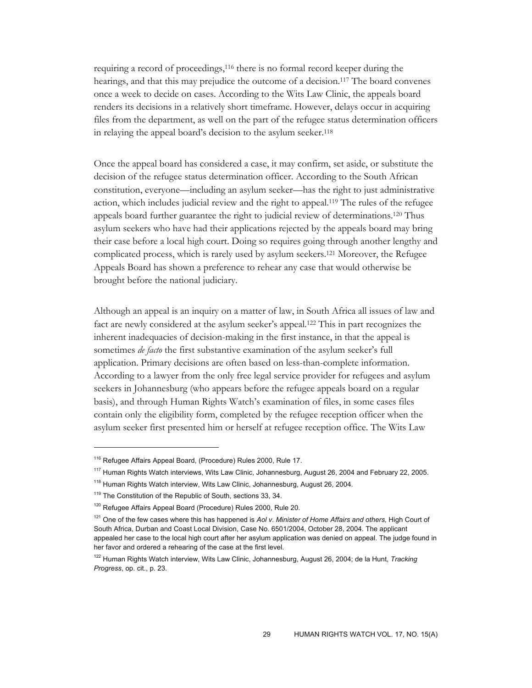requiring a record of proceedings,116 there is no formal record keeper during the hearings, and that this may prejudice the outcome of a decision.117 The board convenes once a week to decide on cases. According to the Wits Law Clinic, the appeals board renders its decisions in a relatively short timeframe. However, delays occur in acquiring files from the department, as well on the part of the refugee status determination officers in relaying the appeal board's decision to the asylum seeker.118

Once the appeal board has considered a case, it may confirm, set aside, or substitute the decision of the refugee status determination officer. According to the South African constitution, everyone—including an asylum seeker—has the right to just administrative action, which includes judicial review and the right to appeal.119 The rules of the refugee appeals board further guarantee the right to judicial review of determinations.<sup>120</sup> Thus asylum seekers who have had their applications rejected by the appeals board may bring their case before a local high court. Doing so requires going through another lengthy and complicated process, which is rarely used by asylum seekers.121 Moreover, the Refugee Appeals Board has shown a preference to rehear any case that would otherwise be brought before the national judiciary.

Although an appeal is an inquiry on a matter of law, in South Africa all issues of law and fact are newly considered at the asylum seeker's appeal.122 This in part recognizes the inherent inadequacies of decision-making in the first instance, in that the appeal is sometimes *de facto* the first substantive examination of the asylum seeker's full application. Primary decisions are often based on less-than-complete information. According to a lawyer from the only free legal service provider for refugees and asylum seekers in Johannesburg (who appears before the refugee appeals board on a regular basis), and through Human Rights Watch's examination of files, in some cases files contain only the eligibility form, completed by the refugee reception officer when the asylum seeker first presented him or herself at refugee reception office. The Wits Law

<sup>&</sup>lt;sup>116</sup> Refugee Affairs Appeal Board, (Procedure) Rules 2000, Rule 17.

<sup>&</sup>lt;sup>117</sup> Human Rights Watch interviews, Wits Law Clinic, Johannesburg, August 26, 2004 and February 22, 2005.

<sup>&</sup>lt;sup>118</sup> Human Rights Watch interview, Wits Law Clinic, Johannesburg, August 26, 2004.

<sup>&</sup>lt;sup>119</sup> The Constitution of the Republic of South, sections 33, 34.

<sup>&</sup>lt;sup>120</sup> Refugee Affairs Appeal Board (Procedure) Rules 2000, Rule 20.

<sup>121</sup> One of the few cases where this has happened is *Aol v. Minister of Home Affairs and others,* High Court of South Africa, Durban and Coast Local Division, Case No. 6501/2004, October 28, 2004. The applicant appealed her case to the local high court after her asylum application was denied on appeal. The judge found in her favor and ordered a rehearing of the case at the first level.

<sup>122</sup> Human Rights Watch interview, Wits Law Clinic, Johannesburg, August 26, 2004; de la Hunt, *Tracking Progress*, op. cit., p. 23.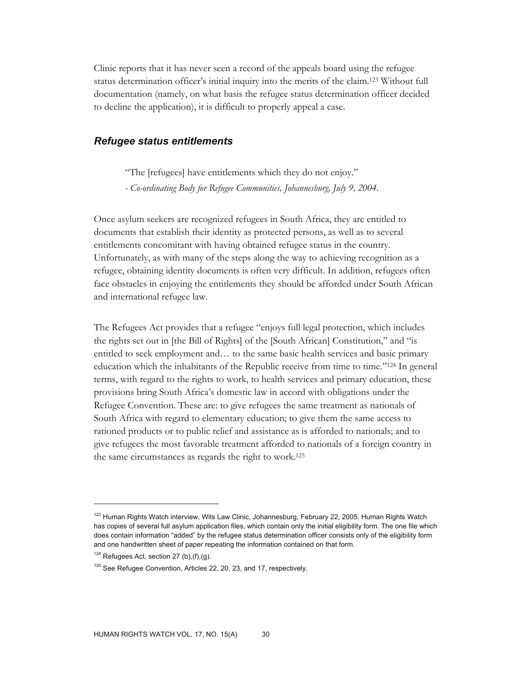Clinic reports that it has never seen a record of the appeals board using the refugee status determination officer's initial inquiry into the merits of the claim.123 Without full documentation (namely, on what basis the refugee status determination officer decided to decline the application), it is difficult to properly appeal a case.

# *Refugee status entitlements*

"The [refugees] have entitlements which they do not enjoy."

*- Co-ordinating Body for Refugee Communities, Johannesburg, July 9, 2004.* 

Once asylum seekers are recognized refugees in South Africa, they are entitled to documents that establish their identity as protected persons, as well as to several entitlements concomitant with having obtained refugee status in the country. Unfortunately, as with many of the steps along the way to achieving recognition as a refugee, obtaining identity documents is often very difficult. In addition, refugees often face obstacles in enjoying the entitlements they should be afforded under South African and international refugee law.

The Refugees Act provides that a refugee "enjoys full legal protection, which includes the rights set out in [the Bill of Rights] of the [South African] Constitution," and "is entitled to seek employment and… to the same basic health services and basic primary education which the inhabitants of the Republic receive from time to time."124 In general terms, with regard to the rights to work, to health services and primary education, these provisions bring South Africa's domestic law in accord with obligations under the Refugee Convention. These are: to give refugees the same treatment as nationals of South Africa with regard to elementary education; to give them the same access to rationed products or to public relief and assistance as is afforded to nationals; and to give refugees the most favorable treatment afforded to nationals of a foreign country in the same circumstances as regards the right to work.125

<sup>&</sup>lt;sup>123</sup> Human Rights Watch interview, Wits Law Clinic, Johannesburg, February 22, 2005. Human Rights Watch has copies of several full asylum application files, which contain only the initial eligibility form. The one file which does contain information "added" by the refugee status determination officer consists only of the eligibility form and one handwritten sheet of paper repeating the information contained on that form.

 $124$  Refugees Act, section 27 (b),(f),(g).

<sup>&</sup>lt;sup>125</sup> See Refugee Convention, Articles 22, 20, 23, and 17, respectively.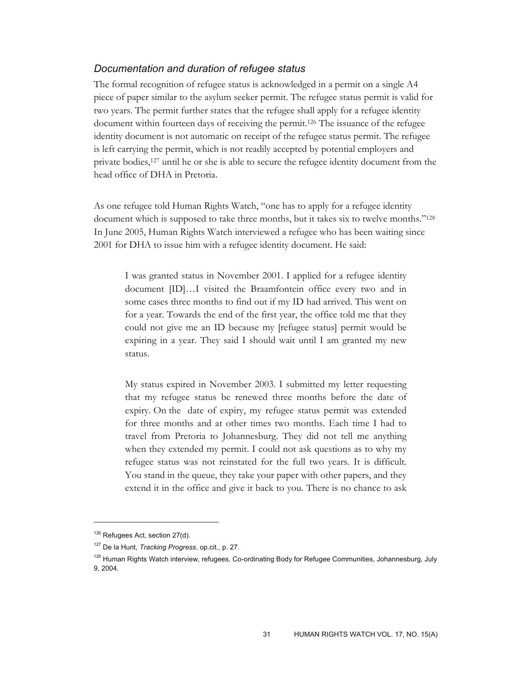# *Documentation and duration of refugee status*

The formal recognition of refugee status is acknowledged in a permit on a single A4 piece of paper similar to the asylum seeker permit. The refugee status permit is valid for two years. The permit further states that the refugee shall apply for a refugee identity document within fourteen days of receiving the permit.126 The issuance of the refugee identity document is not automatic on receipt of the refugee status permit. The refugee is left carrying the permit, which is not readily accepted by potential employers and private bodies,127 until he or she is able to secure the refugee identity document from the head office of DHA in Pretoria.

As one refugee told Human Rights Watch, "one has to apply for a refugee identity document which is supposed to take three months, but it takes six to twelve months."128 In June 2005, Human Rights Watch interviewed a refugee who has been waiting since 2001 for DHA to issue him with a refugee identity document. He said:

I was granted status in November 2001. I applied for a refugee identity document [ID]…I visited the Braamfontein office every two and in some cases three months to find out if my ID had arrived. This went on for a year. Towards the end of the first year, the office told me that they could not give me an ID because my [refugee status] permit would be expiring in a year. They said I should wait until I am granted my new status.

My status expired in November 2003. I submitted my letter requesting that my refugee status be renewed three months before the date of expiry. On the date of expiry, my refugee status permit was extended for three months and at other times two months. Each time I had to travel from Pretoria to Johannesburg. They did not tell me anything when they extended my permit. I could not ask questions as to why my refugee status was not reinstated for the full two years. It is difficult. You stand in the queue, they take your paper with other papers, and they extend it in the office and give it back to you. There is no chance to ask

<sup>&</sup>lt;sup>126</sup> Refugees Act, section 27(d).

<sup>127</sup> De la Hunt, *Tracking Progress*, op.cit., p. 27.

<sup>&</sup>lt;sup>128</sup> Human Rights Watch interview, refugees, Co-ordinating Body for Refugee Communities, Johannesburg, July 9, 2004.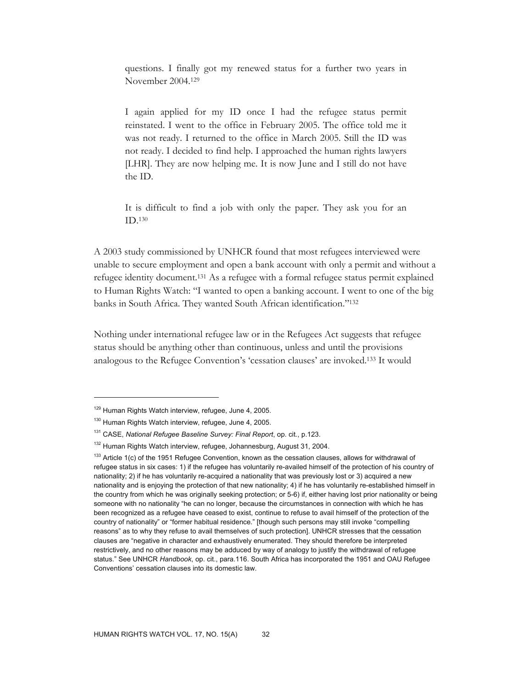questions. I finally got my renewed status for a further two years in November 2004.129

I again applied for my ID once I had the refugee status permit reinstated. I went to the office in February 2005. The office told me it was not ready. I returned to the office in March 2005. Still the ID was not ready. I decided to find help. I approached the human rights lawyers [LHR]. They are now helping me. It is now June and I still do not have the ID.

It is difficult to find a job with only the paper. They ask you for an ID.130

A 2003 study commissioned by UNHCR found that most refugees interviewed were unable to secure employment and open a bank account with only a permit and without a refugee identity document.131 As a refugee with a formal refugee status permit explained to Human Rights Watch: "I wanted to open a banking account. I went to one of the big banks in South Africa. They wanted South African identification."132

Nothing under international refugee law or in the Refugees Act suggests that refugee status should be anything other than continuous, unless and until the provisions analogous to the Refugee Convention's 'cessation clauses' are invoked.133 It would

<sup>&</sup>lt;sup>129</sup> Human Rights Watch interview, refugee, June 4, 2005.

<sup>&</sup>lt;sup>130</sup> Human Rights Watch interview, refugee, June 4, 2005.

<sup>131</sup> CASE, *National Refugee Baseline Survey: Final Report*, op. cit., p.123.

<sup>&</sup>lt;sup>132</sup> Human Rights Watch interview, refugee, Johannesburg, August 31, 2004.

 $133$  Article 1(c) of the 1951 Refugee Convention, known as the cessation clauses, allows for withdrawal of refugee status in six cases: 1) if the refugee has voluntarily re-availed himself of the protection of his country of nationality; 2) if he has voluntarily re-acquired a nationality that was previously lost or 3) acquired a new nationality and is enjoying the protection of that new nationality; 4) if he has voluntarily re-established himself in the country from which he was originally seeking protection; or 5-6) if, either having lost prior nationality or being someone with no nationality "he can no longer, because the circumstances in connection with which he has been recognized as a refugee have ceased to exist, continue to refuse to avail himself of the protection of the country of nationality" or "former habitual residence." [though such persons may still invoke "compelling reasons" as to why they refuse to avail themselves of such protection]. UNHCR stresses that the cessation clauses are "negative in character and exhaustively enumerated. They should therefore be interpreted restrictively, and no other reasons may be adduced by way of analogy to justify the withdrawal of refugee status." See UNHCR *Handbook*, op. cit., para.116. South Africa has incorporated the 1951 and OAU Refugee Conventions' cessation clauses into its domestic law.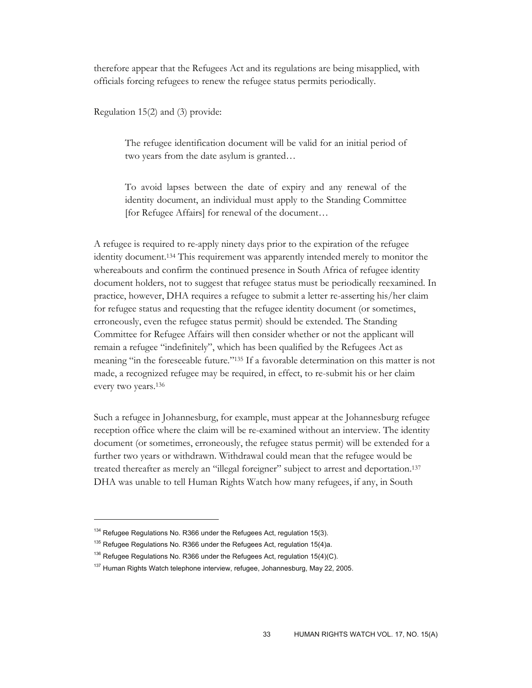therefore appear that the Refugees Act and its regulations are being misapplied, with officials forcing refugees to renew the refugee status permits periodically.

Regulation 15(2) and (3) provide:

The refugee identification document will be valid for an initial period of two years from the date asylum is granted…

To avoid lapses between the date of expiry and any renewal of the identity document, an individual must apply to the Standing Committee [for Refugee Affairs] for renewal of the document…

A refugee is required to re-apply ninety days prior to the expiration of the refugee identity document.134 This requirement was apparently intended merely to monitor the whereabouts and confirm the continued presence in South Africa of refugee identity document holders, not to suggest that refugee status must be periodically reexamined. In practice, however, DHA requires a refugee to submit a letter re-asserting his/her claim for refugee status and requesting that the refugee identity document (or sometimes, erroneously, even the refugee status permit) should be extended. The Standing Committee for Refugee Affairs will then consider whether or not the applicant will remain a refugee "indefinitely", which has been qualified by the Refugees Act as meaning "in the foreseeable future."135 If a favorable determination on this matter is not made, a recognized refugee may be required, in effect, to re-submit his or her claim every two years.136

Such a refugee in Johannesburg, for example, must appear at the Johannesburg refugee reception office where the claim will be re-examined without an interview. The identity document (or sometimes, erroneously, the refugee status permit) will be extended for a further two years or withdrawn. Withdrawal could mean that the refugee would be treated thereafter as merely an "illegal foreigner" subject to arrest and deportation.137 DHA was unable to tell Human Rights Watch how many refugees, if any, in South

 $134$  Refugee Regulations No. R366 under the Refugees Act, regulation 15(3).

<sup>&</sup>lt;sup>135</sup> Refugee Regulations No. R366 under the Refugees Act, regulation 15(4)a.

 $136$  Refugee Regulations No. R366 under the Refugees Act, regulation 15(4)(C).

 $137$  Human Rights Watch telephone interview, refugee, Johannesburg, May 22, 2005.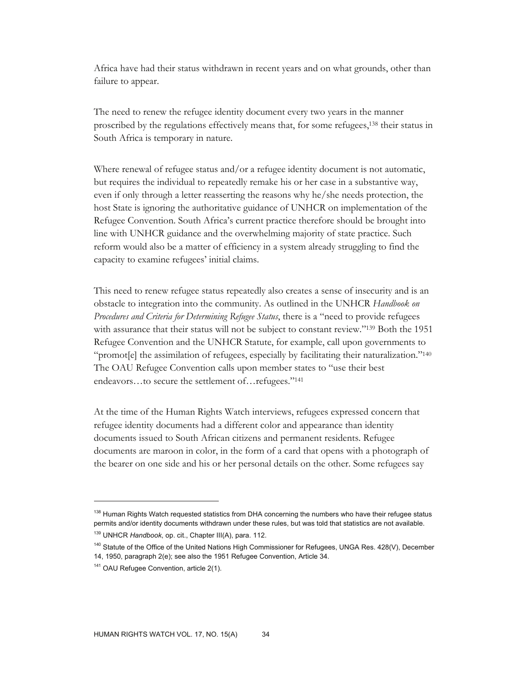Africa have had their status withdrawn in recent years and on what grounds, other than failure to appear.

The need to renew the refugee identity document every two years in the manner proscribed by the regulations effectively means that, for some refugees,138 their status in South Africa is temporary in nature.

Where renewal of refugee status and/or a refugee identity document is not automatic, but requires the individual to repeatedly remake his or her case in a substantive way, even if only through a letter reasserting the reasons why he/she needs protection, the host State is ignoring the authoritative guidance of UNHCR on implementation of the Refugee Convention. South Africa's current practice therefore should be brought into line with UNHCR guidance and the overwhelming majority of state practice. Such reform would also be a matter of efficiency in a system already struggling to find the capacity to examine refugees' initial claims.

This need to renew refugee status repeatedly also creates a sense of insecurity and is an obstacle to integration into the community. As outlined in the UNHCR *Handbook on Procedures and Criteria for Determining Refugee Status*, there is a "need to provide refugees with assurance that their status will not be subject to constant review."139 Both the 1951 Refugee Convention and the UNHCR Statute, for example, call upon governments to "promot[e] the assimilation of refugees, especially by facilitating their naturalization."140 The OAU Refugee Convention calls upon member states to "use their best endeavors…to secure the settlement of…refugees."141

At the time of the Human Rights Watch interviews, refugees expressed concern that refugee identity documents had a different color and appearance than identity documents issued to South African citizens and permanent residents. Refugee documents are maroon in color, in the form of a card that opens with a photograph of the bearer on one side and his or her personal details on the other. Some refugees say

<sup>&</sup>lt;sup>138</sup> Human Rights Watch requested statistics from DHA concerning the numbers who have their refugee status permits and/or identity documents withdrawn under these rules, but was told that statistics are not available.

<sup>139</sup> UNHCR *Handbook*, op. cit., Chapter III(A), para. 112.

<sup>&</sup>lt;sup>140</sup> Statute of the Office of the United Nations High Commissioner for Refugees, UNGA Res. 428(V), December 14, 1950, paragraph 2(e); see also the 1951 Refugee Convention, Article 34.

<sup>&</sup>lt;sup>141</sup> OAU Refugee Convention, article 2(1).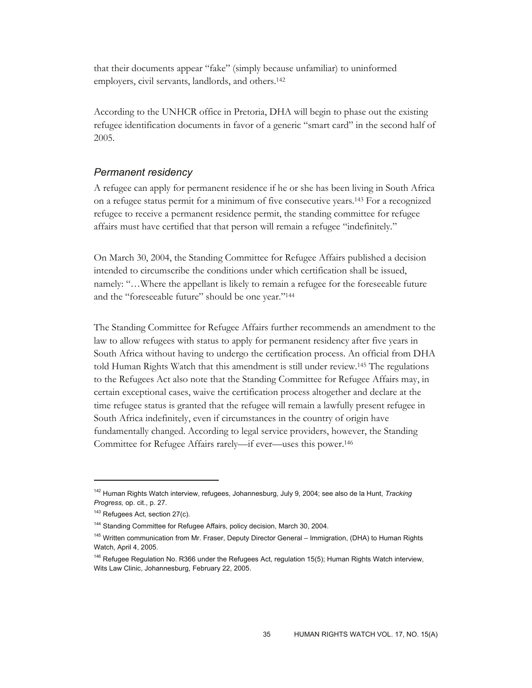that their documents appear "fake" (simply because unfamiliar) to uninformed employers, civil servants, landlords, and others.142

According to the UNHCR office in Pretoria, DHA will begin to phase out the existing refugee identification documents in favor of a generic "smart card" in the second half of 2005.

### *Permanent residency*

A refugee can apply for permanent residence if he or she has been living in South Africa on a refugee status permit for a minimum of five consecutive years.143 For a recognized refugee to receive a permanent residence permit, the standing committee for refugee affairs must have certified that that person will remain a refugee "indefinitely."

On March 30, 2004, the Standing Committee for Refugee Affairs published a decision intended to circumscribe the conditions under which certification shall be issued, namely: "…Where the appellant is likely to remain a refugee for the foreseeable future and the "foreseeable future" should be one year."<sup>144</sup>

The Standing Committee for Refugee Affairs further recommends an amendment to the law to allow refugees with status to apply for permanent residency after five years in South Africa without having to undergo the certification process. An official from DHA told Human Rights Watch that this amendment is still under review.145 The regulations to the Refugees Act also note that the Standing Committee for Refugee Affairs may, in certain exceptional cases, waive the certification process altogether and declare at the time refugee status is granted that the refugee will remain a lawfully present refugee in South Africa indefinitely, even if circumstances in the country of origin have fundamentally changed. According to legal service providers, however, the Standing Committee for Refugee Affairs rarely—if ever—uses this power.146

<sup>142</sup> Human Rights Watch interview, refugees, Johannesburg, July 9, 2004; see also de la Hunt, *Tracking Progress,* op. cit., p. 27.

<sup>&</sup>lt;sup>143</sup> Refugees Act, section 27(c).

<sup>&</sup>lt;sup>144</sup> Standing Committee for Refugee Affairs, policy decision, March 30, 2004.

<sup>&</sup>lt;sup>145</sup> Written communication from Mr. Fraser, Deputy Director General – Immigration, (DHA) to Human Rights Watch, April 4, 2005.

<sup>&</sup>lt;sup>146</sup> Refugee Regulation No. R366 under the Refugees Act, regulation 15(5); Human Rights Watch interview, Wits Law Clinic, Johannesburg, February 22, 2005.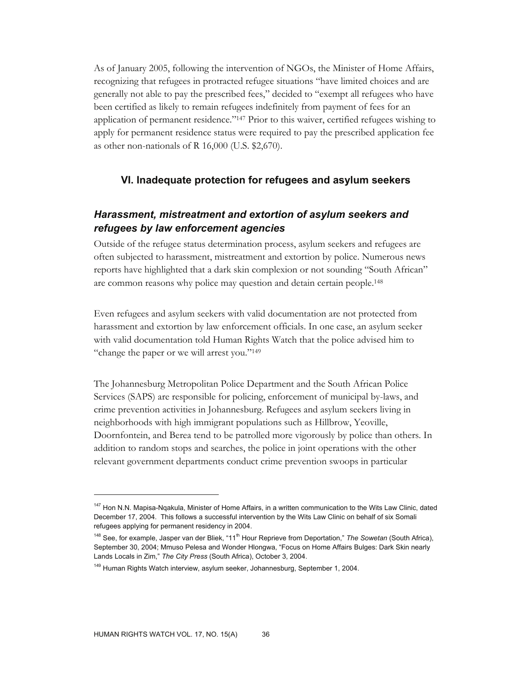As of January 2005, following the intervention of NGOs, the Minister of Home Affairs, recognizing that refugees in protracted refugee situations "have limited choices and are generally not able to pay the prescribed fees," decided to "exempt all refugees who have been certified as likely to remain refugees indefinitely from payment of fees for an application of permanent residence."147 Prior to this waiver, certified refugees wishing to apply for permanent residence status were required to pay the prescribed application fee as other non-nationals of R 16,000 (U.S. \$2,670).

# **VI. Inadequate protection for refugees and asylum seekers**

# *Harassment, mistreatment and extortion of asylum seekers and refugees by law enforcement agencies*

Outside of the refugee status determination process, asylum seekers and refugees are often subjected to harassment, mistreatment and extortion by police. Numerous news reports have highlighted that a dark skin complexion or not sounding "South African" are common reasons why police may question and detain certain people.148

Even refugees and asylum seekers with valid documentation are not protected from harassment and extortion by law enforcement officials. In one case, an asylum seeker with valid documentation told Human Rights Watch that the police advised him to "change the paper or we will arrest you."149

The Johannesburg Metropolitan Police Department and the South African Police Services (SAPS) are responsible for policing, enforcement of municipal by-laws, and crime prevention activities in Johannesburg. Refugees and asylum seekers living in neighborhoods with high immigrant populations such as Hillbrow, Yeoville, Doornfontein, and Berea tend to be patrolled more vigorously by police than others. In addition to random stops and searches, the police in joint operations with the other relevant government departments conduct crime prevention swoops in particular

<sup>&</sup>lt;sup>147</sup> Hon N.N. Mapisa-Nqakula, Minister of Home Affairs, in a written communication to the Wits Law Clinic, dated December 17, 2004. This follows a successful intervention by the Wits Law Clinic on behalf of six Somali refugees applying for permanent residency in 2004.

<sup>&</sup>lt;sup>148</sup> See, for example, Jasper van der Bliek, "11<sup>th</sup> Hour Reprieve from Deportation," The Sowetan (South Africa), September 30, 2004; Mmuso Pelesa and Wonder Hlongwa, "Focus on Home Affairs Bulges: Dark Skin nearly Lands Locals in Zim," *The City Press* (South Africa), October 3, 2004.

<sup>&</sup>lt;sup>149</sup> Human Rights Watch interview, asylum seeker, Johannesburg, September 1, 2004.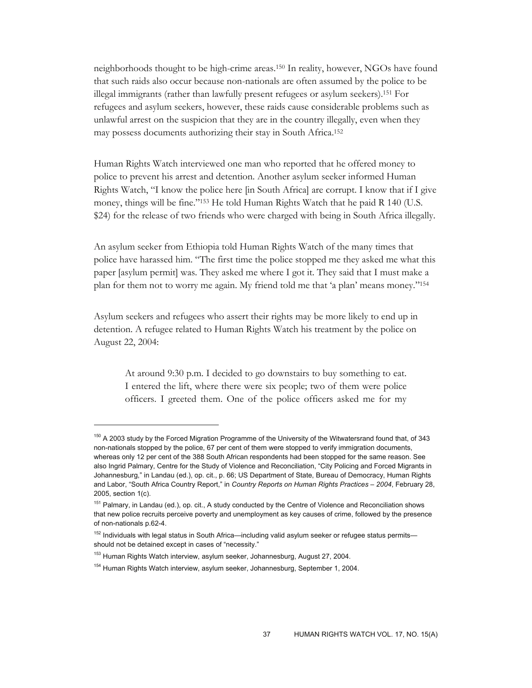neighborhoods thought to be high-crime areas.150 In reality, however, NGOs have found that such raids also occur because non-nationals are often assumed by the police to be illegal immigrants (rather than lawfully present refugees or asylum seekers).151 For refugees and asylum seekers, however, these raids cause considerable problems such as unlawful arrest on the suspicion that they are in the country illegally, even when they may possess documents authorizing their stay in South Africa.152

Human Rights Watch interviewed one man who reported that he offered money to police to prevent his arrest and detention. Another asylum seeker informed Human Rights Watch, "I know the police here [in South Africa] are corrupt. I know that if I give money, things will be fine."153 He told Human Rights Watch that he paid R 140 (U.S. \$24) for the release of two friends who were charged with being in South Africa illegally.

An asylum seeker from Ethiopia told Human Rights Watch of the many times that police have harassed him. "The first time the police stopped me they asked me what this paper [asylum permit] was. They asked me where I got it. They said that I must make a plan for them not to worry me again. My friend told me that 'a plan' means money."154

Asylum seekers and refugees who assert their rights may be more likely to end up in detention. A refugee related to Human Rights Watch his treatment by the police on August 22, 2004:

At around 9:30 p.m. I decided to go downstairs to buy something to eat. I entered the lift, where there were six people; two of them were police officers. I greeted them. One of the police officers asked me for my

<sup>&</sup>lt;sup>150</sup> A 2003 study by the Forced Migration Programme of the University of the Witwatersrand found that, of 343 non-nationals stopped by the police, 67 per cent of them were stopped to verify immigration documents, whereas only 12 per cent of the 388 South African respondents had been stopped for the same reason. See also Ingrid Palmary, Centre for the Study of Violence and Reconciliation, "City Policing and Forced Migrants in Johannesburg," in Landau (ed.), op. cit., p. 66; US Department of State, Bureau of Democracy, Human Rights and Labor, "South Africa Country Report," in *Country Reports on Human Rights Practices – 2004*, February 28, 2005, section 1(c).

<sup>&</sup>lt;sup>151</sup> Palmary, in Landau (ed.), op. cit., A study conducted by the Centre of Violence and Reconciliation shows that new police recruits perceive poverty and unemployment as key causes of crime, followed by the presence of non-nationals p.62-4.

<sup>&</sup>lt;sup>152</sup> Individuals with legal status in South Africa—including valid asylum seeker or refugee status permits should not be detained except in cases of "necessity."

<sup>&</sup>lt;sup>153</sup> Human Rights Watch interview, asylum seeker, Johannesburg, August 27, 2004.

<sup>&</sup>lt;sup>154</sup> Human Rights Watch interview, asylum seeker, Johannesburg, September 1, 2004.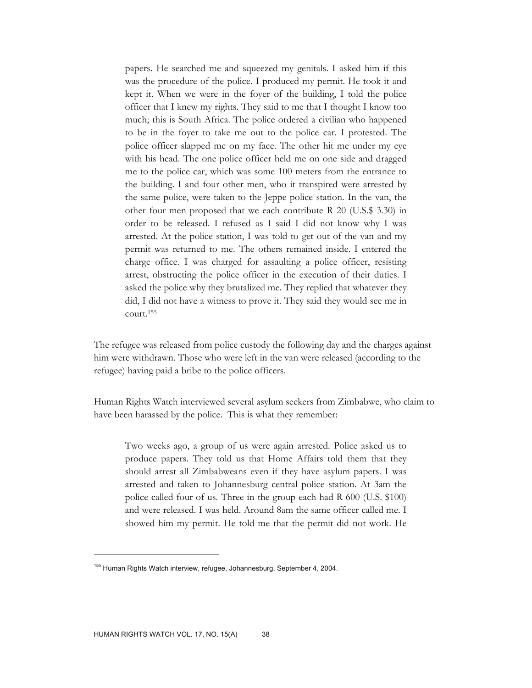papers. He searched me and squeezed my genitals. I asked him if this was the procedure of the police. I produced my permit. He took it and kept it. When we were in the foyer of the building, I told the police officer that I knew my rights. They said to me that I thought I know too much; this is South Africa. The police ordered a civilian who happened to be in the foyer to take me out to the police car. I protested. The police officer slapped me on my face. The other hit me under my eye with his head. The one police officer held me on one side and dragged me to the police car, which was some 100 meters from the entrance to the building. I and four other men, who it transpired were arrested by the same police, were taken to the Jeppe police station. In the van, the other four men proposed that we each contribute R 20 (U.S.\$ 3.30) in order to be released. I refused as I said I did not know why I was arrested. At the police station, I was told to get out of the van and my permit was returned to me. The others remained inside. I entered the charge office. I was charged for assaulting a police officer, resisting arrest, obstructing the police officer in the execution of their duties. I asked the police why they brutalized me. They replied that whatever they did, I did not have a witness to prove it. They said they would see me in court.155

The refugee was released from police custody the following day and the charges against him were withdrawn. Those who were left in the van were released (according to the refugee) having paid a bribe to the police officers.

Human Rights Watch interviewed several asylum seekers from Zimbabwe, who claim to have been harassed by the police. This is what they remember:

Two weeks ago, a group of us were again arrested. Police asked us to produce papers. They told us that Home Affairs told them that they should arrest all Zimbabweans even if they have asylum papers. I was arrested and taken to Johannesburg central police station. At 3am the police called four of us. Three in the group each had R 600 (U.S. \$100) and were released. I was held. Around 8am the same officer called me. I showed him my permit. He told me that the permit did not work. He

<sup>&</sup>lt;sup>155</sup> Human Rights Watch interview, refugee, Johannesburg, September 4, 2004.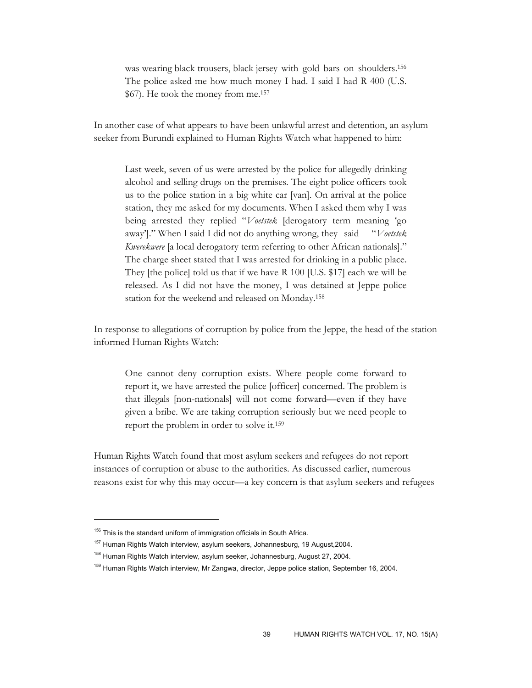was wearing black trousers, black jersey with gold bars on shoulders.156 The police asked me how much money I had. I said I had R 400 (U.S. \$67). He took the money from me.157

In another case of what appears to have been unlawful arrest and detention, an asylum seeker from Burundi explained to Human Rights Watch what happened to him:

Last week, seven of us were arrested by the police for allegedly drinking alcohol and selling drugs on the premises. The eight police officers took us to the police station in a big white car [van]. On arrival at the police station, they me asked for my documents. When I asked them why I was being arrested they replied "*Voetstek* [derogatory term meaning 'go away']." When I said I did not do anything wrong, they said "*Voetstek Kwerekwere* [a local derogatory term referring to other African nationals]." The charge sheet stated that I was arrested for drinking in a public place. They [the police] told us that if we have R 100 [U.S. \$17] each we will be released. As I did not have the money, I was detained at Jeppe police station for the weekend and released on Monday.158

In response to allegations of corruption by police from the Jeppe, the head of the station informed Human Rights Watch:

One cannot deny corruption exists. Where people come forward to report it, we have arrested the police [officer] concerned. The problem is that illegals [non-nationals] will not come forward—even if they have given a bribe. We are taking corruption seriously but we need people to report the problem in order to solve it.159

Human Rights Watch found that most asylum seekers and refugees do not report instances of corruption or abuse to the authorities. As discussed earlier, numerous reasons exist for why this may occur—a key concern is that asylum seekers and refugees

 $156$  This is the standard uniform of immigration officials in South Africa.

<sup>157</sup> Human Rights Watch interview, asylum seekers, Johannesburg, 19 August,2004.

<sup>&</sup>lt;sup>158</sup> Human Rights Watch interview, asylum seeker, Johannesburg, August 27, 2004.

<sup>159</sup> Human Rights Watch interview, Mr Zangwa, director, Jeppe police station, September 16, 2004.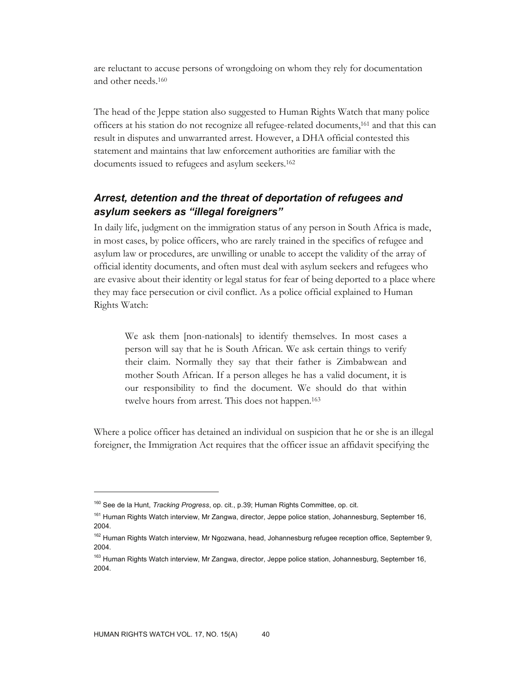are reluctant to accuse persons of wrongdoing on whom they rely for documentation and other needs.160

The head of the Jeppe station also suggested to Human Rights Watch that many police officers at his station do not recognize all refugee-related documents,161 and that this can result in disputes and unwarranted arrest. However, a DHA official contested this statement and maintains that law enforcement authorities are familiar with the documents issued to refugees and asylum seekers.162

# *Arrest, detention and the threat of deportation of refugees and asylum seekers as "illegal foreigners"*

In daily life, judgment on the immigration status of any person in South Africa is made, in most cases, by police officers, who are rarely trained in the specifics of refugee and asylum law or procedures, are unwilling or unable to accept the validity of the array of official identity documents, and often must deal with asylum seekers and refugees who are evasive about their identity or legal status for fear of being deported to a place where they may face persecution or civil conflict. As a police official explained to Human Rights Watch:

We ask them [non-nationals] to identify themselves. In most cases a person will say that he is South African. We ask certain things to verify their claim. Normally they say that their father is Zimbabwean and mother South African. If a person alleges he has a valid document, it is our responsibility to find the document. We should do that within twelve hours from arrest. This does not happen.163

Where a police officer has detained an individual on suspicion that he or she is an illegal foreigner, the Immigration Act requires that the officer issue an affidavit specifying the

<sup>160</sup> See de la Hunt, *Tracking Progress*, op. cit., p.39; Human Rights Committee, op. cit.

<sup>&</sup>lt;sup>161</sup> Human Rights Watch interview, Mr Zangwa, director, Jeppe police station, Johannesburg, September 16, 2004.

<sup>&</sup>lt;sup>162</sup> Human Rights Watch interview, Mr Ngozwana, head, Johannesburg refugee reception office, September 9, 2004.

<sup>&</sup>lt;sup>163</sup> Human Rights Watch interview, Mr Zangwa, director, Jeppe police station, Johannesburg, September 16, 2004.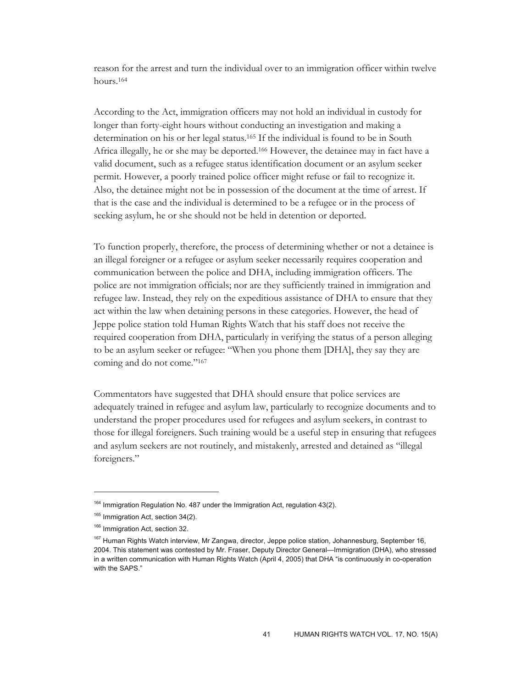reason for the arrest and turn the individual over to an immigration officer within twelve hours.164

According to the Act, immigration officers may not hold an individual in custody for longer than forty-eight hours without conducting an investigation and making a determination on his or her legal status.165 If the individual is found to be in South Africa illegally, he or she may be deported.166 However, the detainee may in fact have a valid document, such as a refugee status identification document or an asylum seeker permit. However, a poorly trained police officer might refuse or fail to recognize it. Also, the detainee might not be in possession of the document at the time of arrest. If that is the case and the individual is determined to be a refugee or in the process of seeking asylum, he or she should not be held in detention or deported.

To function properly, therefore, the process of determining whether or not a detainee is an illegal foreigner or a refugee or asylum seeker necessarily requires cooperation and communication between the police and DHA, including immigration officers. The police are not immigration officials; nor are they sufficiently trained in immigration and refugee law. Instead, they rely on the expeditious assistance of DHA to ensure that they act within the law when detaining persons in these categories. However, the head of Jeppe police station told Human Rights Watch that his staff does not receive the required cooperation from DHA, particularly in verifying the status of a person alleging to be an asylum seeker or refugee: "When you phone them [DHA], they say they are coming and do not come."167

Commentators have suggested that DHA should ensure that police services are adequately trained in refugee and asylum law, particularly to recognize documents and to understand the proper procedures used for refugees and asylum seekers, in contrast to those for illegal foreigners. Such training would be a useful step in ensuring that refugees and asylum seekers are not routinely, and mistakenly, arrested and detained as "illegal foreigners."

<sup>&</sup>lt;sup>164</sup> Immigration Regulation No. 487 under the Immigration Act, regulation 43(2).

<sup>&</sup>lt;sup>165</sup> Immigration Act, section 34(2).

<sup>&</sup>lt;sup>166</sup> Immigration Act, section 32.

<sup>&</sup>lt;sup>167</sup> Human Rights Watch interview, Mr Zangwa, director, Jeppe police station, Johannesburg, September 16, 2004. This statement was contested by Mr. Fraser, Deputy Director General—Immigration (DHA), who stressed in a written communication with Human Rights Watch (April 4, 2005) that DHA "is continuously in co-operation with the SAPS."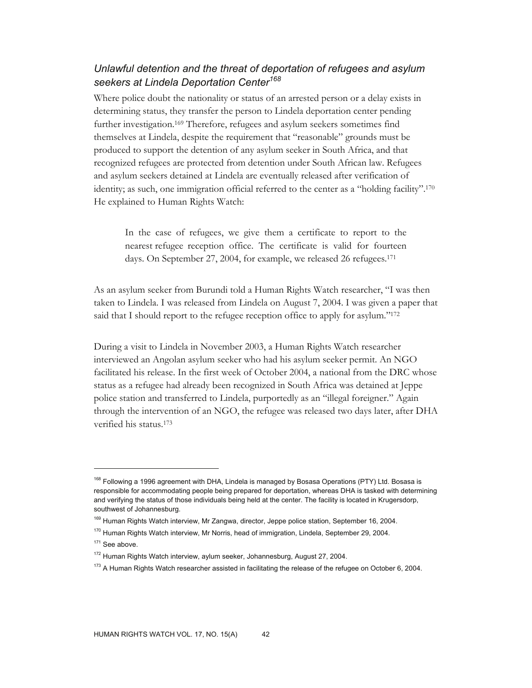# *Unlawful detention and the threat of deportation of refugees and asylum seekers at Lindela Deportation Center<sup>168</sup>*

Where police doubt the nationality or status of an arrested person or a delay exists in determining status, they transfer the person to Lindela deportation center pending further investigation.169 Therefore, refugees and asylum seekers sometimes find themselves at Lindela, despite the requirement that "reasonable" grounds must be produced to support the detention of any asylum seeker in South Africa, and that recognized refugees are protected from detention under South African law. Refugees and asylum seekers detained at Lindela are eventually released after verification of identity; as such, one immigration official referred to the center as a "holding facility".170 He explained to Human Rights Watch:

In the case of refugees, we give them a certificate to report to the nearest refugee reception office. The certificate is valid for fourteen days. On September 27, 2004, for example, we released 26 refugees.171

As an asylum seeker from Burundi told a Human Rights Watch researcher, "I was then taken to Lindela. I was released from Lindela on August 7, 2004. I was given a paper that said that I should report to the refugee reception office to apply for asylum."<sup>172</sup>

During a visit to Lindela in November 2003, a Human Rights Watch researcher interviewed an Angolan asylum seeker who had his asylum seeker permit. An NGO facilitated his release. In the first week of October 2004, a national from the DRC whose status as a refugee had already been recognized in South Africa was detained at Jeppe police station and transferred to Lindela, purportedly as an "illegal foreigner." Again through the intervention of an NGO, the refugee was released two days later, after DHA verified his status.173

<sup>&</sup>lt;sup>168</sup> Following a 1996 agreement with DHA, Lindela is managed by Bosasa Operations (PTY) Ltd. Bosasa is responsible for accommodating people being prepared for deportation, whereas DHA is tasked with determining and verifying the status of those individuals being held at the center. The facility is located in Krugersdorp, southwest of Johannesburg.

<sup>169</sup> Human Rights Watch interview, Mr Zangwa, director, Jeppe police station, September 16, 2004.

<sup>&</sup>lt;sup>170</sup> Human Rights Watch interview, Mr Norris, head of immigration, Lindela, September 29, 2004.

<sup>&</sup>lt;sup>171</sup> See above.

<sup>&</sup>lt;sup>172</sup> Human Rights Watch interview, aylum seeker, Johannesburg, August 27, 2004.

<sup>&</sup>lt;sup>173</sup> A Human Rights Watch researcher assisted in facilitating the release of the refugee on October 6, 2004.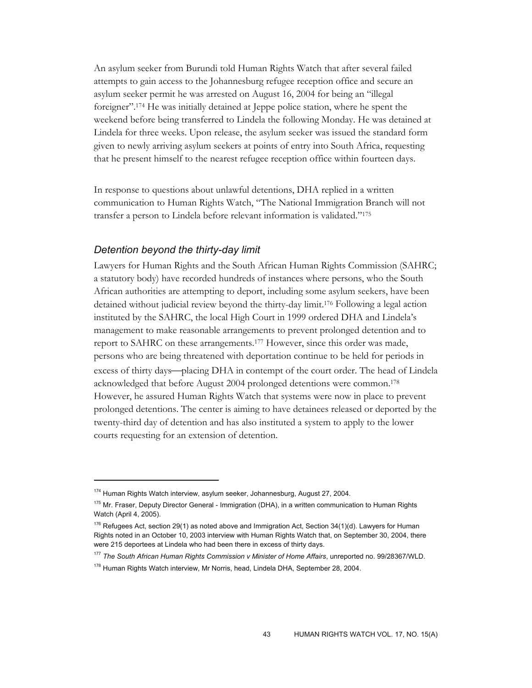An asylum seeker from Burundi told Human Rights Watch that after several failed attempts to gain access to the Johannesburg refugee reception office and secure an asylum seeker permit he was arrested on August 16, 2004 for being an "illegal foreigner".174 He was initially detained at Jeppe police station, where he spent the weekend before being transferred to Lindela the following Monday. He was detained at Lindela for three weeks. Upon release, the asylum seeker was issued the standard form given to newly arriving asylum seekers at points of entry into South Africa, requesting that he present himself to the nearest refugee reception office within fourteen days.

In response to questions about unlawful detentions, DHA replied in a written communication to Human Rights Watch, "The National Immigration Branch will not transfer a person to Lindela before relevant information is validated."175

### *Detention beyond the thirty-day limit*

 $\overline{a}$ 

Lawyers for Human Rights and the South African Human Rights Commission (SAHRC; a statutory body) have recorded hundreds of instances where persons, who the South African authorities are attempting to deport, including some asylum seekers, have been detained without judicial review beyond the thirty-day limit.176 Following a legal action instituted by the SAHRC, the local High Court in 1999 ordered DHA and Lindela's management to make reasonable arrangements to prevent prolonged detention and to report to SAHRC on these arrangements.177 However, since this order was made, persons who are being threatened with deportation continue to be held for periods in excess of thirty days—placing DHA in contempt of the court order. The head of Lindela acknowledged that before August 2004 prolonged detentions were common.178 However, he assured Human Rights Watch that systems were now in place to prevent prolonged detentions. The center is aiming to have detainees released or deported by the twenty-third day of detention and has also instituted a system to apply to the lower courts requesting for an extension of detention.

<sup>&</sup>lt;sup>174</sup> Human Rights Watch interview, asylum seeker, Johannesburg, August 27, 2004.

<sup>&</sup>lt;sup>175</sup> Mr. Fraser, Deputy Director General - Immigration (DHA), in a written communication to Human Rights Watch (April 4, 2005).

 $176$  Refugees Act, section 29(1) as noted above and Immigration Act, Section 34(1)(d). Lawyers for Human Rights noted in an October 10, 2003 interview with Human Rights Watch that, on September 30, 2004, there were 215 deportees at Lindela who had been there in excess of thirty days.

<sup>177</sup> *The South African Human Rights Commission v Minister of Home Affairs*, unreported no. 99/28367/WLD. <sup>178</sup> Human Rights Watch interview, Mr Norris, head, Lindela DHA, September 28, 2004.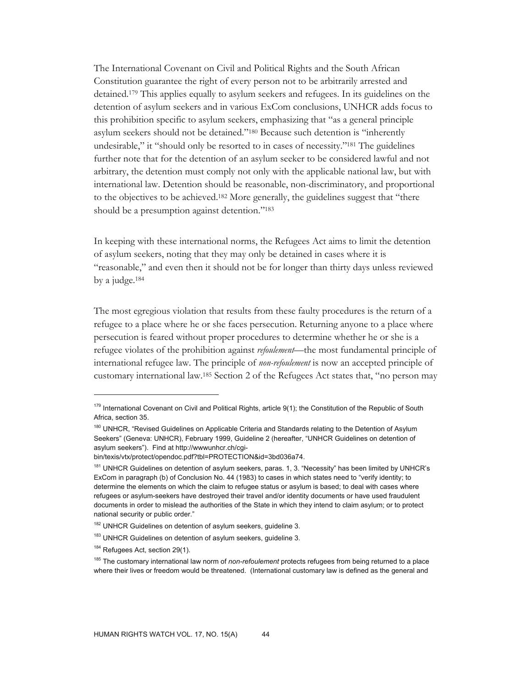The International Covenant on Civil and Political Rights and the South African Constitution guarantee the right of every person not to be arbitrarily arrested and detained.179 This applies equally to asylum seekers and refugees. In its guidelines on the detention of asylum seekers and in various ExCom conclusions, UNHCR adds focus to this prohibition specific to asylum seekers, emphasizing that "as a general principle asylum seekers should not be detained."180 Because such detention is "inherently undesirable," it "should only be resorted to in cases of necessity."181 The guidelines further note that for the detention of an asylum seeker to be considered lawful and not arbitrary, the detention must comply not only with the applicable national law, but with international law. Detention should be reasonable, non-discriminatory, and proportional to the objectives to be achieved.182 More generally, the guidelines suggest that "there should be a presumption against detention."183

In keeping with these international norms, the Refugees Act aims to limit the detention of asylum seekers, noting that they may only be detained in cases where it is "reasonable," and even then it should not be for longer than thirty days unless reviewed by a judge.184

The most egregious violation that results from these faulty procedures is the return of a refugee to a place where he or she faces persecution. Returning anyone to a place where persecution is feared without proper procedures to determine whether he or she is a refugee violates of the prohibition against *refoulement*—the most fundamental principle of international refugee law. The principle of *non-refoulement* is now an accepted principle of customary international law.185 Section 2 of the Refugees Act states that, "no person may

<sup>179</sup> International Covenant on Civil and Political Rights, article 9(1); the Constitution of the Republic of South Africa, section 35.

<sup>&</sup>lt;sup>180</sup> UNHCR, "Revised Guidelines on Applicable Criteria and Standards relating to the Detention of Asylum Seekers" (Geneva: UNHCR), February 1999, Guideline 2 (hereafter, "UNHCR Guidelines on detention of asylum seekers"). Find at http://wwwunhcr.ch/cgi-

bin/texis/vtx/protect/opendoc.pdf?tbl=PROTECTION&id=3bd036a74.

<sup>&</sup>lt;sup>181</sup> UNHCR Guidelines on detention of asylum seekers, paras. 1, 3. "Necessity" has been limited by UNHCR's ExCom in paragraph (b) of Conclusion No. 44 (1983) to cases in which states need to "verify identity; to determine the elements on which the claim to refugee status or asylum is based; to deal with cases where refugees or asylum-seekers have destroyed their travel and/or identity documents or have used fraudulent documents in order to mislead the authorities of the State in which they intend to claim asylum; or to protect national security or public order."

<sup>&</sup>lt;sup>182</sup> UNHCR Guidelines on detention of asylum seekers, guideline 3.

<sup>&</sup>lt;sup>183</sup> UNHCR Guidelines on detention of asylum seekers, guideline 3.

<sup>184</sup> Refugees Act, section 29(1).

<sup>185</sup> The customary international law norm of *non-refoulement* protects refugees from being returned to a place where their lives or freedom would be threatened. (International customary law is defined as the general and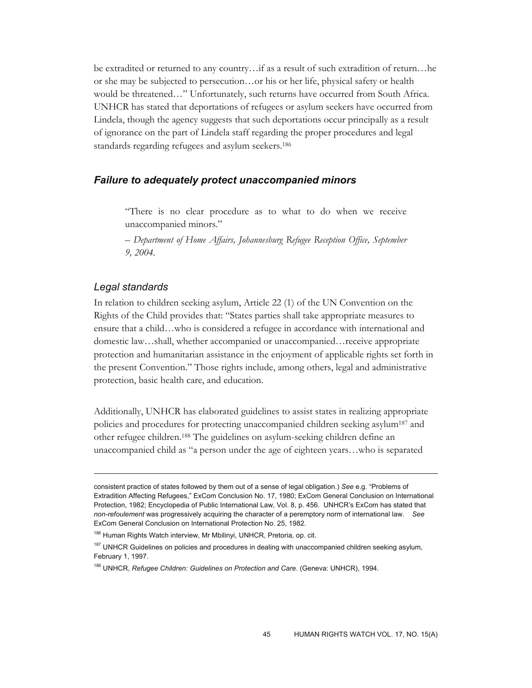be extradited or returned to any country…if as a result of such extradition of return…he or she may be subjected to persecution…or his or her life, physical safety or health would be threatened…" Unfortunately, such returns have occurred from South Africa. UNHCR has stated that deportations of refugees or asylum seekers have occurred from Lindela, though the agency suggests that such deportations occur principally as a result of ignorance on the part of Lindela staff regarding the proper procedures and legal standards regarding refugees and asylum seekers.186

### *Failure to adequately protect unaccompanied minors*

"There is no clear procedure as to what to do when we receive unaccompanied minors."

*– Department of Home Affairs, Johannesburg Refugee Reception Office, September 9, 2004.* 

### *Legal standards*

-

In relation to children seeking asylum, Article 22 (1) of the UN Convention on the Rights of the Child provides that: "States parties shall take appropriate measures to ensure that a child…who is considered a refugee in accordance with international and domestic law…shall, whether accompanied or unaccompanied…receive appropriate protection and humanitarian assistance in the enjoyment of applicable rights set forth in the present Convention." Those rights include, among others, legal and administrative protection, basic health care, and education.

Additionally, UNHCR has elaborated guidelines to assist states in realizing appropriate policies and procedures for protecting unaccompanied children seeking asylum187 and other refugee children.188 The guidelines on asylum-seeking children define an unaccompanied child as "a person under the age of eighteen years…who is separated

consistent practice of states followed by them out of a sense of legal obligation.) *See* e.g. "Problems of Extradition Affecting Refugees," ExCom Conclusion No. 17, 1980; ExCom General Conclusion on International Protection, 1982; Encyclopedia of Public International Law, Vol. 8, p. 456. UNHCR's ExCom has stated that *non-refoulement* was progressively acquiring the character of a peremptory norm of international law. *See* ExCom General Conclusion on International Protection No. 25, 1982.

<sup>186</sup> Human Rights Watch interview, Mr Mbilinyi, UNHCR, Pretoria, op. cit.

<sup>&</sup>lt;sup>187</sup> UNHCR Guidelines on policies and procedures in dealing with unaccompanied children seeking asylum, February 1, 1997.

<sup>188</sup> UNHCR, *Refugee Children: Guidelines on Protection and Care*. (Geneva: UNHCR), 1994.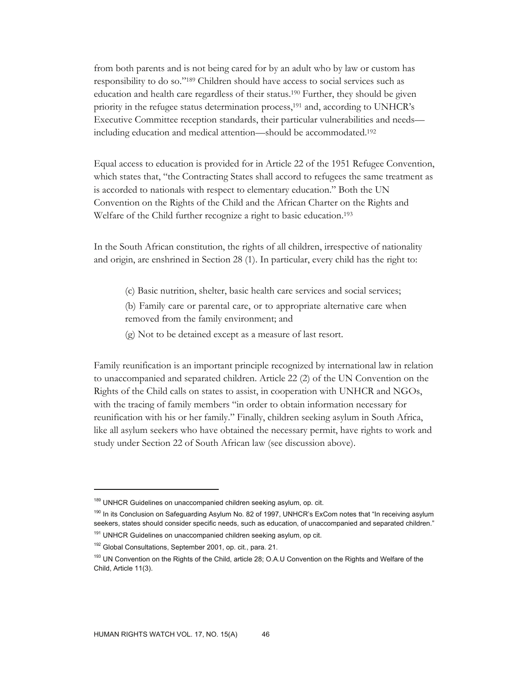from both parents and is not being cared for by an adult who by law or custom has responsibility to do so."189 Children should have access to social services such as education and health care regardless of their status.190 Further, they should be given priority in the refugee status determination process,<sup>191</sup> and, according to UNHCR's Executive Committee reception standards, their particular vulnerabilities and needs including education and medical attention—should be accommodated.192

Equal access to education is provided for in Article 22 of the 1951 Refugee Convention, which states that, "the Contracting States shall accord to refugees the same treatment as is accorded to nationals with respect to elementary education." Both the UN Convention on the Rights of the Child and the African Charter on the Rights and Welfare of the Child further recognize a right to basic education.193

In the South African constitution, the rights of all children, irrespective of nationality and origin, are enshrined in Section 28 (1). In particular, every child has the right to:

(c) Basic nutrition, shelter, basic health care services and social services;

(b) Family care or parental care, or to appropriate alternative care when removed from the family environment; and

(g) Not to be detained except as a measure of last resort.

Family reunification is an important principle recognized by international law in relation to unaccompanied and separated children. Article 22 (2) of the UN Convention on the Rights of the Child calls on states to assist, in cooperation with UNHCR and NGOs, with the tracing of family members "in order to obtain information necessary for reunification with his or her family." Finally, children seeking asylum in South Africa, like all asylum seekers who have obtained the necessary permit, have rights to work and study under Section 22 of South African law (see discussion above).

<sup>&</sup>lt;sup>189</sup> UNHCR Guidelines on unaccompanied children seeking asylum, op. cit.

<sup>&</sup>lt;sup>190</sup> In its Conclusion on Safeguarding Asylum No. 82 of 1997, UNHCR's ExCom notes that "In receiving asylum seekers, states should consider specific needs, such as education, of unaccompanied and separated children."

<sup>&</sup>lt;sup>191</sup> UNHCR Guidelines on unaccompanied children seeking asylum, op cit.

<sup>&</sup>lt;sup>192</sup> Global Consultations, September 2001, op. cit., para. 21.

<sup>&</sup>lt;sup>193</sup> UN Convention on the Rights of the Child, article 28; O.A.U Convention on the Rights and Welfare of the Child, Article 11(3).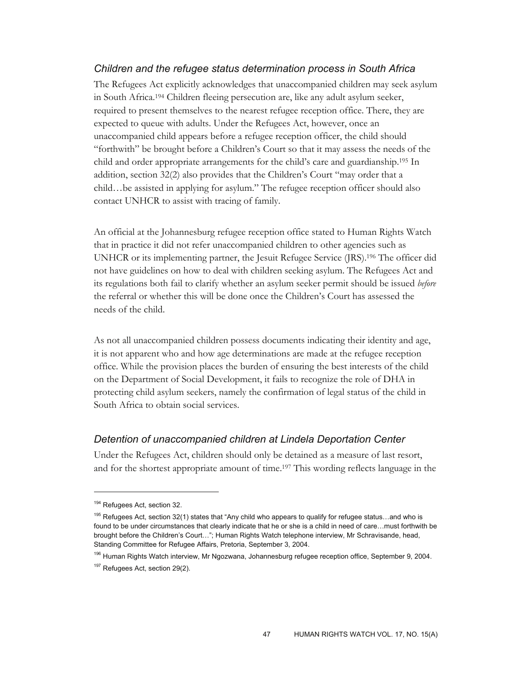# *Children and the refugee status determination process in South Africa*

The Refugees Act explicitly acknowledges that unaccompanied children may seek asylum in South Africa.194 Children fleeing persecution are, like any adult asylum seeker, required to present themselves to the nearest refugee reception office. There, they are expected to queue with adults. Under the Refugees Act, however, once an unaccompanied child appears before a refugee reception officer, the child should "forthwith" be brought before a Children's Court so that it may assess the needs of the child and order appropriate arrangements for the child's care and guardianship.195 In addition, section 32(2) also provides that the Children's Court "may order that a child…be assisted in applying for asylum." The refugee reception officer should also contact UNHCR to assist with tracing of family.

An official at the Johannesburg refugee reception office stated to Human Rights Watch that in practice it did not refer unaccompanied children to other agencies such as UNHCR or its implementing partner, the Jesuit Refugee Service (JRS).196 The officer did not have guidelines on how to deal with children seeking asylum. The Refugees Act and its regulations both fail to clarify whether an asylum seeker permit should be issued *before* the referral or whether this will be done once the Children's Court has assessed the needs of the child.

As not all unaccompanied children possess documents indicating their identity and age, it is not apparent who and how age determinations are made at the refugee reception office. While the provision places the burden of ensuring the best interests of the child on the Department of Social Development, it fails to recognize the role of DHA in protecting child asylum seekers, namely the confirmation of legal status of the child in South Africa to obtain social services.

# *Detention of unaccompanied children at Lindela Deportation Center*

Under the Refugees Act, children should only be detained as a measure of last resort, and for the shortest appropriate amount of time.197 This wording reflects language in the

<sup>&</sup>lt;sup>194</sup> Refugees Act, section 32.

<sup>&</sup>lt;sup>195</sup> Refugees Act, section 32(1) states that "Any child who appears to qualify for refugee status...and who is found to be under circumstances that clearly indicate that he or she is a child in need of care…must forthwith be brought before the Children's Court…"; Human Rights Watch telephone interview, Mr Schravisande, head, Standing Committee for Refugee Affairs, Pretoria, September 3, 2004.

<sup>196</sup> Human Rights Watch interview, Mr Ngozwana, Johannesburg refugee reception office, September 9, 2004. <sup>197</sup> Refugees Act, section 29(2).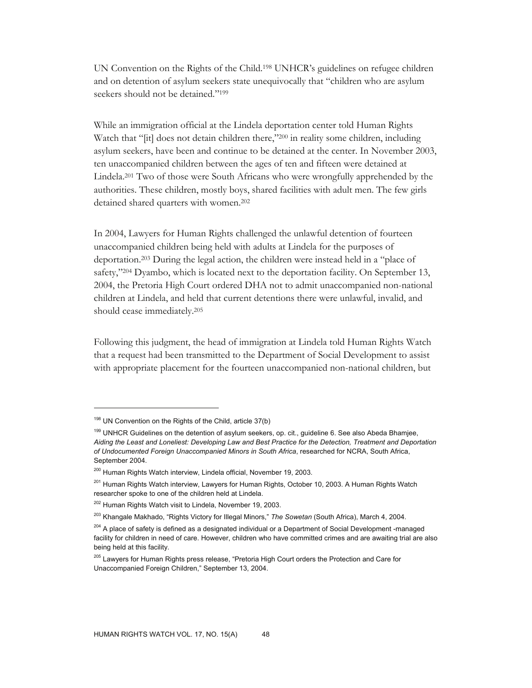UN Convention on the Rights of the Child.198 UNHCR's guidelines on refugee children and on detention of asylum seekers state unequivocally that "children who are asylum seekers should not be detained."<sup>199</sup>

While an immigration official at the Lindela deportation center told Human Rights Watch that "[it] does not detain children there,"200 in reality some children, including asylum seekers, have been and continue to be detained at the center. In November 2003, ten unaccompanied children between the ages of ten and fifteen were detained at Lindela.201 Two of those were South Africans who were wrongfully apprehended by the authorities. These children, mostly boys, shared facilities with adult men. The few girls detained shared quarters with women.202

In 2004, Lawyers for Human Rights challenged the unlawful detention of fourteen unaccompanied children being held with adults at Lindela for the purposes of deportation.203 During the legal action, the children were instead held in a "place of safety,"204 Dyambo, which is located next to the deportation facility. On September 13, 2004, the Pretoria High Court ordered DHA not to admit unaccompanied non-national children at Lindela, and held that current detentions there were unlawful, invalid, and should cease immediately.205

Following this judgment, the head of immigration at Lindela told Human Rights Watch that a request had been transmitted to the Department of Social Development to assist with appropriate placement for the fourteen unaccompanied non-national children, but

<sup>&</sup>lt;sup>198</sup> UN Convention on the Rights of the Child, article 37(b)

<sup>&</sup>lt;sup>199</sup> UNHCR Guidelines on the detention of asylum seekers, op. cit., guideline 6. See also Abeda Bhamjee, *Aiding the Least and Loneliest: Developing Law and Best Practice for the Detection, Treatment and Deportation of Undocumented Foreign Unaccompanied Minors in South Africa*, researched for NCRA, South Africa, September 2004.

<sup>&</sup>lt;sup>200</sup> Human Rights Watch interview, Lindela official, November 19, 2003.

<sup>&</sup>lt;sup>201</sup> Human Rights Watch interview, Lawyers for Human Rights, October 10, 2003. A Human Rights Watch researcher spoke to one of the children held at Lindela.

<sup>202</sup> Human Rights Watch visit to Lindela, November 19, 2003.

<sup>203</sup> Khangale Makhado, "Rights Victory for Illegal Minors," *The Sowetan* (South Africa), March 4, 2004.

<sup>&</sup>lt;sup>204</sup> A place of safety is defined as a designated individual or a Department of Social Development -managed facility for children in need of care. However, children who have committed crimes and are awaiting trial are also being held at this facility.

<sup>&</sup>lt;sup>205</sup> Lawyers for Human Rights press release, "Pretoria High Court orders the Protection and Care for Unaccompanied Foreign Children," September 13, 2004.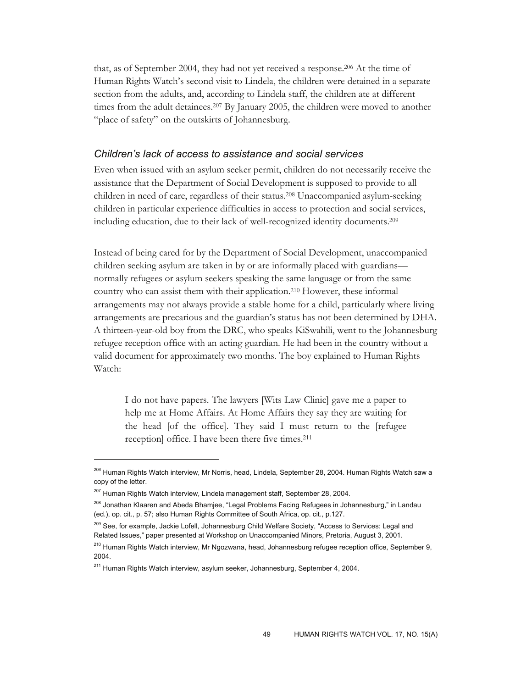that, as of September 2004, they had not yet received a response.206 At the time of Human Rights Watch's second visit to Lindela, the children were detained in a separate section from the adults, and, according to Lindela staff, the children ate at different times from the adult detainees.207 By January 2005, the children were moved to another "place of safety" on the outskirts of Johannesburg.

### *Children's lack of access to assistance and social services*

Even when issued with an asylum seeker permit, children do not necessarily receive the assistance that the Department of Social Development is supposed to provide to all children in need of care, regardless of their status.208 Unaccompanied asylum-seeking children in particular experience difficulties in access to protection and social services, including education, due to their lack of well-recognized identity documents.209

Instead of being cared for by the Department of Social Development, unaccompanied children seeking asylum are taken in by or are informally placed with guardians normally refugees or asylum seekers speaking the same language or from the same country who can assist them with their application.210 However, these informal arrangements may not always provide a stable home for a child, particularly where living arrangements are precarious and the guardian's status has not been determined by DHA. A thirteen-year-old boy from the DRC, who speaks KiSwahili, went to the Johannesburg refugee reception office with an acting guardian. He had been in the country without a valid document for approximately two months. The boy explained to Human Rights Watch:

I do not have papers. The lawyers [Wits Law Clinic] gave me a paper to help me at Home Affairs. At Home Affairs they say they are waiting for the head [of the office]. They said I must return to the [refugee reception] office. I have been there five times.211

<sup>206</sup> Human Rights Watch interview, Mr Norris, head, Lindela, September 28, 2004. Human Rights Watch saw a copy of the letter.

<sup>&</sup>lt;sup>207</sup> Human Rights Watch interview, Lindela management staff, September 28, 2004.

<sup>208</sup> Jonathan Klaaren and Abeda Bhamjee, "Legal Problems Facing Refugees in Johannesburg," in Landau (ed.), op. cit., p. 57; also Human Rights Committee of South Africa, op. cit., p.127.

<sup>&</sup>lt;sup>209</sup> See, for example, Jackie Lofell, Johannesburg Child Welfare Society, "Access to Services: Legal and Related Issues," paper presented at Workshop on Unaccompanied Minors, Pretoria, August 3, 2001.

<sup>&</sup>lt;sup>210</sup> Human Rights Watch interview, Mr Ngozwana, head, Johannesburg refugee reception office, September 9, 2004.

<sup>&</sup>lt;sup>211</sup> Human Rights Watch interview, asylum seeker, Johannesburg, September 4, 2004.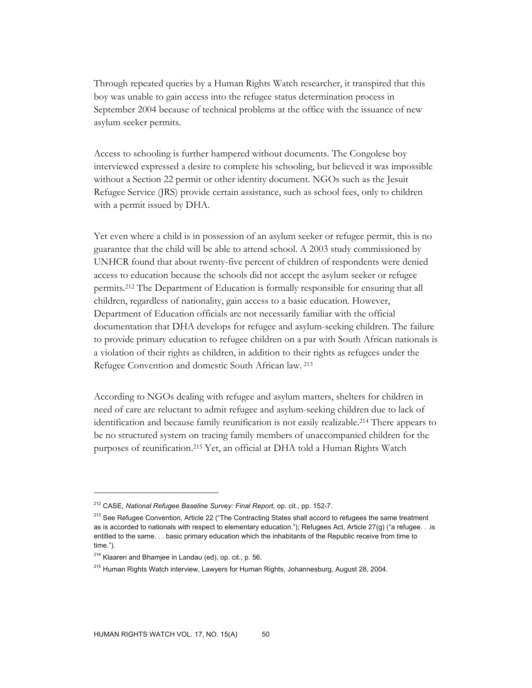Through repeated queries by a Human Rights Watch researcher, it transpired that this boy was unable to gain access into the refugee status determination process in September 2004 because of technical problems at the office with the issuance of new asylum seeker permits.

Access to schooling is further hampered without documents. The Congolese boy interviewed expressed a desire to complete his schooling, but believed it was impossible without a Section 22 permit or other identity document. NGOs such as the Jesuit Refugee Service (JRS) provide certain assistance, such as school fees, only to children with a permit issued by DHA.

Yet even where a child is in possession of an asylum seeker or refugee permit, this is no guarantee that the child will be able to attend school. A 2003 study commissioned by UNHCR found that about twenty-five percent of children of respondents were denied access to education because the schools did not accept the asylum seeker or refugee permits.212 The Department of Education is formally responsible for ensuring that all children, regardless of nationality, gain access to a basic education. However, Department of Education officials are not necessarily familiar with the official documentation that DHA develops for refugee and asylum-seeking children. The failure to provide primary education to refugee children on a par with South African nationals is a violation of their rights as children, in addition to their rights as refugees under the Refugee Convention and domestic South African law. 213

According to NGOs dealing with refugee and asylum matters, shelters for children in need of care are reluctant to admit refugee and asylum-seeking children due to lack of identification and because family reunification is not easily realizable.214 There appears to be no structured system on tracing family members of unaccompanied children for the purposes of reunification.215 Yet, an official at DHA told a Human Rights Watch

<sup>212</sup> CASE, *National Refugee Baseline Survey: Final Report,* op. cit., pp. 152-7.

<sup>&</sup>lt;sup>213</sup> See Refugee Convention, Article 22 ("The Contracting States shall accord to refugees the same treatment as is accorded to nationals with respect to elementary education."); Refugees Act, Article 27(g) ("a refugee. . .is entitled to the same. . . basic primary education which the inhabitants of the Republic receive from time to time.").

<sup>214</sup> Klaaren and Bhamjee in Landau (ed), op. cit., p. 56.

<sup>215</sup> Human Rights Watch interview, Lawyers for Human Rights, Johannesburg, August 28, 2004.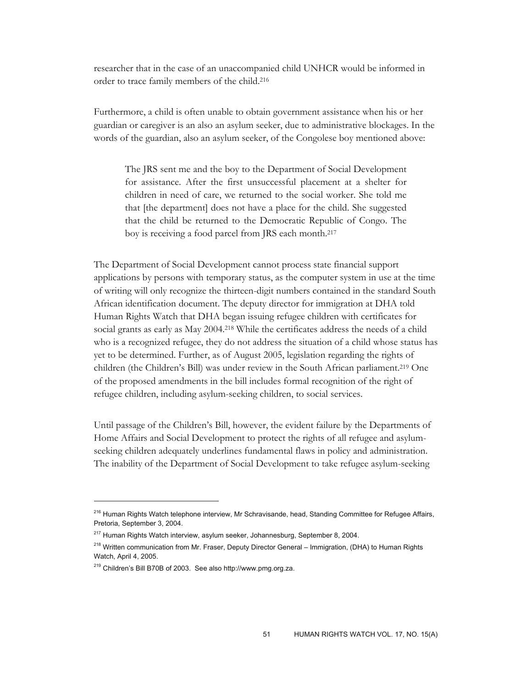researcher that in the case of an unaccompanied child UNHCR would be informed in order to trace family members of the child.216

Furthermore, a child is often unable to obtain government assistance when his or her guardian or caregiver is an also an asylum seeker, due to administrative blockages. In the words of the guardian, also an asylum seeker, of the Congolese boy mentioned above:

The JRS sent me and the boy to the Department of Social Development for assistance. After the first unsuccessful placement at a shelter for children in need of care, we returned to the social worker. She told me that [the department] does not have a place for the child. She suggested that the child be returned to the Democratic Republic of Congo. The boy is receiving a food parcel from JRS each month.217

The Department of Social Development cannot process state financial support applications by persons with temporary status, as the computer system in use at the time of writing will only recognize the thirteen-digit numbers contained in the standard South African identification document. The deputy director for immigration at DHA told Human Rights Watch that DHA began issuing refugee children with certificates for social grants as early as May 2004.218 While the certificates address the needs of a child who is a recognized refugee, they do not address the situation of a child whose status has yet to be determined. Further, as of August 2005, legislation regarding the rights of children (the Children's Bill) was under review in the South African parliament.219 One of the proposed amendments in the bill includes formal recognition of the right of refugee children, including asylum-seeking children, to social services.

Until passage of the Children's Bill, however, the evident failure by the Departments of Home Affairs and Social Development to protect the rights of all refugee and asylumseeking children adequately underlines fundamental flaws in policy and administration. The inability of the Department of Social Development to take refugee asylum-seeking

<sup>&</sup>lt;sup>216</sup> Human Rights Watch telephone interview, Mr Schravisande, head, Standing Committee for Refugee Affairs, Pretoria, September 3, 2004.

<sup>&</sup>lt;sup>217</sup> Human Rights Watch interview, asylum seeker, Johannesburg, September 8, 2004.

<sup>&</sup>lt;sup>218</sup> Written communication from Mr. Fraser, Deputy Director General – Immigration, (DHA) to Human Rights Watch, April 4, 2005.

<sup>219</sup> Children's Bill B70B of 2003. See also http://www.pmg.org.za.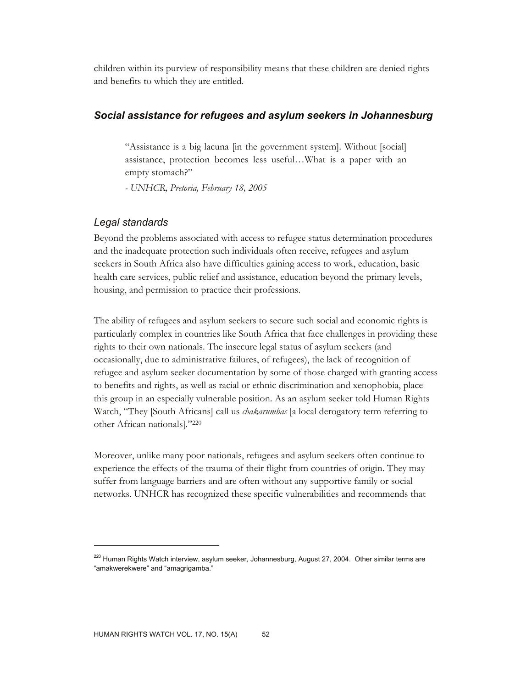children within its purview of responsibility means that these children are denied rights and benefits to which they are entitled.

### *Social assistance for refugees and asylum seekers in Johannesburg*

"Assistance is a big lacuna [in the government system]. Without [social] assistance, protection becomes less useful…What is a paper with an empty stomach?"

*- UNHCR, Pretoria, February 18, 2005* 

### *Legal standards*

 $\overline{a}$ 

Beyond the problems associated with access to refugee status determination procedures and the inadequate protection such individuals often receive, refugees and asylum seekers in South Africa also have difficulties gaining access to work, education, basic health care services, public relief and assistance, education beyond the primary levels, housing, and permission to practice their professions.

The ability of refugees and asylum seekers to secure such social and economic rights is particularly complex in countries like South Africa that face challenges in providing these rights to their own nationals. The insecure legal status of asylum seekers (and occasionally, due to administrative failures, of refugees), the lack of recognition of refugee and asylum seeker documentation by some of those charged with granting access to benefits and rights, as well as racial or ethnic discrimination and xenophobia, place this group in an especially vulnerable position. As an asylum seeker told Human Rights Watch, "They [South Africans] call us *chakarumbas* [a local derogatory term referring to other African nationals]."220

Moreover, unlike many poor nationals, refugees and asylum seekers often continue to experience the effects of the trauma of their flight from countries of origin. They may suffer from language barriers and are often without any supportive family or social networks. UNHCR has recognized these specific vulnerabilities and recommends that

<sup>&</sup>lt;sup>220</sup> Human Rights Watch interview, asylum seeker, Johannesburg, August 27, 2004. Other similar terms are "amakwerekwere" and "amagrigamba."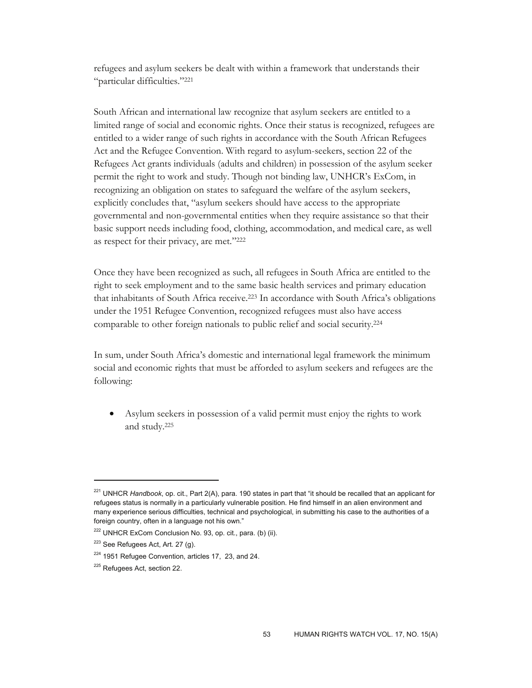refugees and asylum seekers be dealt with within a framework that understands their "particular difficulties."221

South African and international law recognize that asylum seekers are entitled to a limited range of social and economic rights. Once their status is recognized, refugees are entitled to a wider range of such rights in accordance with the South African Refugees Act and the Refugee Convention. With regard to asylum-seekers, section 22 of the Refugees Act grants individuals (adults and children) in possession of the asylum seeker permit the right to work and study. Though not binding law, UNHCR's ExCom, in recognizing an obligation on states to safeguard the welfare of the asylum seekers, explicitly concludes that, "asylum seekers should have access to the appropriate governmental and non-governmental entities when they require assistance so that their basic support needs including food, clothing, accommodation, and medical care, as well as respect for their privacy, are met."222

Once they have been recognized as such, all refugees in South Africa are entitled to the right to seek employment and to the same basic health services and primary education that inhabitants of South Africa receive.223 In accordance with South Africa's obligations under the 1951 Refugee Convention, recognized refugees must also have access comparable to other foreign nationals to public relief and social security.224

In sum, under South Africa's domestic and international legal framework the minimum social and economic rights that must be afforded to asylum seekers and refugees are the following:

• Asylum seekers in possession of a valid permit must enjoy the rights to work and study.225

<sup>221</sup> UNHCR *Handbook*, op. cit., Part 2(A), para. 190 states in part that "it should be recalled that an applicant for refugees status is normally in a particularly vulnerable position. He find himself in an alien environment and many experience serious difficulties, technical and psychological, in submitting his case to the authorities of a foreign country, often in a language not his own."

<sup>&</sup>lt;sup>222</sup> UNHCR ExCom Conclusion No. 93, op. cit., para. (b) (ii).

<sup>&</sup>lt;sup>223</sup> See Refugees Act, Art. 27 (g).

<sup>&</sup>lt;sup>224</sup> 1951 Refugee Convention, articles 17, 23, and 24.

<sup>&</sup>lt;sup>225</sup> Refugees Act, section 22.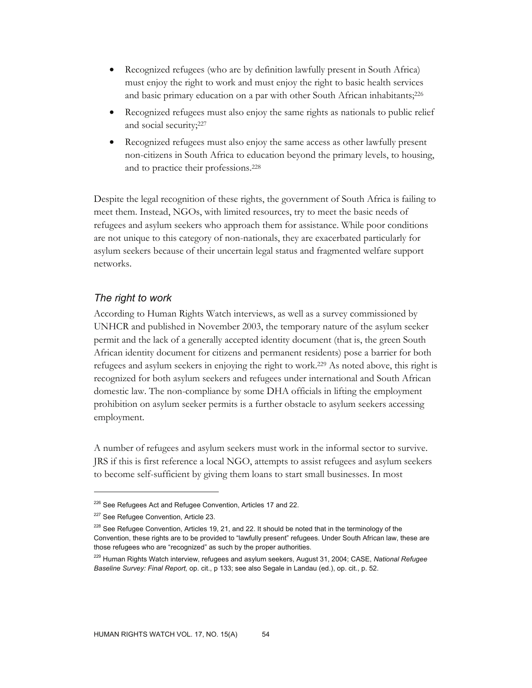- Recognized refugees (who are by definition lawfully present in South Africa) must enjoy the right to work and must enjoy the right to basic health services and basic primary education on a par with other South African inhabitants;<sup>226</sup>
- Recognized refugees must also enjoy the same rights as nationals to public relief and social security;227
- Recognized refugees must also enjoy the same access as other lawfully present non-citizens in South Africa to education beyond the primary levels, to housing, and to practice their professions.228

Despite the legal recognition of these rights, the government of South Africa is failing to meet them. Instead, NGOs, with limited resources, try to meet the basic needs of refugees and asylum seekers who approach them for assistance. While poor conditions are not unique to this category of non-nationals, they are exacerbated particularly for asylum seekers because of their uncertain legal status and fragmented welfare support networks.

# *The right to work*

According to Human Rights Watch interviews, as well as a survey commissioned by UNHCR and published in November 2003, the temporary nature of the asylum seeker permit and the lack of a generally accepted identity document (that is, the green South African identity document for citizens and permanent residents) pose a barrier for both refugees and asylum seekers in enjoying the right to work.229 As noted above, this right is recognized for both asylum seekers and refugees under international and South African domestic law. The non-compliance by some DHA officials in lifting the employment prohibition on asylum seeker permits is a further obstacle to asylum seekers accessing employment.

A number of refugees and asylum seekers must work in the informal sector to survive. JRS if this is first reference a local NGO, attempts to assist refugees and asylum seekers to become self-sufficient by giving them loans to start small businesses. In most

<sup>&</sup>lt;sup>226</sup> See Refugees Act and Refugee Convention, Articles 17 and 22.

<sup>&</sup>lt;sup>227</sup> See Refugee Convention, Article 23.

<sup>&</sup>lt;sup>228</sup> See Refugee Convention, Articles 19, 21, and 22. It should be noted that in the terminology of the Convention, these rights are to be provided to "lawfully present" refugees. Under South African law, these are those refugees who are "recognized" as such by the proper authorities.

<sup>229</sup> Human Rights Watch interview, refugees and asylum seekers, August 31, 2004; CASE, *National Refugee Baseline Survey: Final Report,* op. cit., p 133; see also Segale in Landau (ed.), op. cit., p. 52.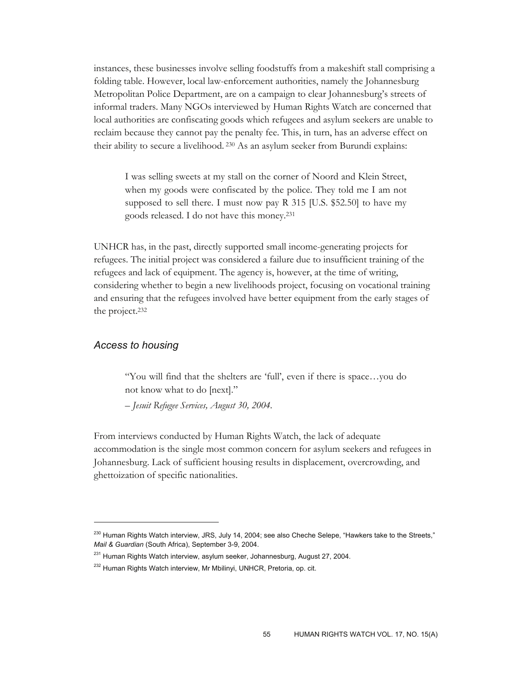instances, these businesses involve selling foodstuffs from a makeshift stall comprising a folding table. However, local law-enforcement authorities, namely the Johannesburg Metropolitan Police Department, are on a campaign to clear Johannesburg's streets of informal traders. Many NGOs interviewed by Human Rights Watch are concerned that local authorities are confiscating goods which refugees and asylum seekers are unable to reclaim because they cannot pay the penalty fee. This, in turn, has an adverse effect on their ability to secure a livelihood. 230 As an asylum seeker from Burundi explains:

I was selling sweets at my stall on the corner of Noord and Klein Street, when my goods were confiscated by the police. They told me I am not supposed to sell there. I must now pay R 315 [U.S. \$52.50] to have my goods released. I do not have this money.231

UNHCR has, in the past, directly supported small income-generating projects for refugees. The initial project was considered a failure due to insufficient training of the refugees and lack of equipment. The agency is, however, at the time of writing, considering whether to begin a new livelihoods project, focusing on vocational training and ensuring that the refugees involved have better equipment from the early stages of the project.232

#### *Access to housing*

 $\overline{a}$ 

"You will find that the shelters are 'full', even if there is space…you do not know what to do [next]."

*– Jesuit Refugee Services, August 30, 2004.* 

From interviews conducted by Human Rights Watch, the lack of adequate accommodation is the single most common concern for asylum seekers and refugees in Johannesburg. Lack of sufficient housing results in displacement, overcrowding, and ghettoization of specific nationalities.

<sup>&</sup>lt;sup>230</sup> Human Rights Watch interview, JRS, July 14, 2004; see also Cheche Selepe, "Hawkers take to the Streets," *Mail & Guardian* (South Africa), September 3-9, 2004.

<sup>&</sup>lt;sup>231</sup> Human Rights Watch interview, asylum seeker, Johannesburg, August 27, 2004.

<sup>&</sup>lt;sup>232</sup> Human Rights Watch interview, Mr Mbilinyi, UNHCR, Pretoria, op. cit.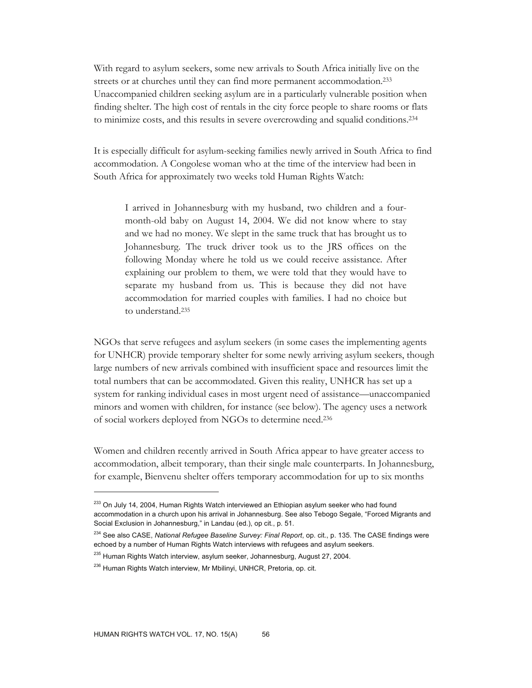With regard to asylum seekers, some new arrivals to South Africa initially live on the streets or at churches until they can find more permanent accommodation.233 Unaccompanied children seeking asylum are in a particularly vulnerable position when finding shelter. The high cost of rentals in the city force people to share rooms or flats to minimize costs, and this results in severe overcrowding and squalid conditions.234

It is especially difficult for asylum-seeking families newly arrived in South Africa to find accommodation. A Congolese woman who at the time of the interview had been in South Africa for approximately two weeks told Human Rights Watch:

I arrived in Johannesburg with my husband, two children and a fourmonth-old baby on August 14, 2004. We did not know where to stay and we had no money. We slept in the same truck that has brought us to Johannesburg. The truck driver took us to the JRS offices on the following Monday where he told us we could receive assistance. After explaining our problem to them, we were told that they would have to separate my husband from us. This is because they did not have accommodation for married couples with families. I had no choice but to understand.235

NGOs that serve refugees and asylum seekers (in some cases the implementing agents for UNHCR) provide temporary shelter for some newly arriving asylum seekers, though large numbers of new arrivals combined with insufficient space and resources limit the total numbers that can be accommodated. Given this reality, UNHCR has set up a system for ranking individual cases in most urgent need of assistance—unaccompanied minors and women with children, for instance (see below). The agency uses a network of social workers deployed from NGOs to determine need.236

Women and children recently arrived in South Africa appear to have greater access to accommodation, albeit temporary, than their single male counterparts. In Johannesburg, for example, Bienvenu shelter offers temporary accommodation for up to six months

<sup>&</sup>lt;sup>233</sup> On July 14, 2004, Human Rights Watch interviewed an Ethiopian asylum seeker who had found accommodation in a church upon his arrival in Johannesburg. See also Tebogo Segale, "Forced Migrants and Social Exclusion in Johannesburg," in Landau (ed.), op cit*.*, p. 51.

<sup>234</sup> See also CASE, *National Refugee Baseline Survey: Final Report*, op. cit., p. 135. The CASE findings were echoed by a number of Human Rights Watch interviews with refugees and asylum seekers.

<sup>&</sup>lt;sup>235</sup> Human Rights Watch interview, asylum seeker, Johannesburg, August 27, 2004.

<sup>&</sup>lt;sup>236</sup> Human Rights Watch interview, Mr Mbilinyi, UNHCR, Pretoria, op. cit.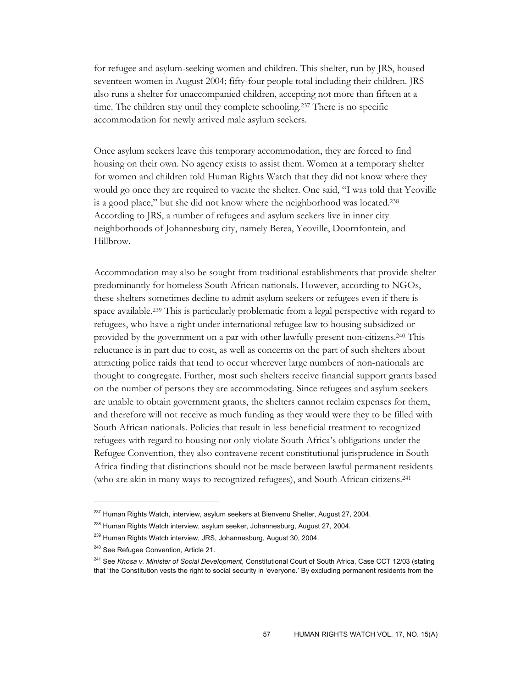for refugee and asylum-seeking women and children. This shelter, run by JRS, housed seventeen women in August 2004; fifty-four people total including their children. JRS also runs a shelter for unaccompanied children, accepting not more than fifteen at a time. The children stay until they complete schooling.237 There is no specific accommodation for newly arrived male asylum seekers.

Once asylum seekers leave this temporary accommodation, they are forced to find housing on their own. No agency exists to assist them. Women at a temporary shelter for women and children told Human Rights Watch that they did not know where they would go once they are required to vacate the shelter. One said, "I was told that Yeoville is a good place," but she did not know where the neighborhood was located.238 According to JRS, a number of refugees and asylum seekers live in inner city neighborhoods of Johannesburg city, namely Berea, Yeoville, Doornfontein, and Hillbrow.

Accommodation may also be sought from traditional establishments that provide shelter predominantly for homeless South African nationals. However, according to NGOs, these shelters sometimes decline to admit asylum seekers or refugees even if there is space available.239 This is particularly problematic from a legal perspective with regard to refugees, who have a right under international refugee law to housing subsidized or provided by the government on a par with other lawfully present non-citizens.240 This reluctance is in part due to cost, as well as concerns on the part of such shelters about attracting police raids that tend to occur wherever large numbers of non-nationals are thought to congregate. Further, most such shelters receive financial support grants based on the number of persons they are accommodating. Since refugees and asylum seekers are unable to obtain government grants, the shelters cannot reclaim expenses for them, and therefore will not receive as much funding as they would were they to be filled with South African nationals. Policies that result in less beneficial treatment to recognized refugees with regard to housing not only violate South Africa's obligations under the Refugee Convention, they also contravene recent constitutional jurisprudence in South Africa finding that distinctions should not be made between lawful permanent residents (who are akin in many ways to recognized refugees), and South African citizens.241

 $237$  Human Rights Watch, interview, asylum seekers at Bienvenu Shelter, August 27, 2004.

<sup>&</sup>lt;sup>238</sup> Human Rights Watch interview, asylum seeker, Johannesburg, August 27, 2004.

<sup>&</sup>lt;sup>239</sup> Human Rights Watch interview, JRS, Johannesburg, August 30, 2004.

<sup>240</sup> See Refugee Convention, Article 21.

<sup>241</sup> See *Khosa v. Minister of Social Development*, Constitutional Court of South Africa, Case CCT 12/03 (stating that "the Constitution vests the right to social security in 'everyone.' By excluding permanent residents from the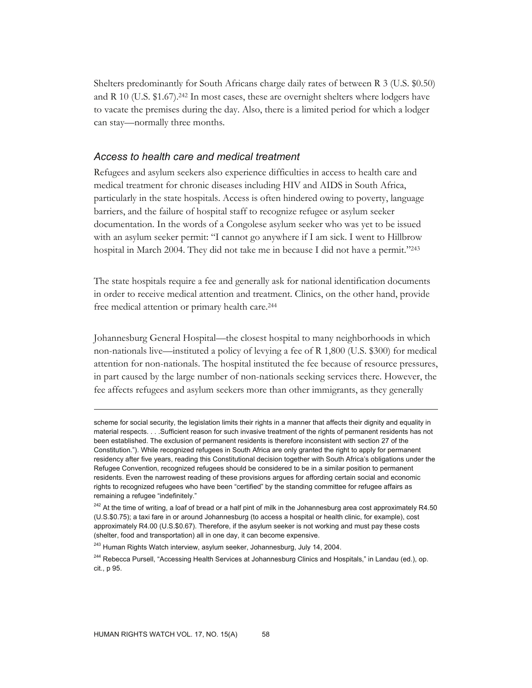Shelters predominantly for South Africans charge daily rates of between R 3 (U.S. \$0.50) and R 10 (U.S.  $$1.67$ ).<sup>242</sup> In most cases, these are overnight shelters where lodgers have to vacate the premises during the day. Also, there is a limited period for which a lodger can stay—normally three months.

#### *Access to health care and medical treatment*

Refugees and asylum seekers also experience difficulties in access to health care and medical treatment for chronic diseases including HIV and AIDS in South Africa, particularly in the state hospitals. Access is often hindered owing to poverty, language barriers, and the failure of hospital staff to recognize refugee or asylum seeker documentation. In the words of a Congolese asylum seeker who was yet to be issued with an asylum seeker permit: "I cannot go anywhere if I am sick. I went to Hillbrow hospital in March 2004. They did not take me in because I did not have a permit."243

The state hospitals require a fee and generally ask for national identification documents in order to receive medical attention and treatment. Clinics, on the other hand, provide free medical attention or primary health care.244

Johannesburg General Hospital—the closest hospital to many neighborhoods in which non-nationals live—instituted a policy of levying a fee of R 1,800 (U.S. \$300) for medical attention for non-nationals. The hospital instituted the fee because of resource pressures, in part caused by the large number of non-nationals seeking services there. However, the fee affects refugees and asylum seekers more than other immigrants, as they generally

scheme for social security, the legislation limits their rights in a manner that affects their dignity and equality in material respects. . . .Sufficient reason for such invasive treatment of the rights of permanent residents has not been established. The exclusion of permanent residents is therefore inconsistent with section 27 of the Constitution."). While recognized refugees in South Africa are only granted the right to apply for permanent residency after five years, reading this Constitutional decision together with South Africa's obligations under the Refugee Convention, recognized refugees should be considered to be in a similar position to permanent residents. Even the narrowest reading of these provisions argues for affording certain social and economic rights to recognized refugees who have been "certified" by the standing committee for refugee affairs as remaining a refugee "indefinitely."

<sup>&</sup>lt;sup>242</sup> At the time of writing, a loaf of bread or a half pint of milk in the Johannesburg area cost approximately R4.50 (U.S.\$0.75); a taxi fare in or around Johannesburg (to access a hospital or health clinic, for example), cost approximately R4.00 (U.S.\$0.67). Therefore, if the asylum seeker is not working and must pay these costs (shelter, food and transportation) all in one day, it can become expensive.

<sup>&</sup>lt;sup>243</sup> Human Rights Watch interview, asylum seeker, Johannesburg, July 14, 2004.

<sup>&</sup>lt;sup>244</sup> Rebecca Pursell, "Accessing Health Services at Johannesburg Clinics and Hospitals," in Landau (ed.), op. cit., p 95.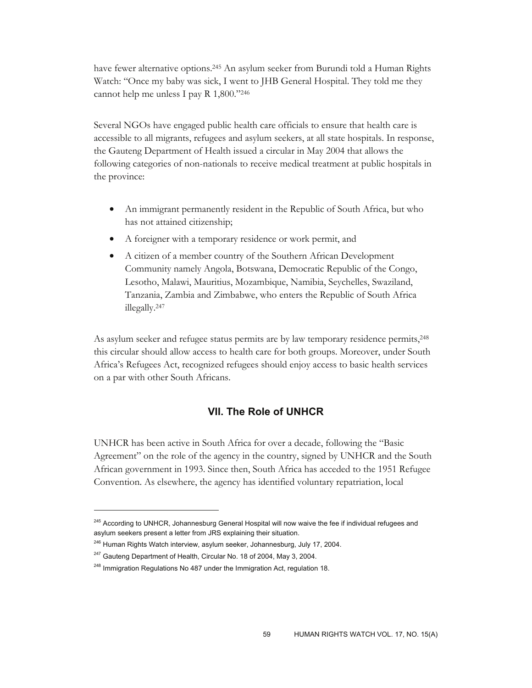have fewer alternative options.245 An asylum seeker from Burundi told a Human Rights Watch: "Once my baby was sick, I went to JHB General Hospital. They told me they cannot help me unless I pay R 1,800."246

Several NGOs have engaged public health care officials to ensure that health care is accessible to all migrants, refugees and asylum seekers, at all state hospitals. In response, the Gauteng Department of Health issued a circular in May 2004 that allows the following categories of non-nationals to receive medical treatment at public hospitals in the province:

- An immigrant permanently resident in the Republic of South Africa, but who has not attained citizenship;
- A foreigner with a temporary residence or work permit, and
- A citizen of a member country of the Southern African Development Community namely Angola, Botswana, Democratic Republic of the Congo, Lesotho, Malawi, Mauritius, Mozambique, Namibia, Seychelles, Swaziland, Tanzania, Zambia and Zimbabwe, who enters the Republic of South Africa illegally.247

As asylum seeker and refugee status permits are by law temporary residence permits,248 this circular should allow access to health care for both groups. Moreover, under South Africa's Refugees Act, recognized refugees should enjoy access to basic health services on a par with other South Africans.

# **VII. The Role of UNHCR**

UNHCR has been active in South Africa for over a decade, following the "Basic Agreement" on the role of the agency in the country, signed by UNHCR and the South African government in 1993. Since then, South Africa has acceded to the 1951 Refugee Convention. As elsewhere, the agency has identified voluntary repatriation, local

<sup>&</sup>lt;sup>245</sup> Accordina to UNHCR, Johannesburg General Hospital will now waive the fee if individual refugees and asylum seekers present a letter from JRS explaining their situation.

<sup>&</sup>lt;sup>246</sup> Human Rights Watch interview, asylum seeker, Johannesburg, July 17, 2004.

<sup>&</sup>lt;sup>247</sup> Gauteng Department of Health, Circular No. 18 of 2004, May 3, 2004.

 $248$  Immigration Regulations No 487 under the Immigration Act, regulation 18.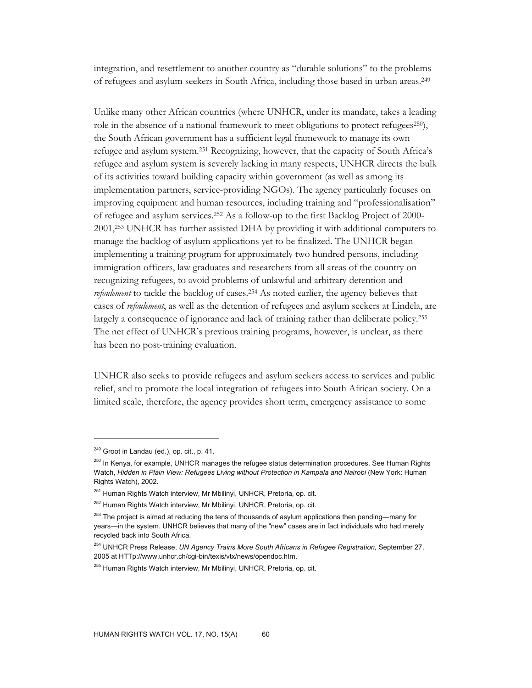integration, and resettlement to another country as "durable solutions" to the problems of refugees and asylum seekers in South Africa, including those based in urban areas.249

Unlike many other African countries (where UNHCR, under its mandate, takes a leading role in the absence of a national framework to meet obligations to protect refugees $250$ , the South African government has a sufficient legal framework to manage its own refugee and asylum system.251 Recognizing, however, that the capacity of South Africa's refugee and asylum system is severely lacking in many respects, UNHCR directs the bulk of its activities toward building capacity within government (as well as among its implementation partners, service-providing NGOs). The agency particularly focuses on improving equipment and human resources, including training and "professionalisation" of refugee and asylum services.252 As a follow-up to the first Backlog Project of 2000- 2001,253 UNHCR has further assisted DHA by providing it with additional computers to manage the backlog of asylum applications yet to be finalized. The UNHCR began implementing a training program for approximately two hundred persons, including immigration officers, law graduates and researchers from all areas of the country on recognizing refugees, to avoid problems of unlawful and arbitrary detention and *refoulement* to tackle the backlog of cases.<sup>254</sup> As noted earlier, the agency believes that cases of *refoulement*, as well as the detention of refugees and asylum seekers at Lindela, are largely a consequence of ignorance and lack of training rather than deliberate policy.255 The net effect of UNHCR's previous training programs, however, is unclear, as there has been no post-training evaluation.

UNHCR also seeks to provide refugees and asylum seekers access to services and public relief, and to promote the local integration of refugees into South African society. On a limited scale, therefore, the agency provides short term, emergency assistance to some

<sup>&</sup>lt;sup>249</sup> Groot in Landau (ed.), op. cit., p. 41.

<sup>&</sup>lt;sup>250</sup> In Kenya, for example, UNHCR manages the refugee status determination procedures. See Human Rights Watch, *Hidden in Plain View: Refugees Living without Protection in Kampala and Nairobi* (New York: Human Rights Watch), 2002.

<sup>&</sup>lt;sup>251</sup> Human Rights Watch interview, Mr Mbilinyi, UNHCR, Pretoria, op. cit.

<sup>&</sup>lt;sup>252</sup> Human Rights Watch interview, Mr Mbilinyi, UNHCR, Pretoria, op. cit.

<sup>&</sup>lt;sup>253</sup> The project is aimed at reducing the tens of thousands of asylum applications then pending—many for years—in the system. UNHCR believes that many of the "new" cases are in fact individuals who had merely recycled back into South Africa.

<sup>254</sup> UNHCR Press Release, *UN Agency Trains More South Africans in Refugee Registration,* September 27, 2005 at HTTp://www.unhcr.ch/cgi-bin/texis/vtx/news/opendoc.htm.

<sup>&</sup>lt;sup>255</sup> Human Rights Watch interview, Mr Mbilinyi, UNHCR, Pretoria, op. cit.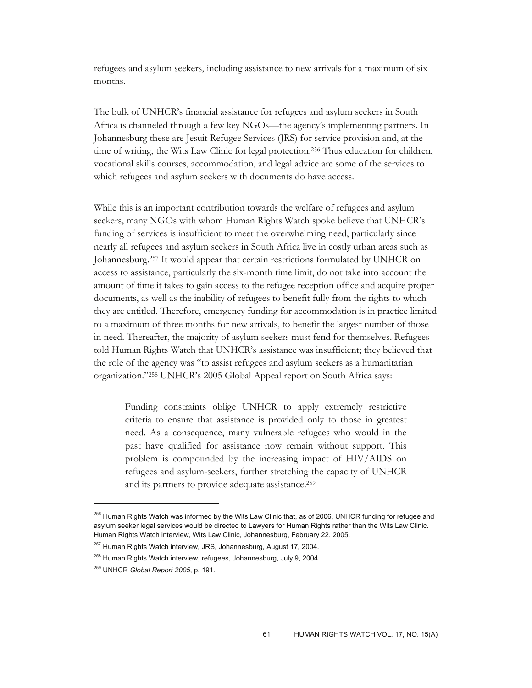refugees and asylum seekers, including assistance to new arrivals for a maximum of six months.

The bulk of UNHCR's financial assistance for refugees and asylum seekers in South Africa is channeled through a few key NGOs—the agency's implementing partners. In Johannesburg these are Jesuit Refugee Services (JRS) for service provision and, at the time of writing, the Wits Law Clinic for legal protection.256 Thus education for children, vocational skills courses, accommodation, and legal advice are some of the services to which refugees and asylum seekers with documents do have access.

While this is an important contribution towards the welfare of refugees and asylum seekers, many NGOs with whom Human Rights Watch spoke believe that UNHCR's funding of services is insufficient to meet the overwhelming need, particularly since nearly all refugees and asylum seekers in South Africa live in costly urban areas such as Johannesburg.257 It would appear that certain restrictions formulated by UNHCR on access to assistance, particularly the six-month time limit, do not take into account the amount of time it takes to gain access to the refugee reception office and acquire proper documents, as well as the inability of refugees to benefit fully from the rights to which they are entitled. Therefore, emergency funding for accommodation is in practice limited to a maximum of three months for new arrivals, to benefit the largest number of those in need. Thereafter, the majority of asylum seekers must fend for themselves. Refugees told Human Rights Watch that UNHCR's assistance was insufficient; they believed that the role of the agency was "to assist refugees and asylum seekers as a humanitarian organization."258 UNHCR's 2005 Global Appeal report on South Africa says:

Funding constraints oblige UNHCR to apply extremely restrictive criteria to ensure that assistance is provided only to those in greatest need. As a consequence, many vulnerable refugees who would in the past have qualified for assistance now remain without support. This problem is compounded by the increasing impact of HIV/AIDS on refugees and asylum-seekers, further stretching the capacity of UNHCR and its partners to provide adequate assistance.259

<sup>&</sup>lt;sup>256</sup> Human Rights Watch was informed by the Wits Law Clinic that, as of 2006, UNHCR funding for refugee and asylum seeker legal services would be directed to Lawyers for Human Rights rather than the Wits Law Clinic. Human Rights Watch interview, Wits Law Clinic, Johannesburg, February 22, 2005.

<sup>&</sup>lt;sup>257</sup> Human Rights Watch interview, JRS, Johannesburg, August 17, 2004.

<sup>&</sup>lt;sup>258</sup> Human Rights Watch interview, refugees, Johannesburg, July 9, 2004.

<sup>259</sup> UNHCR *Global Report 2005*, p. 191.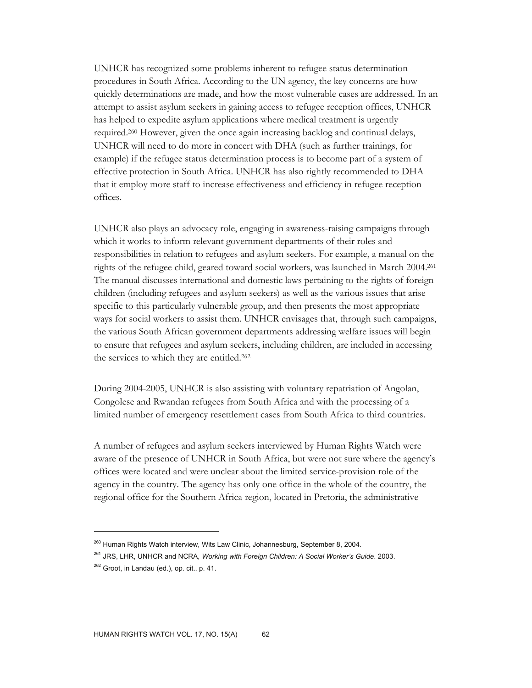UNHCR has recognized some problems inherent to refugee status determination procedures in South Africa. According to the UN agency, the key concerns are how quickly determinations are made, and how the most vulnerable cases are addressed. In an attempt to assist asylum seekers in gaining access to refugee reception offices, UNHCR has helped to expedite asylum applications where medical treatment is urgently required.260 However, given the once again increasing backlog and continual delays, UNHCR will need to do more in concert with DHA (such as further trainings, for example) if the refugee status determination process is to become part of a system of effective protection in South Africa. UNHCR has also rightly recommended to DHA that it employ more staff to increase effectiveness and efficiency in refugee reception offices.

UNHCR also plays an advocacy role, engaging in awareness-raising campaigns through which it works to inform relevant government departments of their roles and responsibilities in relation to refugees and asylum seekers. For example, a manual on the rights of the refugee child, geared toward social workers, was launched in March 2004.261 The manual discusses international and domestic laws pertaining to the rights of foreign children (including refugees and asylum seekers) as well as the various issues that arise specific to this particularly vulnerable group, and then presents the most appropriate ways for social workers to assist them. UNHCR envisages that, through such campaigns, the various South African government departments addressing welfare issues will begin to ensure that refugees and asylum seekers, including children, are included in accessing the services to which they are entitled.262

During 2004-2005, UNHCR is also assisting with voluntary repatriation of Angolan, Congolese and Rwandan refugees from South Africa and with the processing of a limited number of emergency resettlement cases from South Africa to third countries.

A number of refugees and asylum seekers interviewed by Human Rights Watch were aware of the presence of UNHCR in South Africa, but were not sure where the agency's offices were located and were unclear about the limited service-provision role of the agency in the country. The agency has only one office in the whole of the country, the regional office for the Southern Africa region, located in Pretoria, the administrative

<sup>&</sup>lt;sup>260</sup> Human Rights Watch interview, Wits Law Clinic, Johannesburg, September 8, 2004.

<sup>261</sup> JRS, LHR, UNHCR and NCRA, *Working with Foreign Children: A Social Worker's Guide*. 2003.

 $262$  Groot, in Landau (ed.), op. cit., p. 41.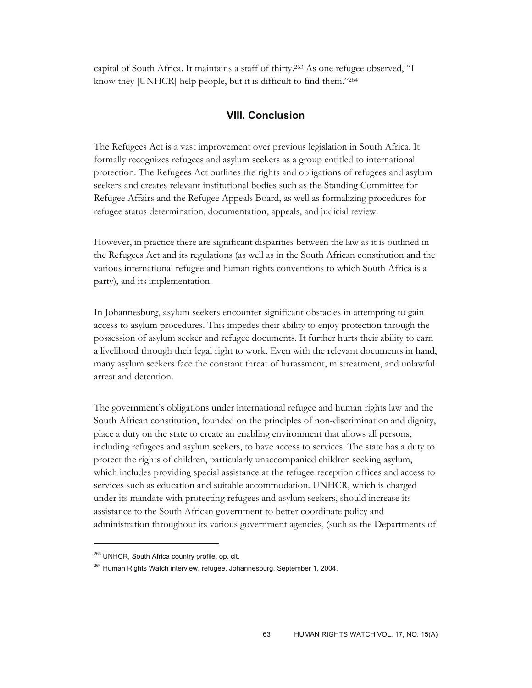capital of South Africa. It maintains a staff of thirty.263 As one refugee observed, "I know they [UNHCR] help people, but it is difficult to find them."264

### **VIII. Conclusion**

The Refugees Act is a vast improvement over previous legislation in South Africa. It formally recognizes refugees and asylum seekers as a group entitled to international protection. The Refugees Act outlines the rights and obligations of refugees and asylum seekers and creates relevant institutional bodies such as the Standing Committee for Refugee Affairs and the Refugee Appeals Board, as well as formalizing procedures for refugee status determination, documentation, appeals, and judicial review.

However, in practice there are significant disparities between the law as it is outlined in the Refugees Act and its regulations (as well as in the South African constitution and the various international refugee and human rights conventions to which South Africa is a party), and its implementation.

In Johannesburg, asylum seekers encounter significant obstacles in attempting to gain access to asylum procedures. This impedes their ability to enjoy protection through the possession of asylum seeker and refugee documents. It further hurts their ability to earn a livelihood through their legal right to work. Even with the relevant documents in hand, many asylum seekers face the constant threat of harassment, mistreatment, and unlawful arrest and detention.

The government's obligations under international refugee and human rights law and the South African constitution, founded on the principles of non-discrimination and dignity, place a duty on the state to create an enabling environment that allows all persons, including refugees and asylum seekers, to have access to services. The state has a duty to protect the rights of children, particularly unaccompanied children seeking asylum, which includes providing special assistance at the refugee reception offices and access to services such as education and suitable accommodation. UNHCR, which is charged under its mandate with protecting refugees and asylum seekers, should increase its assistance to the South African government to better coordinate policy and administration throughout its various government agencies, (such as the Departments of

<sup>&</sup>lt;sup>263</sup> UNHCR, South Africa country profile, op. cit.

<sup>&</sup>lt;sup>264</sup> Human Rights Watch interview, refugee, Johannesburg, September 1, 2004.